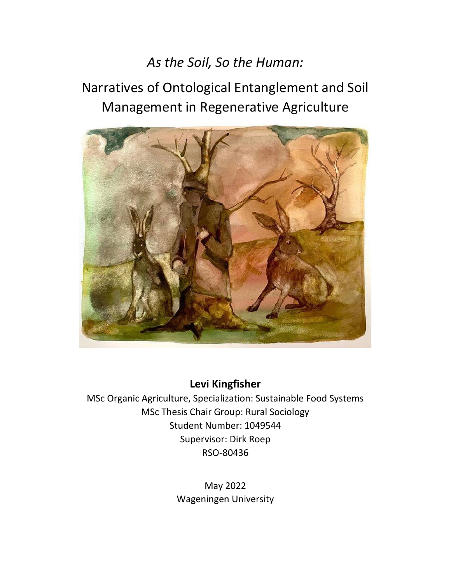# *As the Soil, So the Human:*

# Narratives of Ontological Entanglement and Soil Management in Regenerative Agriculture



**Levi Kingfisher**

MSc Organic Agriculture, Specialization: Sustainable Food Systems MSc Thesis Chair Group: Rural Sociology Student Number: 1049544 Supervisor: Dirk Roep RSO-80436

> May 2022 Wageningen University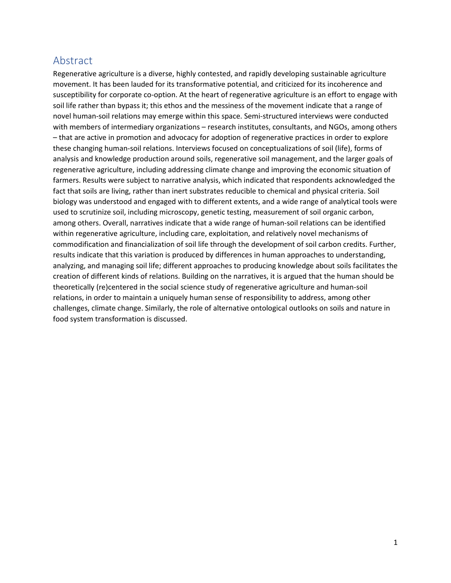# <span id="page-1-0"></span>Abstract

Regenerative agriculture is a diverse, highly contested, and rapidly developing sustainable agriculture movement. It has been lauded for its transformative potential, and criticized for its incoherence and susceptibility for corporate co-option. At the heart of regenerative agriculture is an effort to engage with soil life rather than bypass it; this ethos and the messiness of the movement indicate that a range of novel human-soil relations may emerge within this space. Semi-structured interviews were conducted with members of intermediary organizations – research institutes, consultants, and NGOs, among others – that are active in promotion and advocacy for adoption of regenerative practices in order to explore these changing human-soil relations. Interviews focused on conceptualizations of soil (life), forms of analysis and knowledge production around soils, regenerative soil management, and the larger goals of regenerative agriculture, including addressing climate change and improving the economic situation of farmers. Results were subject to narrative analysis, which indicated that respondents acknowledged the fact that soils are living, rather than inert substrates reducible to chemical and physical criteria. Soil biology was understood and engaged with to different extents, and a wide range of analytical tools were used to scrutinize soil, including microscopy, genetic testing, measurement of soil organic carbon, among others. Overall, narratives indicate that a wide range of human-soil relations can be identified within regenerative agriculture, including care, exploitation, and relatively novel mechanisms of commodification and financialization of soil life through the development of soil carbon credits. Further, results indicate that this variation is produced by differences in human approaches to understanding, analyzing, and managing soil life; different approaches to producing knowledge about soils facilitates the creation of different kinds of relations. Building on the narratives, it is argued that the human should be theoretically (re)centered in the social science study of regenerative agriculture and human-soil relations, in order to maintain a uniquely human sense of responsibility to address, among other challenges, climate change. Similarly, the role of alternative ontological outlooks on soils and nature in food system transformation is discussed.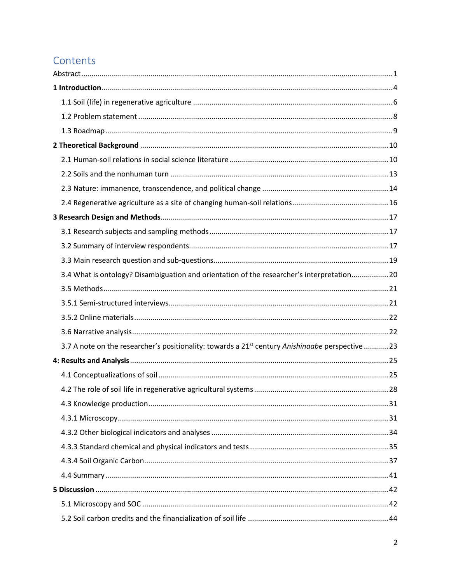# Contents

| 3.4 What is ontology? Disambiguation and orientation of the researcher's interpretation 20                   |  |
|--------------------------------------------------------------------------------------------------------------|--|
|                                                                                                              |  |
|                                                                                                              |  |
|                                                                                                              |  |
|                                                                                                              |  |
| 3.7 A note on the researcher's positionality: towards a 21 <sup>st</sup> century Anishinaabe perspective  23 |  |
|                                                                                                              |  |
|                                                                                                              |  |
|                                                                                                              |  |
|                                                                                                              |  |
|                                                                                                              |  |
|                                                                                                              |  |
|                                                                                                              |  |
|                                                                                                              |  |
|                                                                                                              |  |
|                                                                                                              |  |
|                                                                                                              |  |
|                                                                                                              |  |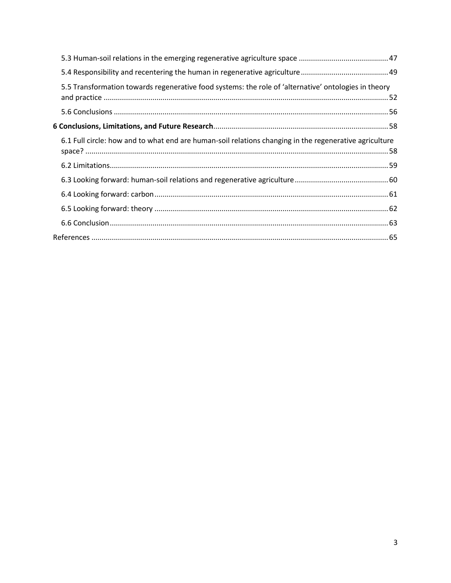| 5.5 Transformation towards regenerative food systems: the role of 'alternative' ontologies in theory   |  |
|--------------------------------------------------------------------------------------------------------|--|
|                                                                                                        |  |
|                                                                                                        |  |
| 6.1 Full circle: how and to what end are human-soil relations changing in the regenerative agriculture |  |
|                                                                                                        |  |
|                                                                                                        |  |
|                                                                                                        |  |
|                                                                                                        |  |
|                                                                                                        |  |
|                                                                                                        |  |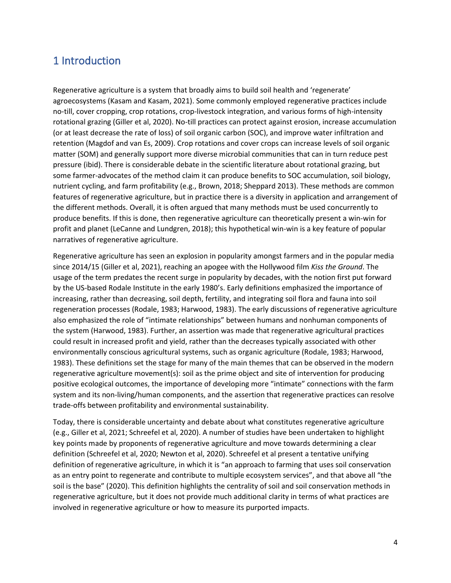# <span id="page-4-0"></span>1 Introduction

Regenerative agriculture is a system that broadly aims to build soil health and 'regenerate' agroecosystems (Kasam and Kasam, 2021). Some commonly employed regenerative practices include no-till, cover cropping, crop rotations, crop-livestock integration, and various forms of high-intensity rotational grazing (Giller et al, 2020). No-till practices can protect against erosion, increase accumulation (or at least decrease the rate of loss) of soil organic carbon (SOC), and improve water infiltration and retention (Magdof and van Es, 2009). Crop rotations and cover crops can increase levels of soil organic matter (SOM) and generally support more diverse microbial communities that can in turn reduce pest pressure (ibid). There is considerable debate in the scientific literature about rotational grazing, but some farmer-advocates of the method claim it can produce benefits to SOC accumulation, soil biology, nutrient cycling, and farm profitability (e.g., Brown, 2018; Sheppard 2013). These methods are common features of regenerative agriculture, but in practice there is a diversity in application and arrangement of the different methods. Overall, it is often argued that many methods must be used concurrently to produce benefits. If this is done, then regenerative agriculture can theoretically present a win-win for profit and planet (LeCanne and Lundgren, 2018); this hypothetical win-win is a key feature of popular narratives of regenerative agriculture.

Regenerative agriculture has seen an explosion in popularity amongst farmers and in the popular media since 2014/15 (Giller et al, 2021), reaching an apogee with the Hollywood film *Kiss the Ground*. The usage of the term predates the recent surge in popularity by decades, with the notion first put forward by the US-based Rodale Institute in the early 1980's. Early definitions emphasized the importance of increasing, rather than decreasing, soil depth, fertility, and integrating soil flora and fauna into soil regeneration processes (Rodale, 1983; Harwood, 1983). The early discussions of regenerative agriculture also emphasized the role of "intimate relationships" between humans and nonhuman components of the system (Harwood, 1983). Further, an assertion was made that regenerative agricultural practices could result in increased profit and yield, rather than the decreases typically associated with other environmentally conscious agricultural systems, such as organic agriculture (Rodale, 1983; Harwood, 1983). These definitions set the stage for many of the main themes that can be observed in the modern regenerative agriculture movement(s): soil as the prime object and site of intervention for producing positive ecological outcomes, the importance of developing more "intimate" connections with the farm system and its non-living/human components, and the assertion that regenerative practices can resolve trade-offs between profitability and environmental sustainability.

Today, there is considerable uncertainty and debate about what constitutes regenerative agriculture (e.g., Giller et al, 2021; Schreefel et al, 2020). A number of studies have been undertaken to highlight key points made by proponents of regenerative agriculture and move towards determining a clear definition (Schreefel et al, 2020; Newton et al, 2020). Schreefel et al present a tentative unifying definition of regenerative agriculture, in which it is "an approach to farming that uses soil conservation as an entry point to regenerate and contribute to multiple ecosystem services", and that above all "the soil is the base" (2020). This definition highlights the centrality of soil and soil conservation methods in regenerative agriculture, but it does not provide much additional clarity in terms of what practices are involved in regenerative agriculture or how to measure its purported impacts.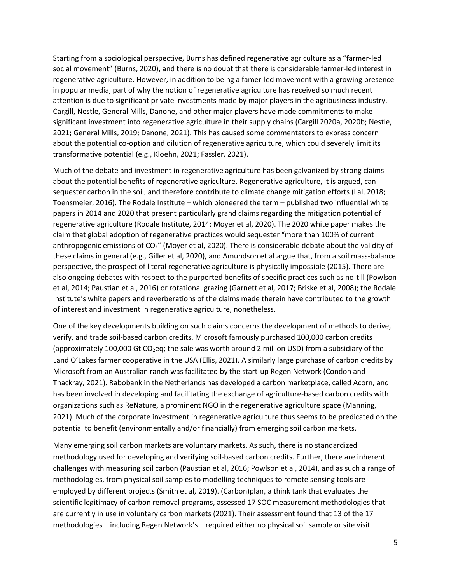Starting from a sociological perspective, Burns has defined regenerative agriculture as a "farmer-led social movement" (Burns, 2020), and there is no doubt that there is considerable farmer-led interest in regenerative agriculture. However, in addition to being a famer-led movement with a growing presence in popular media, part of why the notion of regenerative agriculture has received so much recent attention is due to significant private investments made by major players in the agribusiness industry. Cargill, Nestle, General Mills, Danone, and other major players have made commitments to make significant investment into regenerative agriculture in their supply chains (Cargill 2020a, 2020b; Nestle, 2021; General Mills, 2019; Danone, 2021). This has caused some commentators to express concern about the potential co-option and dilution of regenerative agriculture, which could severely limit its transformative potential (e.g., Kloehn, 2021; Fassler, 2021).

Much of the debate and investment in regenerative agriculture has been galvanized by strong claims about the potential benefits of regenerative agriculture. Regenerative agriculture, it is argued, can sequester carbon in the soil, and therefore contribute to climate change mitigation efforts (Lal, 2018; Toensmeier, 2016). The Rodale Institute – which pioneered the term – published two influential white papers in 2014 and 2020 that present particularly grand claims regarding the mitigation potential of regenerative agriculture (Rodale Institute, 2014; Moyer et al, 2020). The 2020 white paper makes the claim that global adoption of regenerative practices would sequester "more than 100% of current anthropogenic emissions of  $CO<sub>2</sub>$ " (Moyer et al, 2020). There is considerable debate about the validity of these claims in general (e.g., Giller et al, 2020), and Amundson et al argue that, from a soil mass-balance perspective, the prospect of literal regenerative agriculture is physically impossible (2015). There are also ongoing debates with respect to the purported benefits of specific practices such as no-till (Powlson et al, 2014; Paustian et al, 2016) or rotational grazing (Garnett et al, 2017; Briske et al, 2008); the Rodale Institute's white papers and reverberations of the claims made therein have contributed to the growth of interest and investment in regenerative agriculture, nonetheless.

One of the key developments building on such claims concerns the development of methods to derive, verify, and trade soil-based carbon credits. Microsoft famously purchased 100,000 carbon credits (approximately 100,000 Gt CO<sub>2</sub>eq; the sale was worth around 2 million USD) from a subsidiary of the Land O'Lakes farmer cooperative in the USA (Ellis, 2021). A similarly large purchase of carbon credits by Microsoft from an Australian ranch was facilitated by the start-up Regen Network (Condon and Thackray, 2021). Rabobank in the Netherlands has developed a carbon marketplace, called Acorn, and has been involved in developing and facilitating the exchange of agriculture-based carbon credits with organizations such as ReNature, a prominent NGO in the regenerative agriculture space (Manning, 2021). Much of the corporate investment in regenerative agriculture thus seems to be predicated on the potential to benefit (environmentally and/or financially) from emerging soil carbon markets.

Many emerging soil carbon markets are voluntary markets. As such, there is no standardized methodology used for developing and verifying soil-based carbon credits. Further, there are inherent challenges with measuring soil carbon (Paustian et al, 2016; Powlson et al, 2014), and as such a range of methodologies, from physical soil samples to modelling techniques to remote sensing tools are employed by different projects (Smith et al, 2019). (Carbon)plan, a think tank that evaluates the scientific legitimacy of carbon removal programs, assessed 17 SOC measurement methodologies that are currently in use in voluntary carbon markets (2021). Their assessment found that 13 of the 17 methodologies – including Regen Network's – required either no physical soil sample or site visit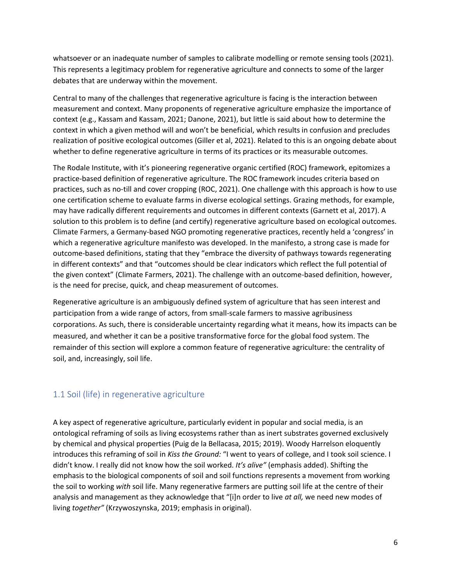whatsoever or an inadequate number of samples to calibrate modelling or remote sensing tools (2021). This represents a legitimacy problem for regenerative agriculture and connects to some of the larger debates that are underway within the movement.

Central to many of the challenges that regenerative agriculture is facing is the interaction between measurement and context. Many proponents of regenerative agriculture emphasize the importance of context (e.g., Kassam and Kassam, 2021; Danone, 2021), but little is said about how to determine the context in which a given method will and won't be beneficial, which results in confusion and precludes realization of positive ecological outcomes (Giller et al, 2021). Related to this is an ongoing debate about whether to define regenerative agriculture in terms of its practices or its measurable outcomes.

The Rodale Institute, with it's pioneering regenerative organic certified (ROC) framework, epitomizes a practice-based definition of regenerative agriculture. The ROC framework incudes criteria based on practices, such as no-till and cover cropping (ROC, 2021). One challenge with this approach is how to use one certification scheme to evaluate farms in diverse ecological settings. Grazing methods, for example, may have radically different requirements and outcomes in different contexts (Garnett et al, 2017). A solution to this problem is to define (and certify) regenerative agriculture based on ecological outcomes. Climate Farmers, a Germany-based NGO promoting regenerative practices, recently held a 'congress' in which a regenerative agriculture manifesto was developed. In the manifesto, a strong case is made for outcome-based definitions, stating that they "embrace the diversity of pathways towards regenerating in different contexts" and that "outcomes should be clear indicators which reflect the full potential of the given context" (Climate Farmers, 2021). The challenge with an outcome-based definition, however, is the need for precise, quick, and cheap measurement of outcomes.

Regenerative agriculture is an ambiguously defined system of agriculture that has seen interest and participation from a wide range of actors, from small-scale farmers to massive agribusiness corporations. As such, there is considerable uncertainty regarding what it means, how its impacts can be measured, and whether it can be a positive transformative force for the global food system. The remainder of this section will explore a common feature of regenerative agriculture: the centrality of soil, and, increasingly, soil life.

### <span id="page-6-0"></span>1.1 Soil (life) in regenerative agriculture

A key aspect of regenerative agriculture, particularly evident in popular and social media, is an ontological reframing of soils as living ecosystems rather than as inert substrates governed exclusively by chemical and physical properties (Puig de la Bellacasa, 2015; 2019). Woody Harrelson eloquently introduces this reframing of soil in *Kiss the Ground:* "I went to years of college, and I took soil science. I didn't know. I really did not know how the soil worked. *It's alive"* (emphasis added). Shifting the emphasis to the biological components of soil and soil functions represents a movement from working the soil to working *with* soil life. Many regenerative farmers are putting soil life at the centre of their analysis and management as they acknowledge that "[i]n order to live *at all,* we need new modes of living *together"* (Krzywoszynska, 2019; emphasis in original).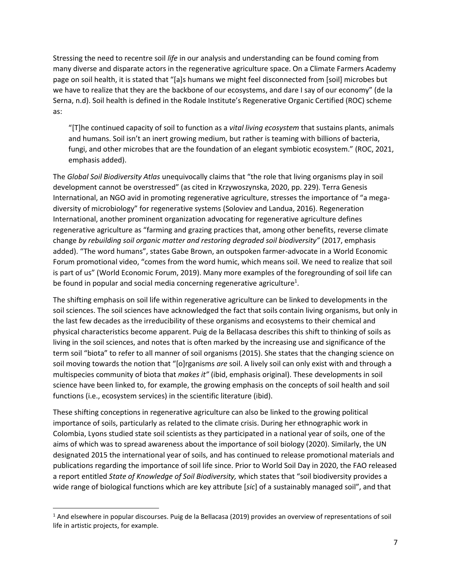Stressing the need to recentre soil *life* in our analysis and understanding can be found coming from many diverse and disparate actors in the regenerative agriculture space. On a Climate Farmers Academy page on soil health, it is stated that "[a]s humans we might feel disconnected from [soil] microbes but we have to realize that they are the backbone of our ecosystems, and dare I say of our economy" (de la Serna, n.d). Soil health is defined in the Rodale Institute's Regenerative Organic Certified (ROC) scheme as:

"[T]he continued capacity of soil to function as a *vital living ecosystem* that sustains plants, animals and humans. Soil isn't an inert growing medium, but rather is teaming with billions of bacteria, fungi, and other microbes that are the foundation of an elegant symbiotic ecosystem." (ROC, 2021, emphasis added).

The *Global Soil Biodiversity Atlas* unequivocally claims that "the role that living organisms play in soil development cannot be overstressed" (as cited in Krzywoszynska, 2020, pp. 229). Terra Genesis International, an NGO avid in promoting regenerative agriculture, stresses the importance of "a megadiversity of microbiology" for regenerative systems (Soloviev and Landua, 2016). Regeneration International, another prominent organization advocating for regenerative agriculture defines regenerative agriculture as "farming and grazing practices that, among other benefits, reverse climate change *by rebuilding soil organic matter and restoring degraded soil biodiversity"* (2017, emphasis added). "The word humans", states Gabe Brown, an outspoken farmer-advocate in a World Economic Forum promotional video, "comes from the word humic, which means soil. We need to realize that soil is part of us" (World Economic Forum, 2019). Many more examples of the foregrounding of soil life can be found in popular and social media concerning regenerative agriculture<sup>1</sup>.

The shifting emphasis on soil life within regenerative agriculture can be linked to developments in the soil sciences. The soil sciences have acknowledged the fact that soils contain living organisms, but only in the last few decades as the irreducibility of these organisms and ecosystems to their chemical and physical characteristics become apparent. Puig de la Bellacasa describes this shift to thinking of soils as living in the soil sciences, and notes that is often marked by the increasing use and significance of the term soil "biota" to refer to all manner of soil organisms (2015). She states that the changing science on soil moving towards the notion that "[o]rganisms *are* soil. A lively soil can only exist with and through a multispecies community of biota that *makes it"* (ibid, emphasis original). These developments in soil science have been linked to, for example, the growing emphasis on the concepts of soil health and soil functions (i.e., ecosystem services) in the scientific literature (ibid).

These shifting conceptions in regenerative agriculture can also be linked to the growing political importance of soils, particularly as related to the climate crisis. During her ethnographic work in Colombia, Lyons studied state soil scientists as they participated in a national year of soils, one of the aims of which was to spread awareness about the importance of soil biology (2020). Similarly, the UN designated 2015 the international year of soils, and has continued to release promotional materials and publications regarding the importance of soil life since. Prior to World Soil Day in 2020, the FAO released a report entitled *State of Knowledge of Soil Biodiversity,* which states that "soil biodiversity provides a wide range of biological functions which are key attribute [*sic*] of a sustainably managed soil", and that

<sup>&</sup>lt;sup>1</sup> And elsewhere in popular discourses. Puig de la Bellacasa (2019) provides an overview of representations of soil life in artistic projects, for example.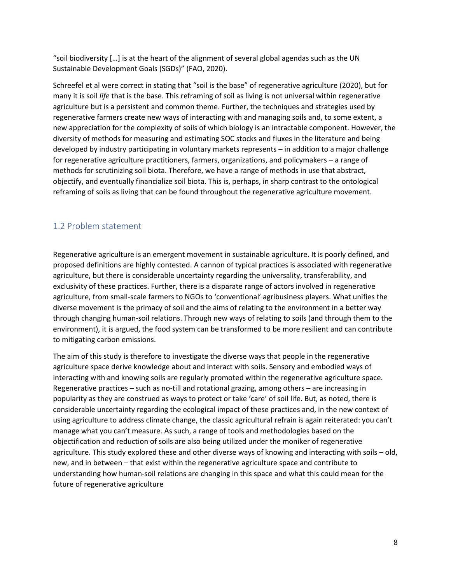"soil biodiversity […] is at the heart of the alignment of several global agendas such as the UN Sustainable Development Goals (SGDs)" (FAO, 2020).

Schreefel et al were correct in stating that "soil is the base" of regenerative agriculture (2020), but for many it is soil *life* that is the base. This reframing of soil as living is not universal within regenerative agriculture but is a persistent and common theme. Further, the techniques and strategies used by regenerative farmers create new ways of interacting with and managing soils and, to some extent, a new appreciation for the complexity of soils of which biology is an intractable component. However, the diversity of methods for measuring and estimating SOC stocks and fluxes in the literature and being developed by industry participating in voluntary markets represents – in addition to a major challenge for regenerative agriculture practitioners, farmers, organizations, and policymakers – a range of methods for scrutinizing soil biota. Therefore, we have a range of methods in use that abstract, objectify, and eventually financialize soil biota. This is, perhaps, in sharp contrast to the ontological reframing of soils as living that can be found throughout the regenerative agriculture movement.

### <span id="page-8-0"></span>1.2 Problem statement

Regenerative agriculture is an emergent movement in sustainable agriculture. It is poorly defined, and proposed definitions are highly contested. A cannon of typical practices is associated with regenerative agriculture, but there is considerable uncertainty regarding the universality, transferability, and exclusivity of these practices. Further, there is a disparate range of actors involved in regenerative agriculture, from small-scale farmers to NGOs to 'conventional' agribusiness players. What unifies the diverse movement is the primacy of soil and the aims of relating to the environment in a better way through changing human-soil relations. Through new ways of relating to soils (and through them to the environment), it is argued, the food system can be transformed to be more resilient and can contribute to mitigating carbon emissions.

The aim of this study is therefore to investigate the diverse ways that people in the regenerative agriculture space derive knowledge about and interact with soils. Sensory and embodied ways of interacting with and knowing soils are regularly promoted within the regenerative agriculture space. Regenerative practices – such as no-till and rotational grazing, among others – are increasing in popularity as they are construed as ways to protect or take 'care' of soil life. But, as noted, there is considerable uncertainty regarding the ecological impact of these practices and, in the new context of using agriculture to address climate change, the classic agricultural refrain is again reiterated: you can't manage what you can't measure. As such, a range of tools and methodologies based on the objectification and reduction of soils are also being utilized under the moniker of regenerative agriculture. This study explored these and other diverse ways of knowing and interacting with soils – old, new, and in between – that exist within the regenerative agriculture space and contribute to understanding how human-soil relations are changing in this space and what this could mean for the future of regenerative agriculture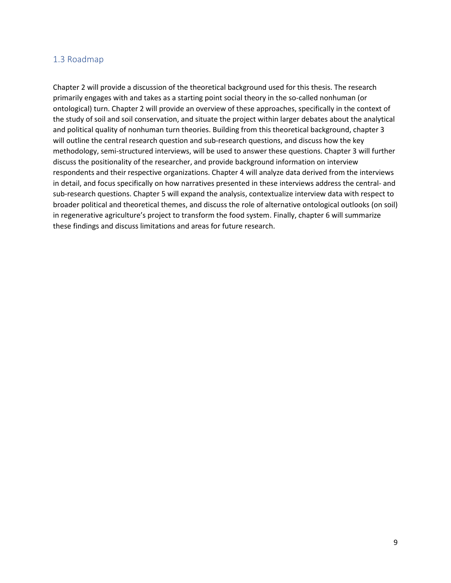#### <span id="page-9-0"></span>1.3 Roadmap

Chapter 2 will provide a discussion of the theoretical background used for this thesis. The research primarily engages with and takes as a starting point social theory in the so-called nonhuman (or ontological) turn. Chapter 2 will provide an overview of these approaches, specifically in the context of the study of soil and soil conservation, and situate the project within larger debates about the analytical and political quality of nonhuman turn theories. Building from this theoretical background, chapter 3 will outline the central research question and sub-research questions, and discuss how the key methodology, semi-structured interviews, will be used to answer these questions. Chapter 3 will further discuss the positionality of the researcher, and provide background information on interview respondents and their respective organizations. Chapter 4 will analyze data derived from the interviews in detail, and focus specifically on how narratives presented in these interviews address the central- and sub-research questions. Chapter 5 will expand the analysis, contextualize interview data with respect to broader political and theoretical themes, and discuss the role of alternative ontological outlooks (on soil) in regenerative agriculture's project to transform the food system. Finally, chapter 6 will summarize these findings and discuss limitations and areas for future research.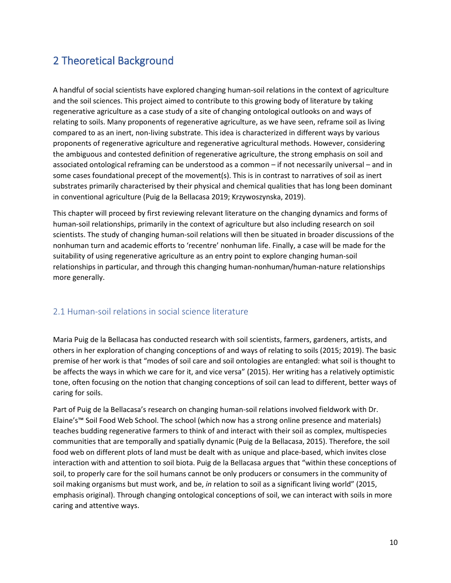# <span id="page-10-0"></span>2 Theoretical Background

A handful of social scientists have explored changing human-soil relations in the context of agriculture and the soil sciences. This project aimed to contribute to this growing body of literature by taking regenerative agriculture as a case study of a site of changing ontological outlooks on and ways of relating to soils. Many proponents of regenerative agriculture, as we have seen, reframe soil as living compared to as an inert, non-living substrate. This idea is characterized in different ways by various proponents of regenerative agriculture and regenerative agricultural methods. However, considering the ambiguous and contested definition of regenerative agriculture, the strong emphasis on soil and associated ontological reframing can be understood as a common – if not necessarily universal – and in some cases foundational precept of the movement(s). This is in contrast to narratives of soil as inert substrates primarily characterised by their physical and chemical qualities that has long been dominant in conventional agriculture (Puig de la Bellacasa 2019; Krzywoszynska, 2019).

This chapter will proceed by first reviewing relevant literature on the changing dynamics and forms of human-soil relationships, primarily in the context of agriculture but also including research on soil scientists. The study of changing human-soil relations will then be situated in broader discussions of the nonhuman turn and academic efforts to 'recentre' nonhuman life. Finally, a case will be made for the suitability of using regenerative agriculture as an entry point to explore changing human-soil relationships in particular, and through this changing human-nonhuman/human-nature relationships more generally.

### <span id="page-10-1"></span>2.1 Human-soil relations in social science literature

Maria Puig de la Bellacasa has conducted research with soil scientists, farmers, gardeners, artists, and others in her exploration of changing conceptions of and ways of relating to soils (2015; 2019). The basic premise of her work is that "modes of soil care and soil ontologies are entangled: what soil is thought to be affects the ways in which we care for it, and vice versa" (2015). Her writing has a relatively optimistic tone, often focusing on the notion that changing conceptions of soil can lead to different, better ways of caring for soils.

Part of Puig de la Bellacasa's research on changing human-soil relations involved fieldwork with Dr. Elaine's™ Soil Food Web School. The school (which now has a strong online presence and materials) teaches budding regenerative farmers to think of and interact with their soil as complex, multispecies communities that are temporally and spatially dynamic (Puig de la Bellacasa, 2015). Therefore, the soil food web on different plots of land must be dealt with as unique and place-based, which invites close interaction with and attention to soil biota. Puig de la Bellacasa argues that "within these conceptions of soil, to properly care for the soil humans cannot be only producers or consumers in the community of soil making organisms but must work, and be, *in* relation to soil as a significant living world" (2015, emphasis original). Through changing ontological conceptions of soil, we can interact with soils in more caring and attentive ways.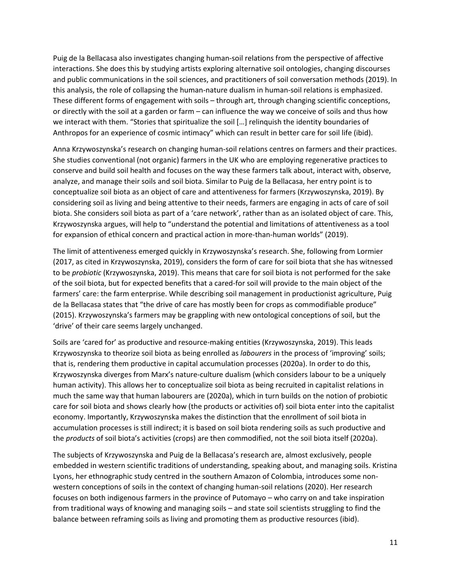Puig de la Bellacasa also investigates changing human-soil relations from the perspective of affective interactions. She does this by studying artists exploring alternative soil ontologies, changing discourses and public communications in the soil sciences, and practitioners of soil conversation methods (2019). In this analysis, the role of collapsing the human-nature dualism in human-soil relations is emphasized. These different forms of engagement with soils – through art, through changing scientific conceptions, or directly with the soil at a garden or farm – can influence the way we conceive of soils and thus how we interact with them. "Stories that spiritualize the soil […] relinquish the identity boundaries of Anthropos for an experience of cosmic intimacy" which can result in better care for soil life (ibid).

Anna Krzywoszynska's research on changing human-soil relations centres on farmers and their practices. She studies conventional (not organic) farmers in the UK who are employing regenerative practices to conserve and build soil health and focuses on the way these farmers talk about, interact with, observe, analyze, and manage their soils and soil biota. Similar to Puig de la Bellacasa, her entry point is to conceptualize soil biota as an object of care and attentiveness for farmers (Krzywoszynska, 2019). By considering soil as living and being attentive to their needs, farmers are engaging in acts of care of soil biota. She considers soil biota as part of a 'care network', rather than as an isolated object of care. This, Krzywoszynska argues, will help to "understand the potential and limitations of attentiveness as a tool for expansion of ethical concern and practical action in more-than-human worlds" (2019).

The limit of attentiveness emerged quickly in Krzywoszynska's research. She, following from Lormier (2017, as cited in Krzywoszynska, 2019), considers the form of care for soil biota that she has witnessed to be *probiotic* (Krzywoszynska, 2019). This means that care for soil biota is not performed for the sake of the soil biota, but for expected benefits that a cared-for soil will provide to the main object of the farmers' care: the farm enterprise. While describing soil management in productionist agriculture, Puig de la Bellacasa states that "the drive of care has mostly been for crops as commodifiable produce" (2015). Krzywoszynska's farmers may be grappling with new ontological conceptions of soil, but the 'drive' of their care seems largely unchanged.

Soils are 'cared for' as productive and resource-making entities (Krzywoszynska, 2019). This leads Krzywoszynska to theorize soil biota as being enrolled as *labourers* in the process of 'improving' soils; that is, rendering them productive in capital accumulation processes (2020a). In order to do this, Krzywoszynska diverges from Marx's nature-culture dualism (which considers labour to be a uniquely human activity). This allows her to conceptualize soil biota as being recruited in capitalist relations in much the same way that human labourers are (2020a), which in turn builds on the notion of probiotic care for soil biota and shows clearly how (the products or activities of) soil biota enter into the capitalist economy. Importantly, Krzywoszynska makes the distinction that the enrollment of soil biota in accumulation processes is still indirect; it is based on soil biota rendering soils as such productive and the *products* of soil biota's activities (crops) are then commodified, not the soil biota itself (2020a).

The subjects of Krzywoszynska and Puig de la Bellacasa's research are, almost exclusively, people embedded in western scientific traditions of understanding, speaking about, and managing soils. Kristina Lyons, her ethnographic study centred in the southern Amazon of Colombia, introduces some nonwestern conceptions of soils in the context of changing human-soil relations (2020). Her research focuses on both indigenous farmers in the province of Putomayo – who carry on and take inspiration from traditional ways of knowing and managing soils – and state soil scientists struggling to find the balance between reframing soils as living and promoting them as productive resources (ibid).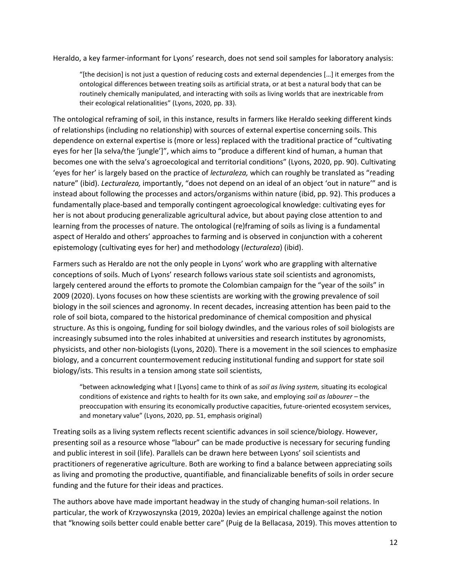Heraldo, a key farmer-informant for Lyons' research, does not send soil samples for laboratory analysis:

"[the decision] is not just a question of reducing costs and external dependencies […] it emerges from the ontological differences between treating soils as artificial strata, or at best a natural body that can be routinely chemically manipulated, and interacting with soils as living worlds that are inextricable from their ecological relationalities" (Lyons, 2020, pp. 33).

The ontological reframing of soil, in this instance, results in farmers like Heraldo seeking different kinds of relationships (including no relationship) with sources of external expertise concerning soils. This dependence on external expertise is (more or less) replaced with the traditional practice of "cultivating eyes for her [la selva/the 'jungle']", which aims to "produce a different kind of human, a human that becomes one with the selva's agroecological and territorial conditions" (Lyons, 2020, pp. 90). Cultivating 'eyes for her' is largely based on the practice of *lecturaleza,* which can roughly be translated as "reading nature" (ibid). *Lecturaleza,* importantly, "does not depend on an ideal of an object 'out in nature'" and is instead about following the processes and actors/organisms within nature (ibid, pp. 92). This produces a fundamentally place-based and temporally contingent agroecological knowledge: cultivating eyes for her is not about producing generalizable agricultural advice, but about paying close attention to and learning from the processes of nature. The ontological (re)framing of soils as living is a fundamental aspect of Heraldo and others' approaches to farming and is observed in conjunction with a coherent epistemology (cultivating eyes for her) and methodology (*lecturaleza*) (ibid).

Farmers such as Heraldo are not the only people in Lyons' work who are grappling with alternative conceptions of soils. Much of Lyons' research follows various state soil scientists and agronomists, largely centered around the efforts to promote the Colombian campaign for the "year of the soils" in 2009 (2020). Lyons focuses on how these scientists are working with the growing prevalence of soil biology in the soil sciences and agronomy. In recent decades, increasing attention has been paid to the role of soil biota, compared to the historical predominance of chemical composition and physical structure. As this is ongoing, funding for soil biology dwindles, and the various roles of soil biologists are increasingly subsumed into the roles inhabited at universities and research institutes by agronomists, physicists, and other non-biologists (Lyons, 2020). There is a movement in the soil sciences to emphasize biology, and a concurrent countermovement reducing institutional funding and support for state soil biology/ists. This results in a tension among state soil scientists,

"between acknowledging what I [Lyons] came to think of as *soil as living system,* situating its ecological conditions of existence and rights to health for its own sake, and employing *soil as labourer –* the preoccupation with ensuring its economically productive capacities, future-oriented ecosystem services, and monetary value" (Lyons, 2020, pp. 51, emphasis original)

Treating soils as a living system reflects recent scientific advances in soil science/biology. However, presenting soil as a resource whose "labour" can be made productive is necessary for securing funding and public interest in soil (life). Parallels can be drawn here between Lyons' soil scientists and practitioners of regenerative agriculture. Both are working to find a balance between appreciating soils as living and promoting the productive, quantifiable, and financializable benefits of soils in order secure funding and the future for their ideas and practices.

The authors above have made important headway in the study of changing human-soil relations. In particular, the work of Krzywoszynska (2019, 2020a) levies an empirical challenge against the notion that "knowing soils better could enable better care" (Puig de la Bellacasa, 2019). This moves attention to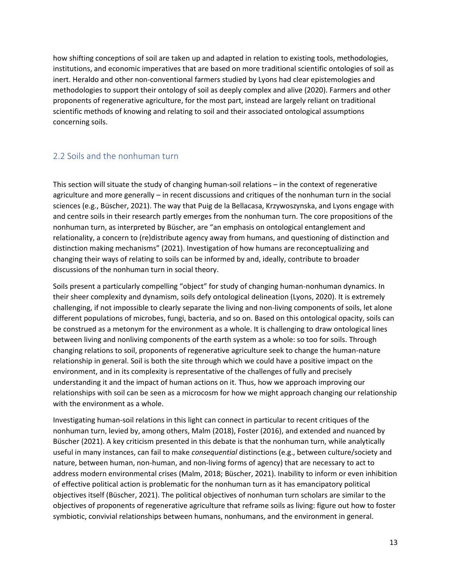how shifting conceptions of soil are taken up and adapted in relation to existing tools, methodologies, institutions, and economic imperatives that are based on more traditional scientific ontologies of soil as inert. Heraldo and other non-conventional farmers studied by Lyons had clear epistemologies and methodologies to support their ontology of soil as deeply complex and alive (2020). Farmers and other proponents of regenerative agriculture, for the most part, instead are largely reliant on traditional scientific methods of knowing and relating to soil and their associated ontological assumptions concerning soils.

### <span id="page-13-0"></span>2.2 Soils and the nonhuman turn

This section will situate the study of changing human-soil relations – in the context of regenerative agriculture and more generally – in recent discussions and critiques of the nonhuman turn in the social sciences (e.g., Büscher, 2021). The way that Puig de la Bellacasa, Krzywoszynska, and Lyons engage with and centre soils in their research partly emerges from the nonhuman turn. The core propositions of the nonhuman turn, as interpreted by Büscher, are "an emphasis on ontological entanglement and relationality, a concern to (re)distribute agency away from humans, and questioning of distinction and distinction making mechanisms" (2021). Investigation of how humans are reconceptualizing and changing their ways of relating to soils can be informed by and, ideally, contribute to broader discussions of the nonhuman turn in social theory.

Soils present a particularly compelling "object" for study of changing human-nonhuman dynamics. In their sheer complexity and dynamism, soils defy ontological delineation (Lyons, 2020). It is extremely challenging, if not impossible to clearly separate the living and non-living components of soils, let alone different populations of microbes, fungi, bacteria, and so on. Based on this ontological opacity, soils can be construed as a metonym for the environment as a whole. It is challenging to draw ontological lines between living and nonliving components of the earth system as a whole: so too for soils. Through changing relations to soil, proponents of regenerative agriculture seek to change the human-nature relationship in general. Soil is both the site through which we could have a positive impact on the environment, and in its complexity is representative of the challenges of fully and precisely understanding it and the impact of human actions on it. Thus, how we approach improving our relationships with soil can be seen as a microcosm for how we might approach changing our relationship with the environment as a whole.

Investigating human-soil relations in this light can connect in particular to recent critiques of the nonhuman turn, levied by, among others, Malm (2018), Foster (2016), and extended and nuanced by Büscher (2021). A key criticism presented in this debate is that the nonhuman turn, while analytically useful in many instances, can fail to make *consequential* distinctions (e.g., between culture/society and nature, between human, non-human, and non-living forms of agency) that are necessary to act to address modern environmental crises (Malm, 2018; Büscher, 2021). Inability to inform or even inhibition of effective political action is problematic for the nonhuman turn as it has emancipatory political objectives itself (Büscher, 2021). The political objectives of nonhuman turn scholars are similar to the objectives of proponents of regenerative agriculture that reframe soils as living: figure out how to foster symbiotic, convivial relationships between humans, nonhumans, and the environment in general.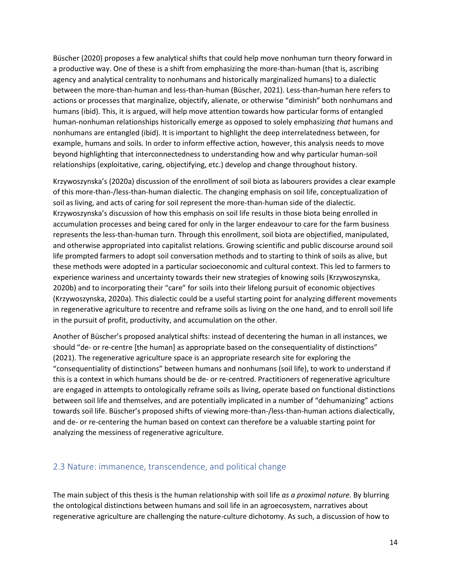Büscher (2020) proposes a few analytical shifts that could help move nonhuman turn theory forward in a productive way. One of these is a shift from emphasizing the more-than-human (that is, ascribing agency and analytical centrality to nonhumans and historically marginalized humans) to a dialectic between the more-than-human and less-than-human (Büscher, 2021). Less-than-human here refers to actions or processes that marginalize, objectify, alienate, or otherwise "diminish" both nonhumans and humans (ibid). This, it is argued, will help move attention towards how particular forms of entangled human-nonhuman relationships historically emerge as opposed to solely emphasizing *that* humans and nonhumans are entangled (ibid). It is important to highlight the deep interrelatedness between, for example, humans and soils. In order to inform effective action, however, this analysis needs to move beyond highlighting that interconnectedness to understanding how and why particular human-soil relationships (exploitative, caring, objectifying, etc.) develop and change throughout history.

Krzywoszynska's (2020a) discussion of the enrollment of soil biota as labourers provides a clear example of this more-than-/less-than-human dialectic. The changing emphasis on soil life, conceptualization of soil as living, and acts of caring for soil represent the more-than-human side of the dialectic. Krzywoszynska's discussion of how this emphasis on soil life results in those biota being enrolled in accumulation processes and being cared for only in the larger endeavour to care for the farm business represents the less-than-human turn. Through this enrollment, soil biota are objectified, manipulated, and otherwise appropriated into capitalist relations. Growing scientific and public discourse around soil life prompted farmers to adopt soil conversation methods and to starting to think of soils as alive, but these methods were adopted in a particular socioeconomic and cultural context. This led to farmers to experience wariness and uncertainty towards their new strategies of knowing soils (Krzywoszynska, 2020b) and to incorporating their "care" for soils into their lifelong pursuit of economic objectives (Krzywoszynska, 2020a). This dialectic could be a useful starting point for analyzing different movements in regenerative agriculture to recentre and reframe soils as living on the one hand, and to enroll soil life in the pursuit of profit, productivity, and accumulation on the other.

Another of Büscher's proposed analytical shifts: instead of decentering the human in all instances, we should "de- or re-centre [the human] as appropriate based on the consequentiality of distinctions" (2021). The regenerative agriculture space is an appropriate research site for exploring the "consequentiality of distinctions" between humans and nonhumans (soil life), to work to understand if this is a context in which humans should be de- or re-centred. Practitioners of regenerative agriculture are engaged in attempts to ontologically reframe soils as living, operate based on functional distinctions between soil life and themselves, and are potentially implicated in a number of "dehumanizing" actions towards soil life. Büscher's proposed shifts of viewing more-than-/less-than-human actions dialectically, and de- or re-centering the human based on context can therefore be a valuable starting point for analyzing the messiness of regenerative agriculture.

#### <span id="page-14-0"></span>2.3 Nature: immanence, transcendence, and political change

The main subject of this thesis is the human relationship with soil life *as a proximal nature.* By blurring the ontological distinctions between humans and soil life in an agroecosystem, narratives about regenerative agriculture are challenging the nature-culture dichotomy. As such, a discussion of how to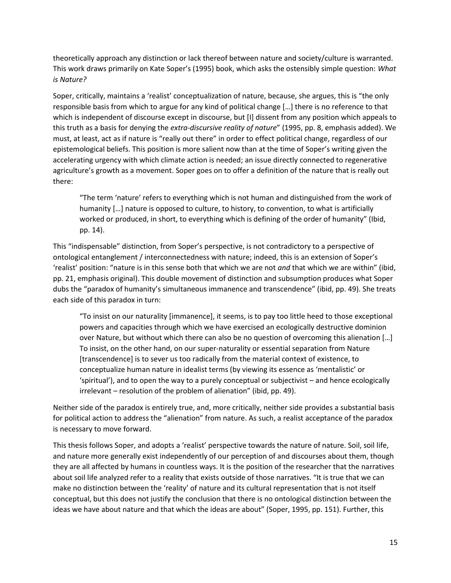theoretically approach any distinction or lack thereof between nature and society/culture is warranted. This work draws primarily on Kate Soper's (1995) book, which asks the ostensibly simple question: *What is Nature?* 

Soper, critically, maintains a 'realist' conceptualization of nature, because, she argues, this is "the only responsible basis from which to argue for any kind of political change […] there is no reference to that which is independent of discourse except in discourse, but [I] dissent from any position which appeals to this truth as a basis for denying the *extra-discursive reality of nature*" (1995, pp. 8, emphasis added). We must, at least, act as if nature is "really out there" in order to effect political change, regardless of our epistemological beliefs. This position is more salient now than at the time of Soper's writing given the accelerating urgency with which climate action is needed; an issue directly connected to regenerative agriculture's growth as a movement. Soper goes on to offer a definition of the nature that is really out there:

"The term 'nature' refers to everything which is not human and distinguished from the work of humanity [...] nature is opposed to culture, to history, to convention, to what is artificially worked or produced, in short, to everything which is defining of the order of humanity" (Ibid, pp. 14).

This "indispensable" distinction, from Soper's perspective, is not contradictory to a perspective of ontological entanglement / interconnectedness with nature; indeed, this is an extension of Soper's 'realist' position: "nature is in this sense both that which we are not *and* that which we are within" (ibid, pp. 21, emphasis original). This double movement of distinction and subsumption produces what Soper dubs the "paradox of humanity's simultaneous immanence and transcendence" (ibid, pp. 49). She treats each side of this paradox in turn:

"To insist on our naturality [immanence], it seems, is to pay too little heed to those exceptional powers and capacities through which we have exercised an ecologically destructive dominion over Nature, but without which there can also be no question of overcoming this alienation […] To insist, on the other hand, on our super-naturality or essential separation from Nature [transcendence] is to sever us too radically from the material context of existence, to conceptualize human nature in idealist terms (by viewing its essence as 'mentalistic' or 'spiritual'), and to open the way to a purely conceptual or subjectivist – and hence ecologically irrelevant – resolution of the problem of alienation" (ibid, pp. 49).

Neither side of the paradox is entirely true, and, more critically, neither side provides a substantial basis for political action to address the "alienation" from nature. As such, a realist acceptance of the paradox is necessary to move forward.

This thesis follows Soper, and adopts a 'realist' perspective towards the nature of nature. Soil, soil life, and nature more generally exist independently of our perception of and discourses about them, though they are all affected by humans in countless ways. It is the position of the researcher that the narratives about soil life analyzed refer to a reality that exists outside of those narratives. "It is true that we can make no distinction between the 'reality' of nature and its cultural representation that is not itself conceptual, but this does not justify the conclusion that there is no ontological distinction between the ideas we have about nature and that which the ideas are about" (Soper, 1995, pp. 151). Further, this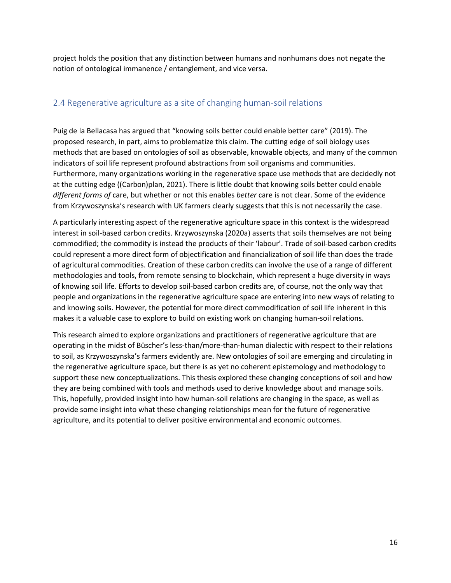project holds the position that any distinction between humans and nonhumans does not negate the notion of ontological immanence / entanglement, and vice versa.

### <span id="page-16-0"></span>2.4 Regenerative agriculture as a site of changing human-soil relations

Puig de la Bellacasa has argued that "knowing soils better could enable better care" (2019). The proposed research, in part, aims to problematize this claim. The cutting edge of soil biology uses methods that are based on ontologies of soil as observable, knowable objects, and many of the common indicators of soil life represent profound abstractions from soil organisms and communities. Furthermore, many organizations working in the regenerative space use methods that are decidedly not at the cutting edge ((Carbon)plan, 2021). There is little doubt that knowing soils better could enable *different forms of* care, but whether or not this enables *better* care is not clear. Some of the evidence from Krzywoszynska's research with UK farmers clearly suggests that this is not necessarily the case.

A particularly interesting aspect of the regenerative agriculture space in this context is the widespread interest in soil-based carbon credits. Krzywoszynska (2020a) asserts that soils themselves are not being commodified; the commodity is instead the products of their 'labour'. Trade of soil-based carbon credits could represent a more direct form of objectification and financialization of soil life than does the trade of agricultural commodities. Creation of these carbon credits can involve the use of a range of different methodologies and tools, from remote sensing to blockchain, which represent a huge diversity in ways of knowing soil life. Efforts to develop soil-based carbon credits are, of course, not the only way that people and organizations in the regenerative agriculture space are entering into new ways of relating to and knowing soils. However, the potential for more direct commodification of soil life inherent in this makes it a valuable case to explore to build on existing work on changing human-soil relations.

This research aimed to explore organizations and practitioners of regenerative agriculture that are operating in the midst of Büscher's less-than/more-than-human dialectic with respect to their relations to soil, as Krzywoszynska's farmers evidently are. New ontologies of soil are emerging and circulating in the regenerative agriculture space, but there is as yet no coherent epistemology and methodology to support these new conceptualizations. This thesis explored these changing conceptions of soil and how they are being combined with tools and methods used to derive knowledge about and manage soils. This, hopefully, provided insight into how human-soil relations are changing in the space, as well as provide some insight into what these changing relationships mean for the future of regenerative agriculture, and its potential to deliver positive environmental and economic outcomes.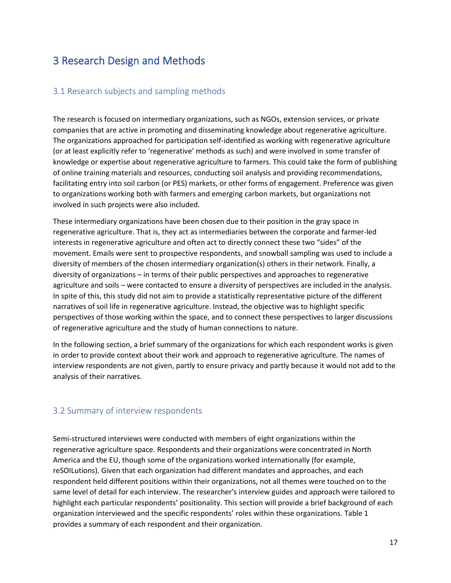# <span id="page-17-0"></span>3 Research Design and Methods

#### <span id="page-17-1"></span>3.1 Research subjects and sampling methods

The research is focused on intermediary organizations, such as NGOs, extension services, or private companies that are active in promoting and disseminating knowledge about regenerative agriculture. The organizations approached for participation self-identified as working with regenerative agriculture (or at least explicitly refer to 'regenerative' methods as such) and were involved in some transfer of knowledge or expertise about regenerative agriculture to farmers. This could take the form of publishing of online training materials and resources, conducting soil analysis and providing recommendations, facilitating entry into soil carbon (or PES) markets, or other forms of engagement. Preference was given to organizations working both with farmers and emerging carbon markets, but organizations not involved in such projects were also included.

These intermediary organizations have been chosen due to their position in the gray space in regenerative agriculture. That is, they act as intermediaries between the corporate and farmer-led interests in regenerative agriculture and often act to directly connect these two "sides" of the movement. Emails were sent to prospective respondents, and snowball sampling was used to include a diversity of members of the chosen intermediary organization(s) others in their network. Finally, a diversity of organizations – in terms of their public perspectives and approaches to regenerative agriculture and soils – were contacted to ensure a diversity of perspectives are included in the analysis. In spite of this, this study did not aim to provide a statistically representative picture of the different narratives of soil life in regenerative agriculture. Instead, the objective was to highlight specific perspectives of those working within the space, and to connect these perspectives to larger discussions of regenerative agriculture and the study of human connections to nature.

In the following section, a brief summary of the organizations for which each respondent works is given in order to provide context about their work and approach to regenerative agriculture. The names of interview respondents are not given, partly to ensure privacy and partly because it would not add to the analysis of their narratives.

### <span id="page-17-2"></span>3.2 Summary of interview respondents

Semi-structured interviews were conducted with members of eight organizations within the regenerative agriculture space. Respondents and their organizations were concentrated in North America and the EU, though some of the organizations worked internationally (for example, reSOILutions). Given that each organization had different mandates and approaches, and each respondent held different positions within their organizations, not all themes were touched on to the same level of detail for each interview. The researcher's interview guides and approach were tailored to highlight each particular respondents' positionality. This section will provide a brief background of each organization interviewed and the specific respondents' roles within these organizations. Table 1 provides a summary of each respondent and their organization.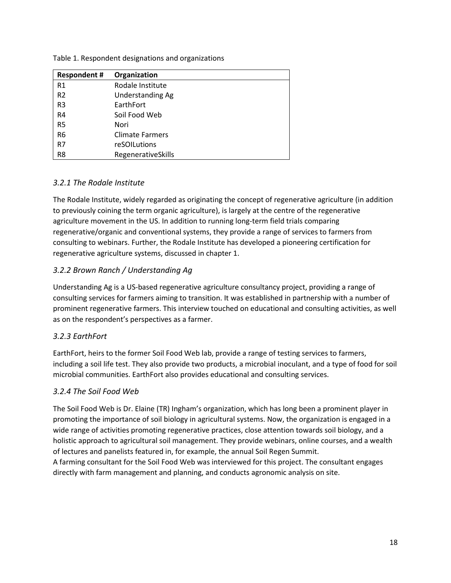| <b>Respondent#</b> | Organization           |
|--------------------|------------------------|
| R1                 | Rodale Institute       |
| R <sub>2</sub>     | Understanding Ag       |
| R <sub>3</sub>     | EarthFort              |
| R <sub>4</sub>     | Soil Food Web          |
| R <sub>5</sub>     | Nori                   |
| R <sub>6</sub>     | <b>Climate Farmers</b> |
| R7                 | reSOILutions           |
| R <sub>8</sub>     | RegenerativeSkills     |

Table 1. Respondent designations and organizations

#### *3.2.1 The Rodale Institute*

The Rodale Institute, widely regarded as originating the concept of regenerative agriculture (in addition to previously coining the term organic agriculture), is largely at the centre of the regenerative agriculture movement in the US. In addition to running long-term field trials comparing regenerative/organic and conventional systems, they provide a range of services to farmers from consulting to webinars. Further, the Rodale Institute has developed a pioneering certification for regenerative agriculture systems, discussed in chapter 1.

### *3.2.2 Brown Ranch / Understanding Ag*

Understanding Ag is a US-based regenerative agriculture consultancy project, providing a range of consulting services for farmers aiming to transition. It was established in partnership with a number of prominent regenerative farmers. This interview touched on educational and consulting activities, as well as on the respondent's perspectives as a farmer.

#### *3.2.3 EarthFort*

EarthFort, heirs to the former Soil Food Web lab, provide a range of testing services to farmers, including a soil life test. They also provide two products, a microbial inoculant, and a type of food for soil microbial communities. EarthFort also provides educational and consulting services.

#### *3.2.4 The Soil Food Web*

The Soil Food Web is Dr. Elaine (TR) Ingham's organization, which has long been a prominent player in promoting the importance of soil biology in agricultural systems. Now, the organization is engaged in a wide range of activities promoting regenerative practices, close attention towards soil biology, and a holistic approach to agricultural soil management. They provide webinars, online courses, and a wealth of lectures and panelists featured in, for example, the annual Soil Regen Summit.

A farming consultant for the Soil Food Web was interviewed for this project. The consultant engages directly with farm management and planning, and conducts agronomic analysis on site.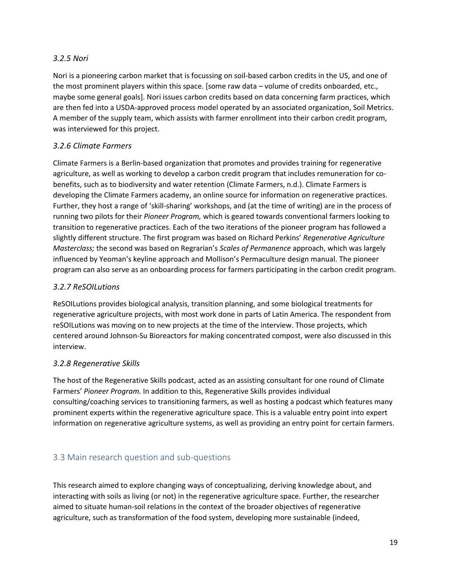#### *3.2.5 Nori*

Nori is a pioneering carbon market that is focussing on soil-based carbon credits in the US, and one of the most prominent players within this space. [some raw data – volume of credits onboarded, etc., maybe some general goals]. Nori issues carbon credits based on data concerning farm practices, which are then fed into a USDA-approved process model operated by an associated organization, Soil Metrics. A member of the supply team, which assists with farmer enrollment into their carbon credit program, was interviewed for this project.

### *3.2.6 Climate Farmers*

Climate Farmers is a Berlin-based organization that promotes and provides training for regenerative agriculture, as well as working to develop a carbon credit program that includes remuneration for cobenefits, such as to biodiversity and water retention (Climate Farmers, n.d.). Climate Farmers is developing the Climate Farmers academy, an online source for information on regenerative practices. Further, they host a range of 'skill-sharing' workshops, and (at the time of writing) are in the process of running two pilots for their *Pioneer Program,* which is geared towards conventional farmers looking to transition to regenerative practices. Each of the two iterations of the pioneer program has followed a slightly different structure. The first program was based on Richard Perkins' *Regenerative Agriculture Masterclass;* the second was based on Regrarian's *Scales of Permanence* approach, which was largely influenced by Yeoman's keyline approach and Mollison's Permaculture design manual. The pioneer program can also serve as an onboarding process for farmers participating in the carbon credit program.

### *3.2.7 ReSOILutions*

ReSOILutions provides biological analysis, transition planning, and some biological treatments for regenerative agriculture projects, with most work done in parts of Latin America. The respondent from reSOILutions was moving on to new projects at the time of the interview. Those projects, which centered around Johnson-Su Bioreactors for making concentrated compost, were also discussed in this interview.

### *3.2.8 Regenerative Skills*

The host of the Regenerative Skills podcast, acted as an assisting consultant for one round of Climate Farmers' *Pioneer Program.* In addition to this, Regenerative Skills provides individual consulting/coaching services to transitioning farmers, as well as hosting a podcast which features many prominent experts within the regenerative agriculture space. This is a valuable entry point into expert information on regenerative agriculture systems, as well as providing an entry point for certain farmers.

## <span id="page-19-0"></span>3.3 Main research question and sub-questions

This research aimed to explore changing ways of conceptualizing, deriving knowledge about, and interacting with soils as living (or not) in the regenerative agriculture space. Further, the researcher aimed to situate human-soil relations in the context of the broader objectives of regenerative agriculture, such as transformation of the food system, developing more sustainable (indeed,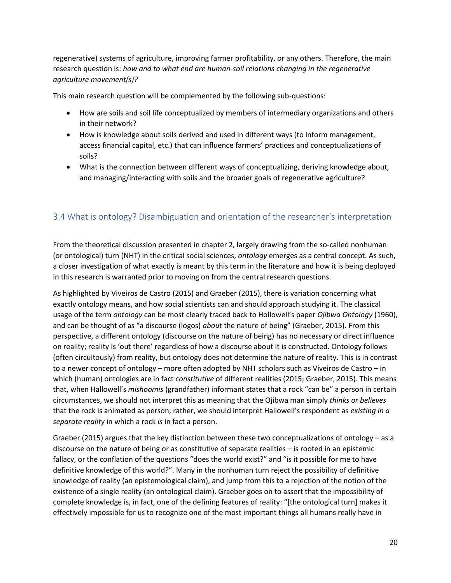regenerative) systems of agriculture, improving farmer profitability, or any others. Therefore, the main research question is: *how and to what end are human-soil relations changing in the regenerative agriculture movement(s)?* 

This main research question will be complemented by the following sub-questions:

- How are soils and soil life conceptualized by members of intermediary organizations and others in their network?
- How is knowledge about soils derived and used in different ways (to inform management, access financial capital, etc.) that can influence farmers' practices and conceptualizations of soils?
- What is the connection between different ways of conceptualizing, deriving knowledge about, and managing/interacting with soils and the broader goals of regenerative agriculture?

### <span id="page-20-0"></span>3.4 What is ontology? Disambiguation and orientation of the researcher's interpretation

From the theoretical discussion presented in chapter 2, largely drawing from the so-called nonhuman (or ontological) turn (NHT) in the critical social sciences, *ontology* emerges as a central concept. As such, a closer investigation of what exactly is meant by this term in the literature and how it is being deployed in this research is warranted prior to moving on from the central research questions.

As highlighted by Viveiros de Castro (2015) and Graeber (2015), there is variation concerning what exactly ontology means, and how social scientists can and should approach studying it. The classical usage of the term *ontology* can be most clearly traced back to Hollowell's paper *Ojibwa Ontology* (1960), and can be thought of as "a discourse (logos) *about* the nature of being" (Graeber, 2015). From this perspective, a different ontology (discourse on the nature of being) has no necessary or direct influence on reality; reality is 'out there' regardless of how a discourse about it is constructed. Ontology follows (often circuitously) from reality, but ontology does not determine the nature of reality. This is in contrast to a newer concept of ontology – more often adopted by NHT scholars such as Viveiros de Castro – in which (human) ontologies are in fact *constitutive* of different realities (2015; Graeber, 2015). This means that, when Hallowell's *mishoomis* (grandfather) informant states that a rock "can be" a person in certain circumstances, we should not interpret this as meaning that the Ojibwa man simply *thinks or believes*  that the rock is animated as person; rather, we should interpret Hallowell's respondent as *existing in a separate reality* in which a rock *is* in fact a person.

Graeber (2015) argues that the key distinction between these two conceptualizations of ontology – as a discourse on the nature of being or as constitutive of separate realities – is rooted in an epistemic fallacy, or the conflation of the questions "does the world exist?" and "is it possible for me to have definitive knowledge of this world?". Many in the nonhuman turn reject the possibility of definitive knowledge of reality (an epistemological claim), and jump from this to a rejection of the notion of the existence of a single reality (an ontological claim). Graeber goes on to assert that the impossibility of complete knowledge is, in fact, one of the defining features of reality: "[the ontological turn] makes it effectively impossible for us to recognize one of the most important things all humans really have in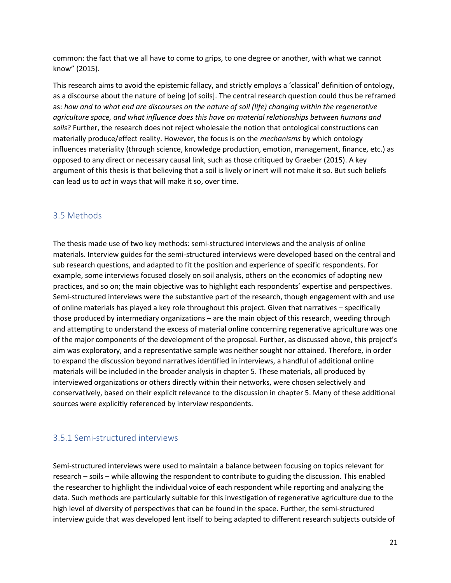common: the fact that we all have to come to grips, to one degree or another, with what we cannot know" (2015).

This research aims to avoid the epistemic fallacy, and strictly employs a 'classical' definition of ontology, as a discourse about the nature of being [of soils]. The central research question could thus be reframed as: *how and to what end are discourses on the nature of soil (life) changing within the regenerative agriculture space, and what influence does this have on material relationships between humans and soils*? Further, the research does not reject wholesale the notion that ontological constructions can materially produce/effect reality. However, the focus is on the *mechanisms* by which ontology influences materiality (through science, knowledge production, emotion, management, finance, etc.) as opposed to any direct or necessary causal link, such as those critiqued by Graeber (2015). A key argument of this thesis is that believing that a soil is lively or inert will not make it so. But such beliefs can lead us to *act* in ways that will make it so, over time.

### <span id="page-21-0"></span>3.5 Methods

The thesis made use of two key methods: semi-structured interviews and the analysis of online materials. Interview guides for the semi-structured interviews were developed based on the central and sub research questions, and adapted to fit the position and experience of specific respondents. For example, some interviews focused closely on soil analysis, others on the economics of adopting new practices, and so on; the main objective was to highlight each respondents' expertise and perspectives. Semi-structured interviews were the substantive part of the research, though engagement with and use of online materials has played a key role throughout this project. Given that narratives – specifically those produced by intermediary organizations – are the main object of this research, weeding through and attempting to understand the excess of material online concerning regenerative agriculture was one of the major components of the development of the proposal. Further, as discussed above, this project's aim was exploratory, and a representative sample was neither sought nor attained. Therefore, in order to expand the discussion beyond narratives identified in interviews, a handful of additional online materials will be included in the broader analysis in chapter 5. These materials, all produced by interviewed organizations or others directly within their networks, were chosen selectively and conservatively, based on their explicit relevance to the discussion in chapter 5. Many of these additional sources were explicitly referenced by interview respondents.

### <span id="page-21-1"></span>3.5.1 Semi-structured interviews

Semi-structured interviews were used to maintain a balance between focusing on topics relevant for research – soils – while allowing the respondent to contribute to guiding the discussion. This enabled the researcher to highlight the individual voice of each respondent while reporting and analyzing the data. Such methods are particularly suitable for this investigation of regenerative agriculture due to the high level of diversity of perspectives that can be found in the space. Further, the semi-structured interview guide that was developed lent itself to being adapted to different research subjects outside of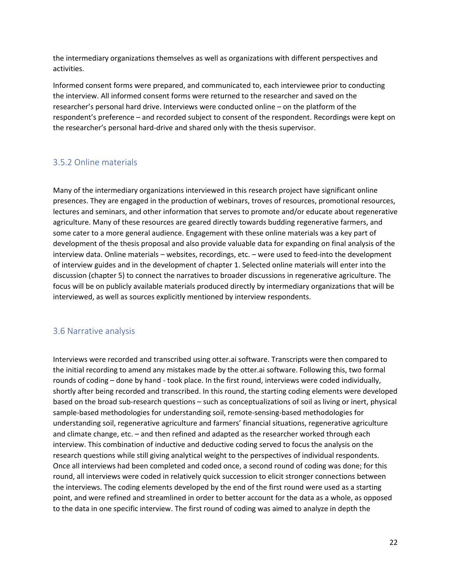the intermediary organizations themselves as well as organizations with different perspectives and activities.

Informed consent forms were prepared, and communicated to, each interviewee prior to conducting the interview. All informed consent forms were returned to the researcher and saved on the researcher's personal hard drive. Interviews were conducted online – on the platform of the respondent's preference – and recorded subject to consent of the respondent. Recordings were kept on the researcher's personal hard-drive and shared only with the thesis supervisor.

### <span id="page-22-0"></span>3.5.2 Online materials

Many of the intermediary organizations interviewed in this research project have significant online presences. They are engaged in the production of webinars, troves of resources, promotional resources, lectures and seminars, and other information that serves to promote and/or educate about regenerative agriculture. Many of these resources are geared directly towards budding regenerative farmers, and some cater to a more general audience. Engagement with these online materials was a key part of development of the thesis proposal and also provide valuable data for expanding on final analysis of the interview data. Online materials – websites, recordings, etc. – were used to feed-into the development of interview guides and in the development of chapter 1. Selected online materials will enter into the discussion (chapter 5) to connect the narratives to broader discussions in regenerative agriculture. The focus will be on publicly available materials produced directly by intermediary organizations that will be interviewed, as well as sources explicitly mentioned by interview respondents.

### <span id="page-22-1"></span>3.6 Narrative analysis

Interviews were recorded and transcribed using otter.ai software. Transcripts were then compared to the initial recording to amend any mistakes made by the otter.ai software. Following this, two formal rounds of coding – done by hand - took place. In the first round, interviews were coded individually, shortly after being recorded and transcribed. In this round, the starting coding elements were developed based on the broad sub-research questions – such as conceptualizations of soil as living or inert, physical sample-based methodologies for understanding soil, remote-sensing-based methodologies for understanding soil, regenerative agriculture and farmers' financial situations, regenerative agriculture and climate change, etc. – and then refined and adapted as the researcher worked through each interview. This combination of inductive and deductive coding served to focus the analysis on the research questions while still giving analytical weight to the perspectives of individual respondents. Once all interviews had been completed and coded once, a second round of coding was done; for this round, all interviews were coded in relatively quick succession to elicit stronger connections between the interviews. The coding elements developed by the end of the first round were used as a starting point, and were refined and streamlined in order to better account for the data as a whole, as opposed to the data in one specific interview. The first round of coding was aimed to analyze in depth the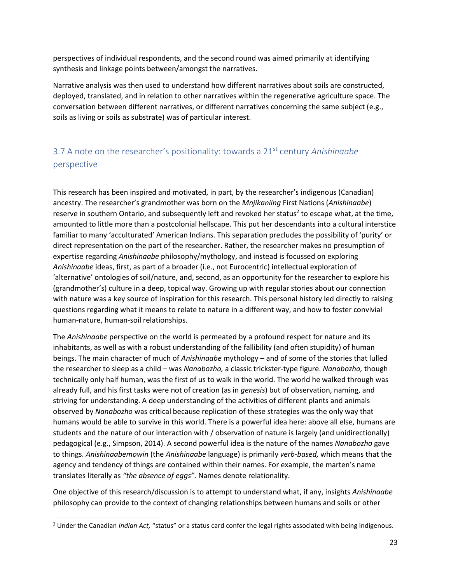perspectives of individual respondents, and the second round was aimed primarily at identifying synthesis and linkage points between/amongst the narratives.

Narrative analysis was then used to understand how different narratives about soils are constructed, deployed, translated, and in relation to other narratives within the regenerative agriculture space. The conversation between different narratives, or different narratives concerning the same subject (e.g., soils as living or soils as substrate) was of particular interest.

# <span id="page-23-0"></span>3.7 A note on the researcher's positionality: towards a 21st century *Anishinaabe*  perspective

This research has been inspired and motivated, in part, by the researcher's indigenous (Canadian) ancestry. The researcher's grandmother was born on the *Mnjikaniing* First Nations (*Anishinaabe*) reserve in southern Ontario, and subsequently left and revoked her status<sup>2</sup> to escape what, at the time, amounted to little more than a postcolonial hellscape. This put her descendants into a cultural interstice familiar to many 'acculturated' American Indians. This separation precludes the possibility of 'purity' or direct representation on the part of the researcher. Rather, the researcher makes no presumption of expertise regarding *Anishinaabe* philosophy/mythology, and instead is focussed on exploring *Anishinaabe* ideas, first, as part of a broader (i.e., not Eurocentric) intellectual exploration of 'alternative' ontologies of soil/nature, and, second, as an opportunity for the researcher to explore his (grandmother's) culture in a deep, topical way. Growing up with regular stories about our connection with nature was a key source of inspiration for this research. This personal history led directly to raising questions regarding what it means to relate to nature in a different way, and how to foster convivial human-nature, human-soil relationships.

The *Anishinaabe* perspective on the world is permeated by a profound respect for nature and its inhabitants, as well as with a robust understanding of the fallibility (and often stupidity) of human beings. The main character of much of *Anishinaabe* mythology – and of some of the stories that lulled the researcher to sleep as a child – was *Nanabozho,* a classic trickster-type figure. *Nanabozho,* though technically only half human, was the first of us to walk in the world. The world he walked through was already full, and his first tasks were not of creation (as in *genesis*) but of observation, naming, and striving for understanding. A deep understanding of the activities of different plants and animals observed by *Nanabozho* was critical because replication of these strategies was the only way that humans would be able to survive in this world. There is a powerful idea here: above all else, humans are students and the nature of our interaction with / observation of nature is largely (and unidirectionally) pedagogical (e.g., Simpson, 2014). A second powerful idea is the nature of the names *Nanabozho* gave to things. *Anishinaabemowin* (the *Anishinaabe* language) is primarily *verb-based,* which means that the agency and tendency of things are contained within their names. For example, the marten's name translates literally as *"the absence of eggs".* Names denote relationality.

One objective of this research/discussion is to attempt to understand what, if any, insights *Anishinaabe*  philosophy can provide to the context of changing relationships between humans and soils or other

<sup>&</sup>lt;sup>2</sup> Under the Canadian *Indian Act,* "status" or a status card confer the legal rights associated with being indigenous.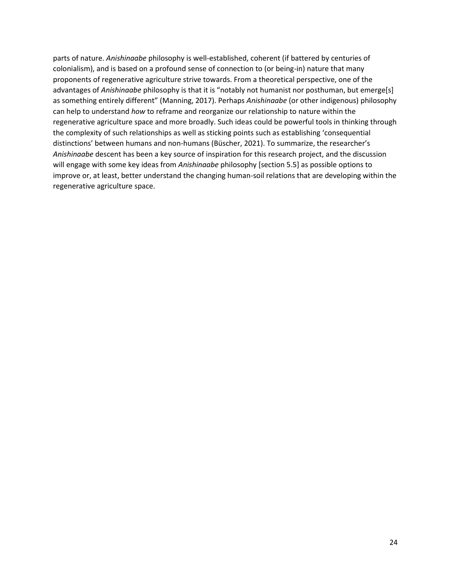parts of nature. *Anishinaabe* philosophy is well-established, coherent (if battered by centuries of colonialism), and is based on a profound sense of connection to (or being-in) nature that many proponents of regenerative agriculture strive towards. From a theoretical perspective, one of the advantages of *Anishinaabe* philosophy is that it is "notably not humanist nor posthuman, but emerge[s] as something entirely different" (Manning, 2017). Perhaps *Anishinaabe* (or other indigenous) philosophy can help to understand *how* to reframe and reorganize our relationship to nature within the regenerative agriculture space and more broadly. Such ideas could be powerful tools in thinking through the complexity of such relationships as well as sticking points such as establishing 'consequential distinctions' between humans and non-humans (Büscher, 2021). To summarize, the researcher's *Anishinaabe* descent has been a key source of inspiration for this research project, and the discussion will engage with some key ideas from *Anishinaabe* philosophy [section 5.5] as possible options to improve or, at least, better understand the changing human-soil relations that are developing within the regenerative agriculture space.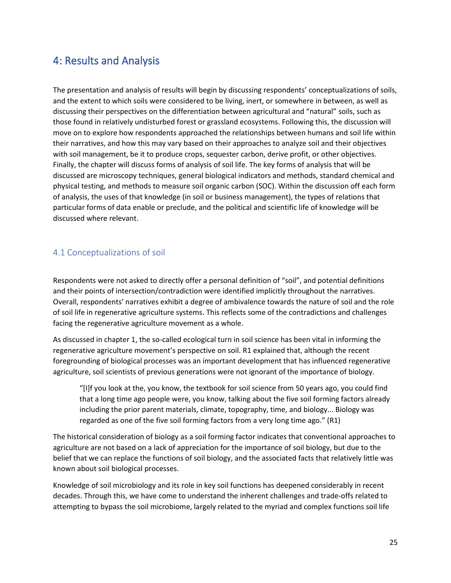# <span id="page-25-0"></span>4: Results and Analysis

The presentation and analysis of results will begin by discussing respondents' conceptualizations of soils, and the extent to which soils were considered to be living, inert, or somewhere in between, as well as discussing their perspectives on the differentiation between agricultural and "natural" soils, such as those found in relatively undisturbed forest or grassland ecosystems. Following this, the discussion will move on to explore how respondents approached the relationships between humans and soil life within their narratives, and how this may vary based on their approaches to analyze soil and their objectives with soil management, be it to produce crops, sequester carbon, derive profit, or other objectives. Finally, the chapter will discuss forms of analysis of soil life. The key forms of analysis that will be discussed are microscopy techniques, general biological indicators and methods, standard chemical and physical testing, and methods to measure soil organic carbon (SOC). Within the discussion off each form of analysis, the uses of that knowledge (in soil or business management), the types of relations that particular forms of data enable or preclude, and the political and scientific life of knowledge will be discussed where relevant.

### <span id="page-25-1"></span>4.1 Conceptualizations of soil

Respondents were not asked to directly offer a personal definition of "soil", and potential definitions and their points of intersection/contradiction were identified implicitly throughout the narratives. Overall, respondents' narratives exhibit a degree of ambivalence towards the nature of soil and the role of soil life in regenerative agriculture systems. This reflects some of the contradictions and challenges facing the regenerative agriculture movement as a whole.

As discussed in chapter 1, the so-called ecological turn in soil science has been vital in informing the regenerative agriculture movement's perspective on soil. R1 explained that, although the recent foregrounding of biological processes was an important development that has influenced regenerative agriculture, soil scientists of previous generations were not ignorant of the importance of biology.

"[I]f you look at the, you know, the textbook for soil science from 50 years ago, you could find that a long time ago people were, you know, talking about the five soil forming factors already including the prior parent materials, climate, topography, time, and biology... Biology was regarded as one of the five soil forming factors from a very long time ago." (R1)

The historical consideration of biology as a soil forming factor indicates that conventional approaches to agriculture are not based on a lack of appreciation for the importance of soil biology, but due to the belief that we can replace the functions of soil biology, and the associated facts that relatively little was known about soil biological processes.

Knowledge of soil microbiology and its role in key soil functions has deepened considerably in recent decades. Through this, we have come to understand the inherent challenges and trade-offs related to attempting to bypass the soil microbiome, largely related to the myriad and complex functions soil life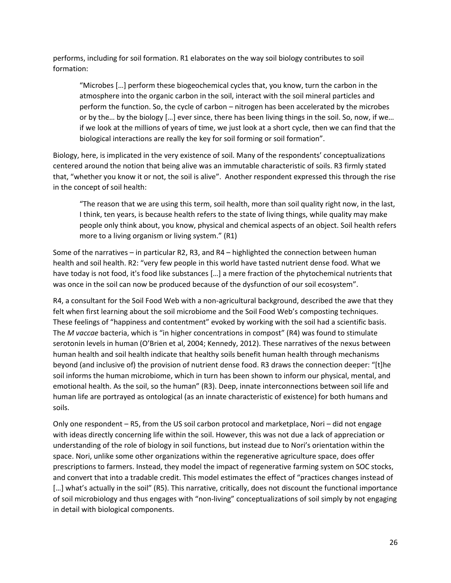performs, including for soil formation. R1 elaborates on the way soil biology contributes to soil formation:

"Microbes […] perform these biogeochemical cycles that, you know, turn the carbon in the atmosphere into the organic carbon in the soil, interact with the soil mineral particles and perform the function. So, the cycle of carbon – nitrogen has been accelerated by the microbes or by the… by the biology […] ever since, there has been living things in the soil. So, now, if we… if we look at the millions of years of time, we just look at a short cycle, then we can find that the biological interactions are really the key for soil forming or soil formation".

Biology, here, is implicated in the very existence of soil. Many of the respondents' conceptualizations centered around the notion that being alive was an immutable characteristic of soils. R3 firmly stated that, "whether you know it or not, the soil is alive". Another respondent expressed this through the rise in the concept of soil health:

"The reason that we are using this term, soil health, more than soil quality right now, in the last, I think, ten years, is because health refers to the state of living things, while quality may make people only think about, you know, physical and chemical aspects of an object. Soil health refers more to a living organism or living system." (R1)

Some of the narratives – in particular R2, R3, and R4 – highlighted the connection between human health and soil health. R2: "very few people in this world have tasted nutrient dense food. What we have today is not food, it's food like substances […] a mere fraction of the phytochemical nutrients that was once in the soil can now be produced because of the dysfunction of our soil ecosystem".

R4, a consultant for the Soil Food Web with a non-agricultural background, described the awe that they felt when first learning about the soil microbiome and the Soil Food Web's composting techniques. These feelings of "happiness and contentment" evoked by working with the soil had a scientific basis. The *M vaccae* bacteria, which is "in higher concentrations in compost" (R4) was found to stimulate serotonin levels in human (O'Brien et al, 2004; Kennedy, 2012). These narratives of the nexus between human health and soil health indicate that healthy soils benefit human health through mechanisms beyond (and inclusive of) the provision of nutrient dense food. R3 draws the connection deeper: "[t]he soil informs the human microbiome, which in turn has been shown to inform our physical, mental, and emotional health. As the soil, so the human" (R3). Deep, innate interconnections between soil life and human life are portrayed as ontological (as an innate characteristic of existence) for both humans and soils.

Only one respondent – R5, from the US soil carbon protocol and marketplace, Nori – did not engage with ideas directly concerning life within the soil. However, this was not due a lack of appreciation or understanding of the role of biology in soil functions, but instead due to Nori's orientation within the space. Nori, unlike some other organizations within the regenerative agriculture space, does offer prescriptions to farmers. Instead, they model the impact of regenerative farming system on SOC stocks, and convert that into a tradable credit. This model estimates the effect of "practices changes instead of [...] what's actually in the soil" (R5). This narrative, critically, does not discount the functional importance of soil microbiology and thus engages with "non-living" conceptualizations of soil simply by not engaging in detail with biological components.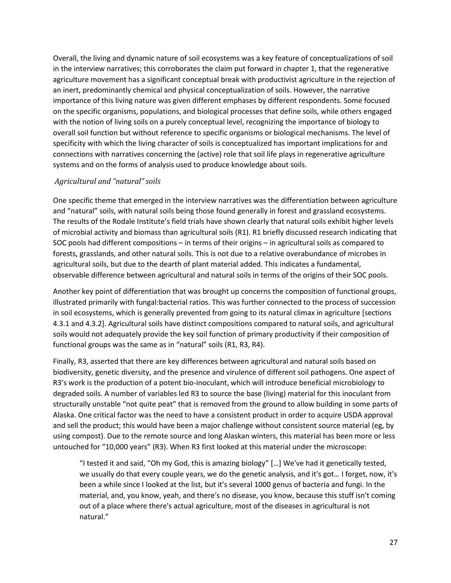Overall, the living and dynamic nature of soil ecosystems was a key feature of conceptualizations of soil in the interview narratives; this corroborates the claim put forward in chapter 1, that the regenerative agriculture movement has a significant conceptual break with productivist agriculture in the rejection of an inert, predominantly chemical and physical conceptualization of soils. However, the narrative importance of this living nature was given different emphases by different respondents. Some focused on the specific organisms, populations, and biological processes that define soils, while others engaged with the notion of living soils on a purely conceptual level, recognizing the importance of biology to overall soil function but without reference to specific organisms or biological mechanisms. The level of specificity with which the living character of soils is conceptualized has important implications for and connections with narratives concerning the (active) role that soil life plays in regenerative agriculture systems and on the forms of analysis used to produce knowledge about soils.

#### *Agricultural and "natural" soils*

One specific theme that emerged in the interview narratives was the differentiation between agriculture and "natural" soils, with natural soils being those found generally in forest and grassland ecosystems. The results of the Rodale Institute's field trials have shown clearly that natural soils exhibit higher levels of microbial activity and biomass than agricultural soils (R1). R1 briefly discussed research indicating that SOC pools had different compositions – in terms of their origins – in agricultural soils as compared to forests, grasslands, and other natural soils. This is not due to a relative overabundance of microbes in agricultural soils, but due to the dearth of plant material added. This indicates a fundamental, observable difference between agricultural and natural soils in terms of the origins of their SOC pools.

Another key point of differentiation that was brought up concerns the composition of functional groups, illustrated primarily with fungal:bacterial ratios. This was further connected to the process of succession in soil ecosystems, which is generally prevented from going to its natural climax in agriculture [sections 4.3.1 and 4.3.2]. Agricultural soils have distinct compositions compared to natural soils, and agricultural soils would not adequately provide the key soil function of primary productivity if their composition of functional groups was the same as in "natural" soils (R1, R3, R4).

Finally, R3, asserted that there are key differences between agricultural and natural soils based on biodiversity, genetic diversity, and the presence and virulence of different soil pathogens. One aspect of R3's work is the production of a potent bio-inoculant, which will introduce beneficial microbiology to degraded soils. A number of variables led R3 to source the base (living) material for this inoculant from structurally unstable "not quite peat" that is removed from the ground to allow building in some parts of Alaska. One critical factor was the need to have a consistent product in order to acquire USDA approval and sell the product; this would have been a major challenge without consistent source material (eg, by using compost). Due to the remote source and long Alaskan winters, this material has been more or less untouched for "10,000 years" (R3). When R3 first looked at this material under the microscope:

"I tested it and said, "Oh my God, this is amazing biology" […] We've had it genetically tested, we usually do that every couple years, we do the genetic analysis, and it's got… I forget, now, it's been a while since I looked at the list, but it's several 1000 genus of bacteria and fungi. In the material, and, you know, yeah, and there's no disease, you know, because this stuff isn't coming out of a place where there's actual agriculture, most of the diseases in agricultural is not natural."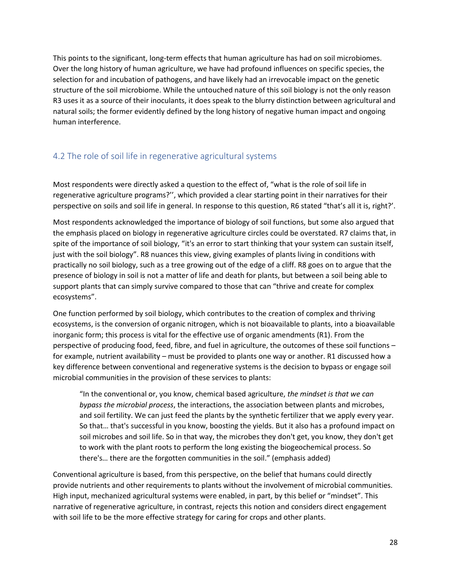This points to the significant, long-term effects that human agriculture has had on soil microbiomes. Over the long history of human agriculture, we have had profound influences on specific species, the selection for and incubation of pathogens, and have likely had an irrevocable impact on the genetic structure of the soil microbiome. While the untouched nature of this soil biology is not the only reason R3 uses it as a source of their inoculants, it does speak to the blurry distinction between agricultural and natural soils; the former evidently defined by the long history of negative human impact and ongoing human interference.

## <span id="page-28-0"></span>4.2 The role of soil life in regenerative agricultural systems

Most respondents were directly asked a question to the effect of, "what is the role of soil life in regenerative agriculture programs?'', which provided a clear starting point in their narratives for their perspective on soils and soil life in general. In response to this question, R6 stated "that's all it is, right?'.

Most respondents acknowledged the importance of biology of soil functions, but some also argued that the emphasis placed on biology in regenerative agriculture circles could be overstated. R7 claims that, in spite of the importance of soil biology, "it's an error to start thinking that your system can sustain itself, just with the soil biology". R8 nuances this view, giving examples of plants living in conditions with practically no soil biology, such as a tree growing out of the edge of a cliff. R8 goes on to argue that the presence of biology in soil is not a matter of life and death for plants, but between a soil being able to support plants that can simply survive compared to those that can "thrive and create for complex ecosystems".

One function performed by soil biology, which contributes to the creation of complex and thriving ecosystems, is the conversion of organic nitrogen, which is not bioavailable to plants, into a bioavailable inorganic form; this process is vital for the effective use of organic amendments (R1). From the perspective of producing food, feed, fibre, and fuel in agriculture, the outcomes of these soil functions – for example, nutrient availability – must be provided to plants one way or another. R1 discussed how a key difference between conventional and regenerative systems is the decision to bypass or engage soil microbial communities in the provision of these services to plants:

"In the conventional or, you know, chemical based agriculture, *the mindset is that we can bypass the microbial process*, the interactions, the association between plants and microbes, and soil fertility. We can just feed the plants by the synthetic fertilizer that we apply every year. So that… that's successful in you know, boosting the yields. But it also has a profound impact on soil microbes and soil life. So in that way, the microbes they don't get, you know, they don't get to work with the plant roots to perform the long existing the biogeochemical process. So there's… there are the forgotten communities in the soil." (emphasis added)

Conventional agriculture is based, from this perspective, on the belief that humans could directly provide nutrients and other requirements to plants without the involvement of microbial communities. High input, mechanized agricultural systems were enabled, in part, by this belief or "mindset". This narrative of regenerative agriculture, in contrast, rejects this notion and considers direct engagement with soil life to be the more effective strategy for caring for crops and other plants.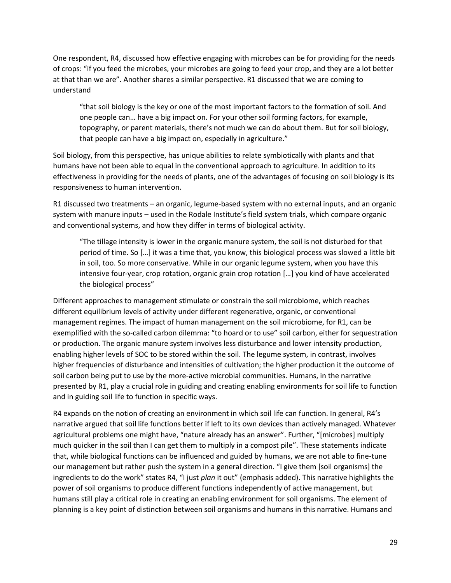One respondent, R4, discussed how effective engaging with microbes can be for providing for the needs of crops: "if you feed the microbes, your microbes are going to feed your crop, and they are a lot better at that than we are". Another shares a similar perspective. R1 discussed that we are coming to understand

"that soil biology is the key or one of the most important factors to the formation of soil. And one people can… have a big impact on. For your other soil forming factors, for example, topography, or parent materials, there's not much we can do about them. But for soil biology, that people can have a big impact on, especially in agriculture."

Soil biology, from this perspective, has unique abilities to relate symbiotically with plants and that humans have not been able to equal in the conventional approach to agriculture. In addition to its effectiveness in providing for the needs of plants, one of the advantages of focusing on soil biology is its responsiveness to human intervention.

R1 discussed two treatments – an organic, legume-based system with no external inputs, and an organic system with manure inputs – used in the Rodale Institute's field system trials, which compare organic and conventional systems, and how they differ in terms of biological activity.

"The tillage intensity is lower in the organic manure system, the soil is not disturbed for that period of time. So […] it was a time that, you know, this biological process was slowed a little bit in soil, too. So more conservative. While in our organic legume system, when you have this intensive four-year, crop rotation, organic grain crop rotation […] you kind of have accelerated the biological process"

Different approaches to management stimulate or constrain the soil microbiome, which reaches different equilibrium levels of activity under different regenerative, organic, or conventional management regimes. The impact of human management on the soil microbiome, for R1, can be exemplified with the so-called carbon dilemma: "to hoard or to use" soil carbon, either for sequestration or production. The organic manure system involves less disturbance and lower intensity production, enabling higher levels of SOC to be stored within the soil. The legume system, in contrast, involves higher frequencies of disturbance and intensities of cultivation; the higher production it the outcome of soil carbon being put to use by the more-active microbial communities. Humans, in the narrative presented by R1, play a crucial role in guiding and creating enabling environments for soil life to function and in guiding soil life to function in specific ways.

R4 expands on the notion of creating an environment in which soil life can function. In general, R4's narrative argued that soil life functions better if left to its own devices than actively managed. Whatever agricultural problems one might have, "nature already has an answer". Further, "[microbes] multiply much quicker in the soil than I can get them to multiply in a compost pile". These statements indicate that, while biological functions can be influenced and guided by humans, we are not able to fine-tune our management but rather push the system in a general direction. "I give them [soil organisms] the ingredients to do the work" states R4, "I just *plan* it out" (emphasis added). This narrative highlights the power of soil organisms to produce different functions independently of active management, but humans still play a critical role in creating an enabling environment for soil organisms. The element of planning is a key point of distinction between soil organisms and humans in this narrative. Humans and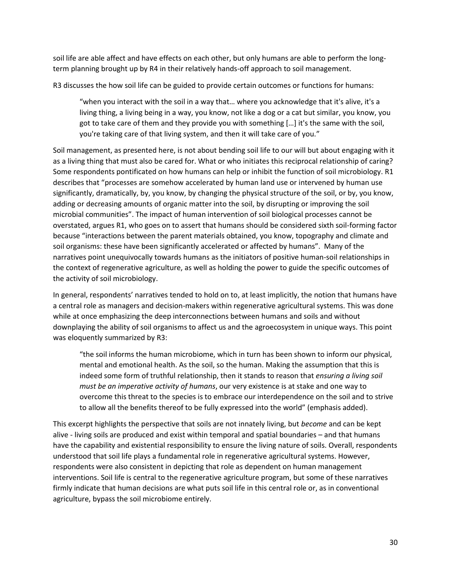soil life are able affect and have effects on each other, but only humans are able to perform the longterm planning brought up by R4 in their relatively hands-off approach to soil management.

R3 discusses the how soil life can be guided to provide certain outcomes or functions for humans:

"when you interact with the soil in a way that… where you acknowledge that it's alive, it's a living thing, a living being in a way, you know, not like a dog or a cat but similar, you know, you got to take care of them and they provide you with something […] it's the same with the soil, you're taking care of that living system, and then it will take care of you."

Soil management, as presented here, is not about bending soil life to our will but about engaging with it as a living thing that must also be cared for. What or who initiates this reciprocal relationship of caring? Some respondents pontificated on how humans can help or inhibit the function of soil microbiology. R1 describes that "processes are somehow accelerated by human land use or intervened by human use significantly, dramatically, by, you know, by changing the physical structure of the soil, or by, you know, adding or decreasing amounts of organic matter into the soil, by disrupting or improving the soil microbial communities". The impact of human intervention of soil biological processes cannot be overstated, argues R1, who goes on to assert that humans should be considered sixth soil-forming factor because "interactions between the parent materials obtained, you know, topography and climate and soil organisms: these have been significantly accelerated or affected by humans". Many of the narratives point unequivocally towards humans as the initiators of positive human-soil relationships in the context of regenerative agriculture, as well as holding the power to guide the specific outcomes of the activity of soil microbiology.

In general, respondents' narratives tended to hold on to, at least implicitly, the notion that humans have a central role as managers and decision-makers within regenerative agricultural systems. This was done while at once emphasizing the deep interconnections between humans and soils and without downplaying the ability of soil organisms to affect us and the agroecosystem in unique ways. This point was eloquently summarized by R3:

"the soil informs the human microbiome, which in turn has been shown to inform our physical, mental and emotional health. As the soil, so the human. Making the assumption that this is indeed some form of truthful relationship, then it stands to reason that *ensuring a living soil must be an imperative activity of humans*, our very existence is at stake and one way to overcome this threat to the species is to embrace our interdependence on the soil and to strive to allow all the benefits thereof to be fully expressed into the world" (emphasis added).

This excerpt highlights the perspective that soils are not innately living, but *become* and can be kept alive - living soils are produced and exist within temporal and spatial boundaries – and that humans have the capability and existential responsibility to ensure the living nature of soils. Overall, respondents understood that soil life plays a fundamental role in regenerative agricultural systems. However, respondents were also consistent in depicting that role as dependent on human management interventions. Soil life is central to the regenerative agriculture program, but some of these narratives firmly indicate that human decisions are what puts soil life in this central role or, as in conventional agriculture, bypass the soil microbiome entirely.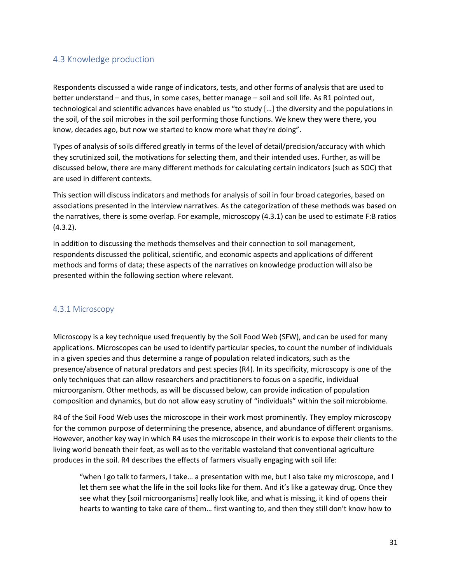### <span id="page-31-0"></span>4.3 Knowledge production

Respondents discussed a wide range of indicators, tests, and other forms of analysis that are used to better understand – and thus, in some cases, better manage – soil and soil life. As R1 pointed out, technological and scientific advances have enabled us "to study […] the diversity and the populations in the soil, of the soil microbes in the soil performing those functions. We knew they were there, you know, decades ago, but now we started to know more what they're doing".

Types of analysis of soils differed greatly in terms of the level of detail/precision/accuracy with which they scrutinized soil, the motivations for selecting them, and their intended uses. Further, as will be discussed below, there are many different methods for calculating certain indicators (such as SOC) that are used in different contexts.

This section will discuss indicators and methods for analysis of soil in four broad categories, based on associations presented in the interview narratives. As the categorization of these methods was based on the narratives, there is some overlap. For example, microscopy (4.3.1) can be used to estimate F:B ratios (4.3.2).

In addition to discussing the methods themselves and their connection to soil management, respondents discussed the political, scientific, and economic aspects and applications of different methods and forms of data; these aspects of the narratives on knowledge production will also be presented within the following section where relevant.

#### <span id="page-31-1"></span>4.3.1 Microscopy

Microscopy is a key technique used frequently by the Soil Food Web (SFW), and can be used for many applications. Microscopes can be used to identify particular species, to count the number of individuals in a given species and thus determine a range of population related indicators, such as the presence/absence of natural predators and pest species (R4). In its specificity, microscopy is one of the only techniques that can allow researchers and practitioners to focus on a specific, individual microorganism. Other methods, as will be discussed below, can provide indication of population composition and dynamics, but do not allow easy scrutiny of "individuals" within the soil microbiome.

R4 of the Soil Food Web uses the microscope in their work most prominently. They employ microscopy for the common purpose of determining the presence, absence, and abundance of different organisms. However, another key way in which R4 uses the microscope in their work is to expose their clients to the living world beneath their feet, as well as to the veritable wasteland that conventional agriculture produces in the soil. R4 describes the effects of farmers visually engaging with soil life:

"when I go talk to farmers, I take… a presentation with me, but I also take my microscope, and I let them see what the life in the soil looks like for them. And it's like a gateway drug. Once they see what they [soil microorganisms] really look like, and what is missing, it kind of opens their hearts to wanting to take care of them… first wanting to, and then they still don't know how to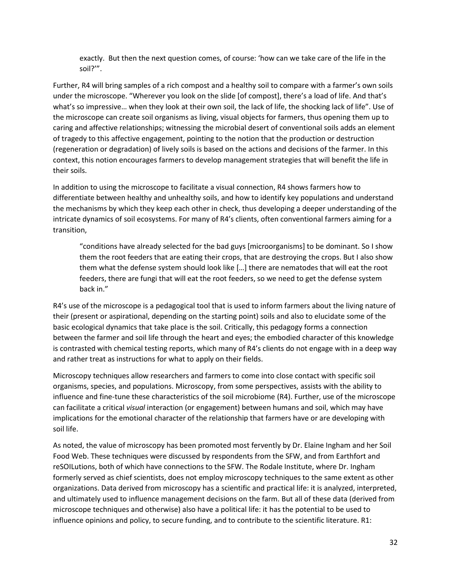exactly. But then the next question comes, of course: 'how can we take care of the life in the soil?'".

Further, R4 will bring samples of a rich compost and a healthy soil to compare with a farmer's own soils under the microscope. "Wherever you look on the slide [of compost], there's a load of life. And that's what's so impressive… when they look at their own soil, the lack of life, the shocking lack of life". Use of the microscope can create soil organisms as living, visual objects for farmers, thus opening them up to caring and affective relationships; witnessing the microbial desert of conventional soils adds an element of tragedy to this affective engagement, pointing to the notion that the production or destruction (regeneration or degradation) of lively soils is based on the actions and decisions of the farmer. In this context, this notion encourages farmers to develop management strategies that will benefit the life in their soils.

In addition to using the microscope to facilitate a visual connection, R4 shows farmers how to differentiate between healthy and unhealthy soils, and how to identify key populations and understand the mechanisms by which they keep each other in check, thus developing a deeper understanding of the intricate dynamics of soil ecosystems. For many of R4's clients, often conventional farmers aiming for a transition,

"conditions have already selected for the bad guys [microorganisms] to be dominant. So I show them the root feeders that are eating their crops, that are destroying the crops. But I also show them what the defense system should look like […] there are nematodes that will eat the root feeders, there are fungi that will eat the root feeders, so we need to get the defense system back in."

R4's use of the microscope is a pedagogical tool that is used to inform farmers about the living nature of their (present or aspirational, depending on the starting point) soils and also to elucidate some of the basic ecological dynamics that take place is the soil. Critically, this pedagogy forms a connection between the farmer and soil life through the heart and eyes; the embodied character of this knowledge is contrasted with chemical testing reports, which many of R4's clients do not engage with in a deep way and rather treat as instructions for what to apply on their fields.

Microscopy techniques allow researchers and farmers to come into close contact with specific soil organisms, species, and populations. Microscopy, from some perspectives, assists with the ability to influence and fine-tune these characteristics of the soil microbiome (R4). Further, use of the microscope can facilitate a critical *visual* interaction (or engagement) between humans and soil, which may have implications for the emotional character of the relationship that farmers have or are developing with soil life.

As noted, the value of microscopy has been promoted most fervently by Dr. Elaine Ingham and her Soil Food Web. These techniques were discussed by respondents from the SFW, and from Earthfort and reSOILutions, both of which have connections to the SFW. The Rodale Institute, where Dr. Ingham formerly served as chief scientists, does not employ microscopy techniques to the same extent as other organizations. Data derived from microscopy has a scientific and practical life: it is analyzed, interpreted, and ultimately used to influence management decisions on the farm. But all of these data (derived from microscope techniques and otherwise) also have a political life: it has the potential to be used to influence opinions and policy, to secure funding, and to contribute to the scientific literature. R1: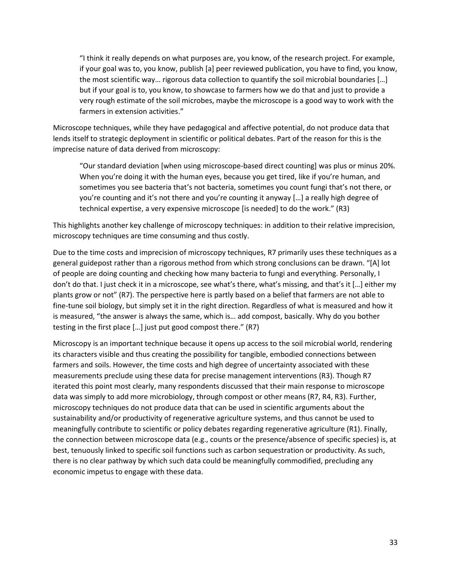"I think it really depends on what purposes are, you know, of the research project. For example, if your goal was to, you know, publish [a] peer reviewed publication, you have to find, you know, the most scientific way… rigorous data collection to quantify the soil microbial boundaries […] but if your goal is to, you know, to showcase to farmers how we do that and just to provide a very rough estimate of the soil microbes, maybe the microscope is a good way to work with the farmers in extension activities."

Microscope techniques, while they have pedagogical and affective potential, do not produce data that lends itself to strategic deployment in scientific or political debates. Part of the reason for this is the imprecise nature of data derived from microscopy:

"Our standard deviation [when using microscope-based direct counting] was plus or minus 20%. When you're doing it with the human eyes, because you get tired, like if you're human, and sometimes you see bacteria that's not bacteria, sometimes you count fungi that's not there, or you're counting and it's not there and you're counting it anyway […] a really high degree of technical expertise, a very expensive microscope [is needed] to do the work." (R3)

This highlights another key challenge of microscopy techniques: in addition to their relative imprecision, microscopy techniques are time consuming and thus costly.

Due to the time costs and imprecision of microscopy techniques, R7 primarily uses these techniques as a general guidepost rather than a rigorous method from which strong conclusions can be drawn. "[A] lot of people are doing counting and checking how many bacteria to fungi and everything. Personally, I don't do that. I just check it in a microscope, see what's there, what's missing, and that's it […] either my plants grow or not" (R7). The perspective here is partly based on a belief that farmers are not able to fine-tune soil biology, but simply set it in the right direction. Regardless of what is measured and how it is measured, "the answer is always the same, which is… add compost, basically. Why do you bother testing in the first place […] just put good compost there." (R7)

Microscopy is an important technique because it opens up access to the soil microbial world, rendering its characters visible and thus creating the possibility for tangible, embodied connections between farmers and soils. However, the time costs and high degree of uncertainty associated with these measurements preclude using these data for precise management interventions (R3). Though R7 iterated this point most clearly, many respondents discussed that their main response to microscope data was simply to add more microbiology, through compost or other means (R7, R4, R3). Further, microscopy techniques do not produce data that can be used in scientific arguments about the sustainability and/or productivity of regenerative agriculture systems, and thus cannot be used to meaningfully contribute to scientific or policy debates regarding regenerative agriculture (R1). Finally, the connection between microscope data (e.g., counts or the presence/absence of specific species) is, at best, tenuously linked to specific soil functions such as carbon sequestration or productivity. As such, there is no clear pathway by which such data could be meaningfully commodified, precluding any economic impetus to engage with these data.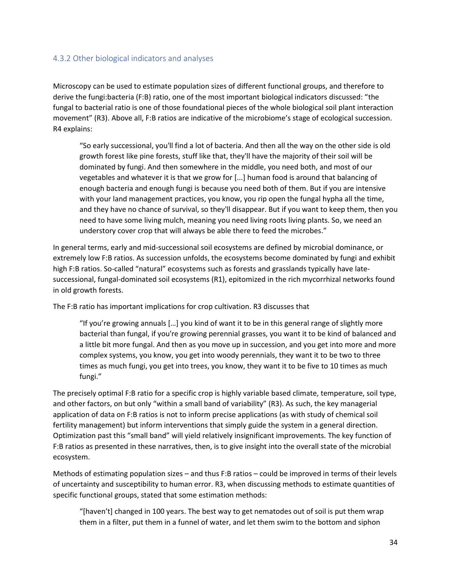#### <span id="page-34-0"></span>4.3.2 Other biological indicators and analyses

Microscopy can be used to estimate population sizes of different functional groups, and therefore to derive the fungi:bacteria (F:B) ratio, one of the most important biological indicators discussed: "the fungal to bacterial ratio is one of those foundational pieces of the whole biological soil plant interaction movement" (R3). Above all, F:B ratios are indicative of the microbiome's stage of ecological succession. R4 explains:

"So early successional, you'll find a lot of bacteria. And then all the way on the other side is old growth forest like pine forests, stuff like that, they'll have the majority of their soil will be dominated by fungi. And then somewhere in the middle, you need both, and most of our vegetables and whatever it is that we grow for [...] human food is around that balancing of enough bacteria and enough fungi is because you need both of them. But if you are intensive with your land management practices, you know, you rip open the fungal hypha all the time, and they have no chance of survival, so they'll disappear. But if you want to keep them, then you need to have some living mulch, meaning you need living roots living plants. So, we need an understory cover crop that will always be able there to feed the microbes."

In general terms, early and mid-successional soil ecosystems are defined by microbial dominance, or extremely low F:B ratios. As succession unfolds, the ecosystems become dominated by fungi and exhibit high F:B ratios. So-called "natural" ecosystems such as forests and grasslands typically have latesuccessional, fungal-dominated soil ecosystems (R1), epitomized in the rich mycorrhizal networks found in old growth forests.

The F:B ratio has important implications for crop cultivation. R3 discusses that

"If you're growing annuals […] you kind of want it to be in this general range of slightly more bacterial than fungal, if you're growing perennial grasses, you want it to be kind of balanced and a little bit more fungal. And then as you move up in succession, and you get into more and more complex systems, you know, you get into woody perennials, they want it to be two to three times as much fungi, you get into trees, you know, they want it to be five to 10 times as much fungi."

The precisely optimal F:B ratio for a specific crop is highly variable based climate, temperature, soil type, and other factors, on but only "within a small band of variability" (R3). As such, the key managerial application of data on F:B ratios is not to inform precise applications (as with study of chemical soil fertility management) but inform interventions that simply guide the system in a general direction. Optimization past this "small band" will yield relatively insignificant improvements. The key function of F:B ratios as presented in these narratives, then, is to give insight into the overall state of the microbial ecosystem.

Methods of estimating population sizes – and thus F:B ratios – could be improved in terms of their levels of uncertainty and susceptibility to human error. R3, when discussing methods to estimate quantities of specific functional groups, stated that some estimation methods:

"[haven't] changed in 100 years. The best way to get nematodes out of soil is put them wrap them in a filter, put them in a funnel of water, and let them swim to the bottom and siphon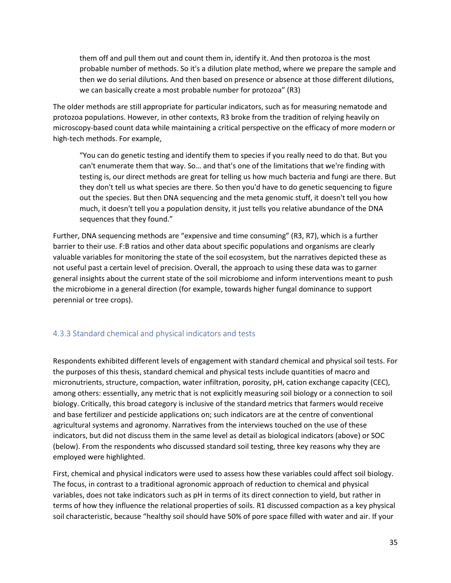them off and pull them out and count them in, identify it. And then protozoa is the most probable number of methods. So it's a dilution plate method, where we prepare the sample and then we do serial dilutions. And then based on presence or absence at those different dilutions, we can basically create a most probable number for protozoa" (R3)

The older methods are still appropriate for particular indicators, such as for measuring nematode and protozoa populations. However, in other contexts, R3 broke from the tradition of relying heavily on microscopy-based count data while maintaining a critical perspective on the efficacy of more modern or high-tech methods. For example,

"You can do genetic testing and identify them to species if you really need to do that. But you can't enumerate them that way. So… and that's one of the limitations that we're finding with testing is, our direct methods are great for telling us how much bacteria and fungi are there. But they don't tell us what species are there. So then you'd have to do genetic sequencing to figure out the species. But then DNA sequencing and the meta genomic stuff, it doesn't tell you how much, it doesn't tell you a population density, it just tells you relative abundance of the DNA sequences that they found."

Further, DNA sequencing methods are "expensive and time consuming" (R3, R7), which is a further barrier to their use. F:B ratios and other data about specific populations and organisms are clearly valuable variables for monitoring the state of the soil ecosystem, but the narratives depicted these as not useful past a certain level of precision. Overall, the approach to using these data was to garner general insights about the current state of the soil microbiome and inform interventions meant to push the microbiome in a general direction (for example, towards higher fungal dominance to support perennial or tree crops).

### <span id="page-35-0"></span>4.3.3 Standard chemical and physical indicators and tests

Respondents exhibited different levels of engagement with standard chemical and physical soil tests. For the purposes of this thesis, standard chemical and physical tests include quantities of macro and micronutrients, structure, compaction, water infiltration, porosity, pH, cation exchange capacity (CEC), among others: essentially, any metric that is not explicitly measuring soil biology or a connection to soil biology. Critically, this broad category is inclusive of the standard metrics that farmers would receive and base fertilizer and pesticide applications on; such indicators are at the centre of conventional agricultural systems and agronomy. Narratives from the interviews touched on the use of these indicators, but did not discuss them in the same level as detail as biological indicators (above) or SOC (below). From the respondents who discussed standard soil testing, three key reasons why they are employed were highlighted.

First, chemical and physical indicators were used to assess how these variables could affect soil biology. The focus, in contrast to a traditional agronomic approach of reduction to chemical and physical variables, does not take indicators such as pH in terms of its direct connection to yield, but rather in terms of how they influence the relational properties of soils. R1 discussed compaction as a key physical soil characteristic, because "healthy soil should have 50% of pore space filled with water and air. If your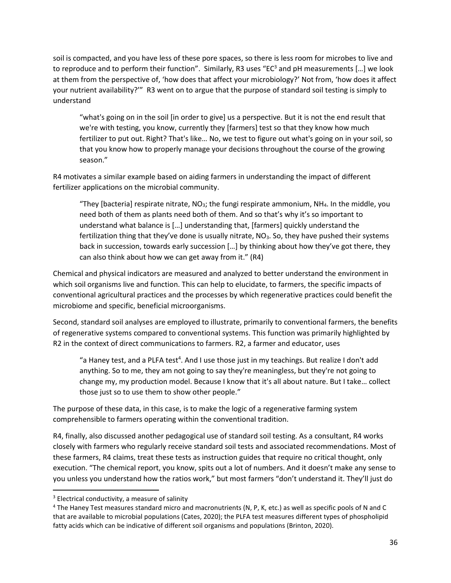soil is compacted, and you have less of these pore spaces, so there is less room for microbes to live and to reproduce and to perform their function". Similarly, R3 uses "EC $3$  and pH measurements [...] we look at them from the perspective of, 'how does that affect your microbiology?' Not from, 'how does it affect your nutrient availability?'" R3 went on to argue that the purpose of standard soil testing is simply to understand

"what's going on in the soil [in order to give] us a perspective. But it is not the end result that we're with testing, you know, currently they [farmers] test so that they know how much fertilizer to put out. Right? That's like… No, we test to figure out what's going on in your soil, so that you know how to properly manage your decisions throughout the course of the growing season."

R4 motivates a similar example based on aiding farmers in understanding the impact of different fertilizer applications on the microbial community.

"They [bacteria] respirate nitrate,  $NO<sub>3</sub>$ ; the fungi respirate ammonium,  $NH<sub>4</sub>$ . In the middle, you need both of them as plants need both of them. And so that's why it's so important to understand what balance is […] understanding that, [farmers] quickly understand the fertilization thing that they've done is usually nitrate,  $NO<sub>3</sub>$ . So, they have pushed their systems back in succession, towards early succession […] by thinking about how they've got there, they can also think about how we can get away from it." (R4)

Chemical and physical indicators are measured and analyzed to better understand the environment in which soil organisms live and function. This can help to elucidate, to farmers, the specific impacts of conventional agricultural practices and the processes by which regenerative practices could benefit the microbiome and specific, beneficial microorganisms.

Second, standard soil analyses are employed to illustrate, primarily to conventional farmers, the benefits of regenerative systems compared to conventional systems. This function was primarily highlighted by R2 in the context of direct communications to farmers. R2, a farmer and educator, uses

"a Haney test, and a PLFA test<sup>4</sup>. And I use those just in my teachings. But realize I don't add anything. So to me, they am not going to say they're meaningless, but they're not going to change my, my production model. Because I know that it's all about nature. But I take… collect those just so to use them to show other people."

The purpose of these data, in this case, is to make the logic of a regenerative farming system comprehensible to farmers operating within the conventional tradition.

R4, finally, also discussed another pedagogical use of standard soil testing. As a consultant, R4 works closely with farmers who regularly receive standard soil tests and associated recommendations. Most of these farmers, R4 claims, treat these tests as instruction guides that require no critical thought, only execution. "The chemical report, you know, spits out a lot of numbers. And it doesn't make any sense to you unless you understand how the ratios work," but most farmers "don't understand it. They'll just do

 $3$  Electrical conductivity, a measure of salinity

<sup>&</sup>lt;sup>4</sup> The Haney Test measures standard micro and macronutrients (N, P, K, etc.) as well as specific pools of N and C that are available to microbial populations (Cates, 2020); the PLFA test measures different types of phospholipid fatty acids which can be indicative of different soil organisms and populations (Brinton, 2020).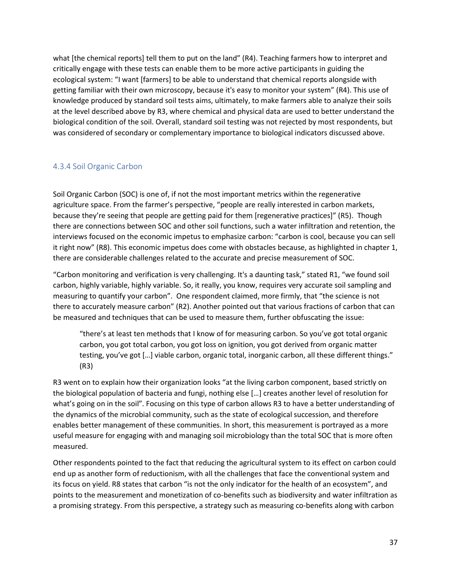what [the chemical reports] tell them to put on the land" (R4). Teaching farmers how to interpret and critically engage with these tests can enable them to be more active participants in guiding the ecological system: "I want [farmers] to be able to understand that chemical reports alongside with getting familiar with their own microscopy, because it's easy to monitor your system" (R4). This use of knowledge produced by standard soil tests aims, ultimately, to make farmers able to analyze their soils at the level described above by R3, where chemical and physical data are used to better understand the biological condition of the soil. Overall, standard soil testing was not rejected by most respondents, but was considered of secondary or complementary importance to biological indicators discussed above.

### <span id="page-37-0"></span>4.3.4 Soil Organic Carbon

Soil Organic Carbon (SOC) is one of, if not the most important metrics within the regenerative agriculture space. From the farmer's perspective, "people are really interested in carbon markets, because they're seeing that people are getting paid for them [regenerative practices]" (R5). Though there are connections between SOC and other soil functions, such a water infiltration and retention, the interviews focused on the economic impetus to emphasize carbon: "carbon is cool, because you can sell it right now" (R8). This economic impetus does come with obstacles because, as highlighted in chapter 1, there are considerable challenges related to the accurate and precise measurement of SOC.

"Carbon monitoring and verification is very challenging. It's a daunting task," stated R1, "we found soil carbon, highly variable, highly variable. So, it really, you know, requires very accurate soil sampling and measuring to quantify your carbon". One respondent claimed, more firmly, that "the science is not there to accurately measure carbon" (R2). Another pointed out that various fractions of carbon that can be measured and techniques that can be used to measure them, further obfuscating the issue:

"there's at least ten methods that I know of for measuring carbon. So you've got total organic carbon, you got total carbon, you got loss on ignition, you got derived from organic matter testing, you've got […] viable carbon, organic total, inorganic carbon, all these different things." (R3)

R3 went on to explain how their organization looks "at the living carbon component, based strictly on the biological population of bacteria and fungi, nothing else […] creates another level of resolution for what's going on in the soil". Focusing on this type of carbon allows R3 to have a better understanding of the dynamics of the microbial community, such as the state of ecological succession, and therefore enables better management of these communities. In short, this measurement is portrayed as a more useful measure for engaging with and managing soil microbiology than the total SOC that is more often measured.

Other respondents pointed to the fact that reducing the agricultural system to its effect on carbon could end up as another form of reductionism, with all the challenges that face the conventional system and its focus on yield. R8 states that carbon "is not the only indicator for the health of an ecosystem", and points to the measurement and monetization of co-benefits such as biodiversity and water infiltration as a promising strategy. From this perspective, a strategy such as measuring co-benefits along with carbon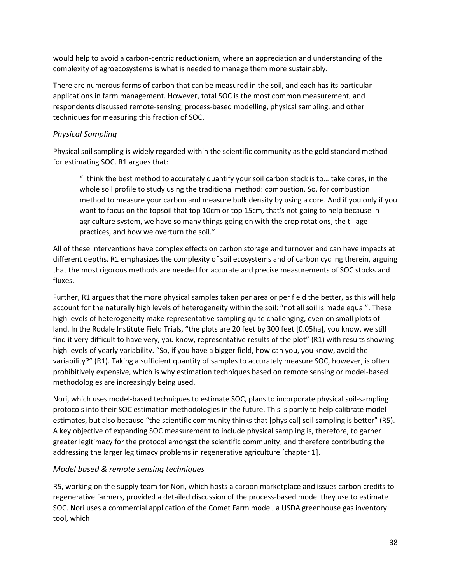would help to avoid a carbon-centric reductionism, where an appreciation and understanding of the complexity of agroecosystems is what is needed to manage them more sustainably.

There are numerous forms of carbon that can be measured in the soil, and each has its particular applications in farm management. However, total SOC is the most common measurement, and respondents discussed remote-sensing, process-based modelling, physical sampling, and other techniques for measuring this fraction of SOC.

#### *Physical Sampling*

Physical soil sampling is widely regarded within the scientific community as the gold standard method for estimating SOC. R1 argues that:

"I think the best method to accurately quantify your soil carbon stock is to… take cores, in the whole soil profile to study using the traditional method: combustion. So, for combustion method to measure your carbon and measure bulk density by using a core. And if you only if you want to focus on the topsoil that top 10cm or top 15cm, that's not going to help because in agriculture system, we have so many things going on with the crop rotations, the tillage practices, and how we overturn the soil."

All of these interventions have complex effects on carbon storage and turnover and can have impacts at different depths. R1 emphasizes the complexity of soil ecosystems and of carbon cycling therein, arguing that the most rigorous methods are needed for accurate and precise measurements of SOC stocks and fluxes.

Further, R1 argues that the more physical samples taken per area or per field the better, as this will help account for the naturally high levels of heterogeneity within the soil: "not all soil is made equal". These high levels of heterogeneity make representative sampling quite challenging, even on small plots of land. In the Rodale Institute Field Trials, "the plots are 20 feet by 300 feet [0.05ha], you know, we still find it very difficult to have very, you know, representative results of the plot" (R1) with results showing high levels of yearly variability. "So, if you have a bigger field, how can you, you know, avoid the variability?" (R1). Taking a sufficient quantity of samples to accurately measure SOC, however, is often prohibitively expensive, which is why estimation techniques based on remote sensing or model-based methodologies are increasingly being used.

Nori, which uses model-based techniques to estimate SOC, plans to incorporate physical soil-sampling protocols into their SOC estimation methodologies in the future. This is partly to help calibrate model estimates, but also because "the scientific community thinks that [physical] soil sampling is better" (R5). A key objective of expanding SOC measurement to include physical sampling is, therefore, to garner greater legitimacy for the protocol amongst the scientific community, and therefore contributing the addressing the larger legitimacy problems in regenerative agriculture [chapter 1].

### *Model based & remote sensing techniques*

R5, working on the supply team for Nori, which hosts a carbon marketplace and issues carbon credits to regenerative farmers, provided a detailed discussion of the process-based model they use to estimate SOC. Nori uses a commercial application of the Comet Farm model, a USDA greenhouse gas inventory tool, which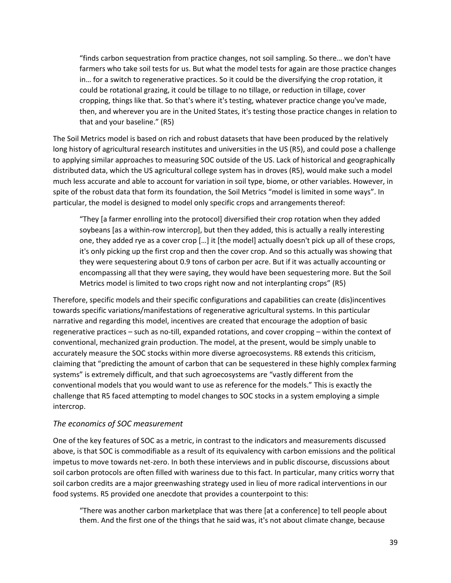"finds carbon sequestration from practice changes, not soil sampling. So there… we don't have farmers who take soil tests for us. But what the model tests for again are those practice changes in… for a switch to regenerative practices. So it could be the diversifying the crop rotation, it could be rotational grazing, it could be tillage to no tillage, or reduction in tillage, cover cropping, things like that. So that's where it's testing, whatever practice change you've made, then, and wherever you are in the United States, it's testing those practice changes in relation to that and your baseline." (R5)

The Soil Metrics model is based on rich and robust datasets that have been produced by the relatively long history of agricultural research institutes and universities in the US (R5), and could pose a challenge to applying similar approaches to measuring SOC outside of the US. Lack of historical and geographically distributed data, which the US agricultural college system has in droves (R5), would make such a model much less accurate and able to account for variation in soil type, biome, or other variables. However, in spite of the robust data that form its foundation, the Soil Metrics "model is limited in some ways". In particular, the model is designed to model only specific crops and arrangements thereof:

"They [a farmer enrolling into the protocol] diversified their crop rotation when they added soybeans [as a within-row intercrop], but then they added, this is actually a really interesting one, they added rye as a cover crop […] it [the model] actually doesn't pick up all of these crops, it's only picking up the first crop and then the cover crop. And so this actually was showing that they were sequestering about 0.9 tons of carbon per acre. But if it was actually accounting or encompassing all that they were saying, they would have been sequestering more. But the Soil Metrics model is limited to two crops right now and not interplanting crops" (R5)

Therefore, specific models and their specific configurations and capabilities can create (dis)incentives towards specific variations/manifestations of regenerative agricultural systems. In this particular narrative and regarding this model, incentives are created that encourage the adoption of basic regenerative practices – such as no-till, expanded rotations, and cover cropping – within the context of conventional, mechanized grain production. The model, at the present, would be simply unable to accurately measure the SOC stocks within more diverse agroecosystems. R8 extends this criticism, claiming that "predicting the amount of carbon that can be sequestered in these highly complex farming systems" is extremely difficult, and that such agroecosystems are "vastly different from the conventional models that you would want to use as reference for the models." This is exactly the challenge that R5 faced attempting to model changes to SOC stocks in a system employing a simple intercrop.

#### *The economics of SOC measurement*

One of the key features of SOC as a metric, in contrast to the indicators and measurements discussed above, is that SOC is commodifiable as a result of its equivalency with carbon emissions and the political impetus to move towards net-zero. In both these interviews and in public discourse, discussions about soil carbon protocols are often filled with wariness due to this fact. In particular, many critics worry that soil carbon credits are a major greenwashing strategy used in lieu of more radical interventions in our food systems. R5 provided one anecdote that provides a counterpoint to this:

"There was another carbon marketplace that was there [at a conference] to tell people about them. And the first one of the things that he said was, it's not about climate change, because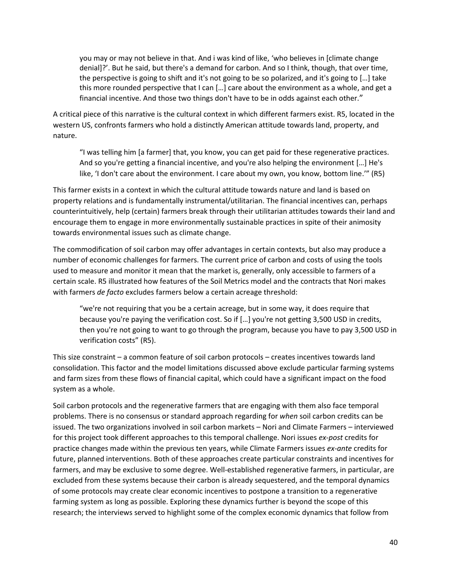you may or may not believe in that. And i was kind of like, 'who believes in [climate change denial]?'. But he said, but there's a demand for carbon. And so I think, though, that over time, the perspective is going to shift and it's not going to be so polarized, and it's going to […] take this more rounded perspective that I can […] care about the environment as a whole, and get a financial incentive. And those two things don't have to be in odds against each other."

A critical piece of this narrative is the cultural context in which different farmers exist. R5, located in the western US, confronts farmers who hold a distinctly American attitude towards land, property, and nature.

"I was telling him [a farmer] that, you know, you can get paid for these regenerative practices. And so you're getting a financial incentive, and you're also helping the environment […] He's like, 'I don't care about the environment. I care about my own, you know, bottom line.'" (R5)

This farmer exists in a context in which the cultural attitude towards nature and land is based on property relations and is fundamentally instrumental/utilitarian. The financial incentives can, perhaps counterintuitively, help (certain) farmers break through their utilitarian attitudes towards their land and encourage them to engage in more environmentally sustainable practices in spite of their animosity towards environmental issues such as climate change.

The commodification of soil carbon may offer advantages in certain contexts, but also may produce a number of economic challenges for farmers. The current price of carbon and costs of using the tools used to measure and monitor it mean that the market is, generally, only accessible to farmers of a certain scale. R5 illustrated how features of the Soil Metrics model and the contracts that Nori makes with farmers *de facto* excludes farmers below a certain acreage threshold:

"we're not requiring that you be a certain acreage, but in some way, it does require that because you're paying the verification cost. So if […] you're not getting 3,500 USD in credits, then you're not going to want to go through the program, because you have to pay 3,500 USD in verification costs" (R5).

This size constraint – a common feature of soil carbon protocols – creates incentives towards land consolidation. This factor and the model limitations discussed above exclude particular farming systems and farm sizes from these flows of financial capital, which could have a significant impact on the food system as a whole.

Soil carbon protocols and the regenerative farmers that are engaging with them also face temporal problems. There is no consensus or standard approach regarding for *when* soil carbon credits can be issued. The two organizations involved in soil carbon markets – Nori and Climate Farmers – interviewed for this project took different approaches to this temporal challenge. Nori issues *ex-post* credits for practice changes made within the previous ten years, while Climate Farmers issues *ex-ante* credits for future, planned interventions. Both of these approaches create particular constraints and incentives for farmers, and may be exclusive to some degree. Well-established regenerative farmers, in particular, are excluded from these systems because their carbon is already sequestered, and the temporal dynamics of some protocols may create clear economic incentives to postpone a transition to a regenerative farming system as long as possible. Exploring these dynamics further is beyond the scope of this research; the interviews served to highlight some of the complex economic dynamics that follow from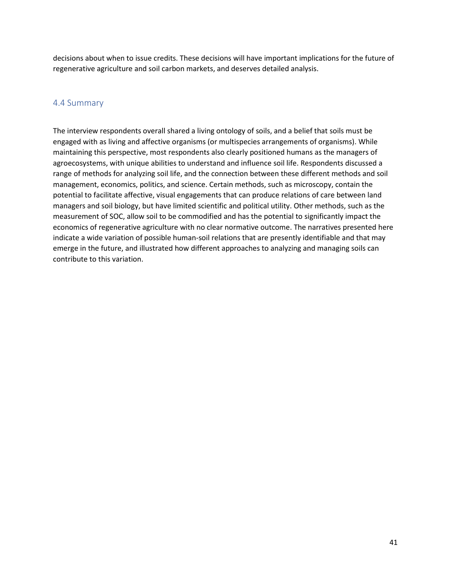decisions about when to issue credits. These decisions will have important implications for the future of regenerative agriculture and soil carbon markets, and deserves detailed analysis.

#### <span id="page-41-0"></span>4.4 Summary

The interview respondents overall shared a living ontology of soils, and a belief that soils must be engaged with as living and affective organisms (or multispecies arrangements of organisms). While maintaining this perspective, most respondents also clearly positioned humans as the managers of agroecosystems, with unique abilities to understand and influence soil life. Respondents discussed a range of methods for analyzing soil life, and the connection between these different methods and soil management, economics, politics, and science. Certain methods, such as microscopy, contain the potential to facilitate affective, visual engagements that can produce relations of care between land managers and soil biology, but have limited scientific and political utility. Other methods, such as the measurement of SOC, allow soil to be commodified and has the potential to significantly impact the economics of regenerative agriculture with no clear normative outcome. The narratives presented here indicate a wide variation of possible human-soil relations that are presently identifiable and that may emerge in the future, and illustrated how different approaches to analyzing and managing soils can contribute to this variation.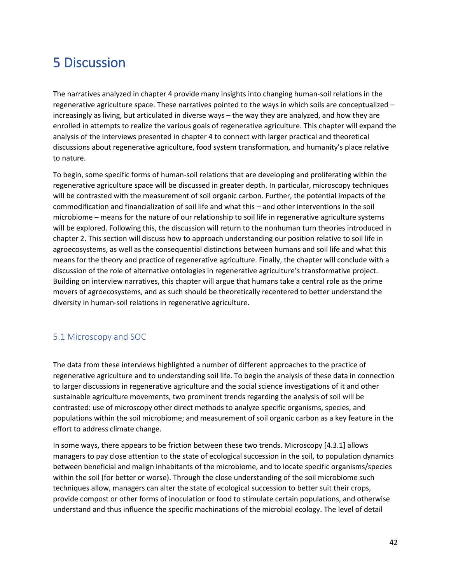# <span id="page-42-0"></span>5 Discussion

The narratives analyzed in chapter 4 provide many insights into changing human-soil relations in the regenerative agriculture space. These narratives pointed to the ways in which soils are conceptualized – increasingly as living, but articulated in diverse ways – the way they are analyzed, and how they are enrolled in attempts to realize the various goals of regenerative agriculture. This chapter will expand the analysis of the interviews presented in chapter 4 to connect with larger practical and theoretical discussions about regenerative agriculture, food system transformation, and humanity's place relative to nature.

To begin, some specific forms of human-soil relations that are developing and proliferating within the regenerative agriculture space will be discussed in greater depth. In particular, microscopy techniques will be contrasted with the measurement of soil organic carbon. Further, the potential impacts of the commodification and financialization of soil life and what this – and other interventions in the soil microbiome – means for the nature of our relationship to soil life in regenerative agriculture systems will be explored. Following this, the discussion will return to the nonhuman turn theories introduced in chapter 2. This section will discuss how to approach understanding our position relative to soil life in agroecosystems, as well as the consequential distinctions between humans and soil life and what this means for the theory and practice of regenerative agriculture. Finally, the chapter will conclude with a discussion of the role of alternative ontologies in regenerative agriculture's transformative project. Building on interview narratives, this chapter will argue that humans take a central role as the prime movers of agroecosystems, and as such should be theoretically recentered to better understand the diversity in human-soil relations in regenerative agriculture.

### <span id="page-42-1"></span>5.1 Microscopy and SOC

The data from these interviews highlighted a number of different approaches to the practice of regenerative agriculture and to understanding soil life. To begin the analysis of these data in connection to larger discussions in regenerative agriculture and the social science investigations of it and other sustainable agriculture movements, two prominent trends regarding the analysis of soil will be contrasted: use of microscopy other direct methods to analyze specific organisms, species, and populations within the soil microbiome; and measurement of soil organic carbon as a key feature in the effort to address climate change.

In some ways, there appears to be friction between these two trends. Microscopy [4.3.1] allows managers to pay close attention to the state of ecological succession in the soil, to population dynamics between beneficial and malign inhabitants of the microbiome, and to locate specific organisms/species within the soil (for better or worse). Through the close understanding of the soil microbiome such techniques allow, managers can alter the state of ecological succession to better suit their crops, provide compost or other forms of inoculation or food to stimulate certain populations, and otherwise understand and thus influence the specific machinations of the microbial ecology. The level of detail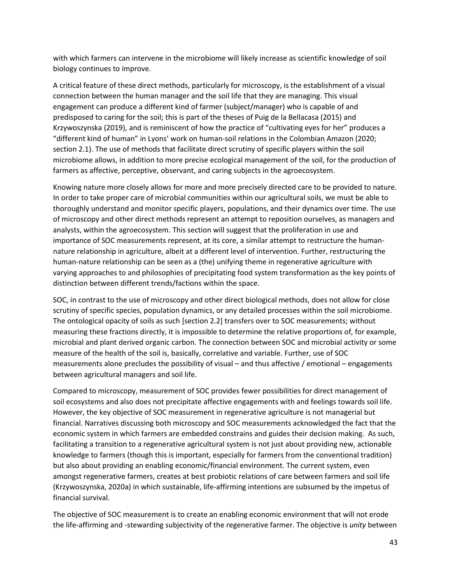with which farmers can intervene in the microbiome will likely increase as scientific knowledge of soil biology continues to improve.

A critical feature of these direct methods, particularly for microscopy, is the establishment of a visual connection between the human manager and the soil life that they are managing. This visual engagement can produce a different kind of farmer (subject/manager) who is capable of and predisposed to caring for the soil; this is part of the theses of Puig de la Bellacasa (2015) and Krzywoszynska (2019), and is reminiscent of how the practice of "cultivating eyes for her" produces a "different kind of human" in Lyons' work on human-soil relations in the Colombian Amazon (2020; section 2.1). The use of methods that facilitate direct scrutiny of specific players within the soil microbiome allows, in addition to more precise ecological management of the soil, for the production of farmers as affective, perceptive, observant, and caring subjects in the agroecosystem.

Knowing nature more closely allows for more and more precisely directed care to be provided to nature. In order to take proper care of microbial communities within our agricultural soils, we must be able to thoroughly understand and monitor specific players, populations, and their dynamics over time. The use of microscopy and other direct methods represent an attempt to reposition ourselves, as managers and analysts, within the agroecosystem. This section will suggest that the proliferation in use and importance of SOC measurements represent, at its core, a similar attempt to restructure the humannature relationship in agriculture, albeit at a different level of intervention. Further, restructuring the human-nature relationship can be seen as a (the) unifying theme in regenerative agriculture with varying approaches to and philosophies of precipitating food system transformation as the key points of distinction between different trends/factions within the space.

SOC, in contrast to the use of microscopy and other direct biological methods, does not allow for close scrutiny of specific species, population dynamics, or any detailed processes within the soil microbiome. The ontological opacity of soils as such [section 2.2] transfers over to SOC measurements; without measuring these fractions directly, it is impossible to determine the relative proportions of, for example, microbial and plant derived organic carbon. The connection between SOC and microbial activity or some measure of the health of the soil is, basically, correlative and variable. Further, use of SOC measurements alone precludes the possibility of visual – and thus affective / emotional – engagements between agricultural managers and soil life.

Compared to microscopy, measurement of SOC provides fewer possibilities for direct management of soil ecosystems and also does not precipitate affective engagements with and feelings towards soil life. However, the key objective of SOC measurement in regenerative agriculture is not managerial but financial. Narratives discussing both microscopy and SOC measurements acknowledged the fact that the economic system in which farmers are embedded constrains and guides their decision making. As such, facilitating a transition to a regenerative agricultural system is not just about providing new, actionable knowledge to farmers (though this is important, especially for farmers from the conventional tradition) but also about providing an enabling economic/financial environment. The current system, even amongst regenerative farmers, creates at best probiotic relations of care between farmers and soil life (Krzywoszynska, 2020a) in which sustainable, life-affirming intentions are subsumed by the impetus of financial survival.

The objective of SOC measurement is to create an enabling economic environment that will not erode the life-affirming and -stewarding subjectivity of the regenerative farmer. The objective is *unity* between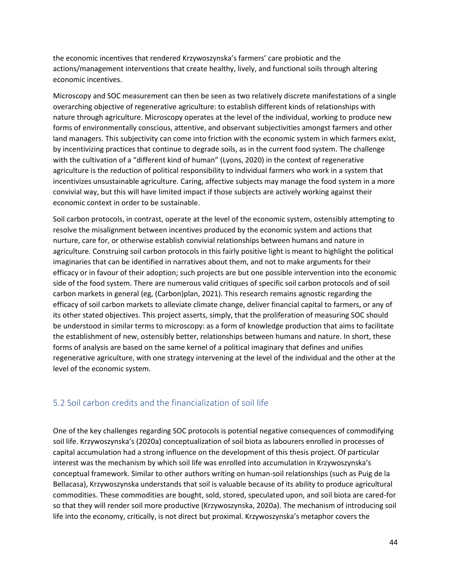the economic incentives that rendered Krzywoszynska's farmers' care probiotic and the actions/management interventions that create healthy, lively, and functional soils through altering economic incentives.

Microscopy and SOC measurement can then be seen as two relatively discrete manifestations of a single overarching objective of regenerative agriculture: to establish different kinds of relationships with nature through agriculture. Microscopy operates at the level of the individual, working to produce new forms of environmentally conscious, attentive, and observant subjectivities amongst farmers and other land managers. This subjectivity can come into friction with the economic system in which farmers exist, by incentivizing practices that continue to degrade soils, as in the current food system. The challenge with the cultivation of a "different kind of human" (Lyons, 2020) in the context of regenerative agriculture is the reduction of political responsibility to individual farmers who work in a system that incentivizes unsustainable agriculture. Caring, affective subjects may manage the food system in a more convivial way, but this will have limited impact if those subjects are actively working against their economic context in order to be sustainable.

Soil carbon protocols, in contrast, operate at the level of the economic system, ostensibly attempting to resolve the misalignment between incentives produced by the economic system and actions that nurture, care for, or otherwise establish convivial relationships between humans and nature in agriculture. Construing soil carbon protocols in this fairly positive light is meant to highlight the political imaginaries that can be identified in narratives about them, and not to make arguments for their efficacy or in favour of their adoption; such projects are but one possible intervention into the economic side of the food system. There are numerous valid critiques of specific soil carbon protocols and of soil carbon markets in general (eg, (Carbon)plan, 2021). This research remains agnostic regarding the efficacy of soil carbon markets to alleviate climate change, deliver financial capital to farmers, or any of its other stated objectives. This project asserts, simply, that the proliferation of measuring SOC should be understood in similar terms to microscopy: as a form of knowledge production that aims to facilitate the establishment of new, ostensibly better, relationships between humans and nature. In short, these forms of analysis are based on the same kernel of a political imaginary that defines and unifies regenerative agriculture, with one strategy intervening at the level of the individual and the other at the level of the economic system.

### <span id="page-44-0"></span>5.2 Soil carbon credits and the financialization of soil life

One of the key challenges regarding SOC protocols is potential negative consequences of commodifying soil life. Krzywoszynska's (2020a) conceptualization of soil biota as labourers enrolled in processes of capital accumulation had a strong influence on the development of this thesis project. Of particular interest was the mechanism by which soil life was enrolled into accumulation in Krzywoszynska's conceptual framework. Similar to other authors writing on human-soil relationships (such as Puig de la Bellacasa), Krzywoszynska understands that soil is valuable because of its ability to produce agricultural commodities. These commodities are bought, sold, stored, speculated upon, and soil biota are cared-for so that they will render soil more productive (Krzywoszynska, 2020a). The mechanism of introducing soil life into the economy, critically, is not direct but proximal. Krzywoszynska's metaphor covers the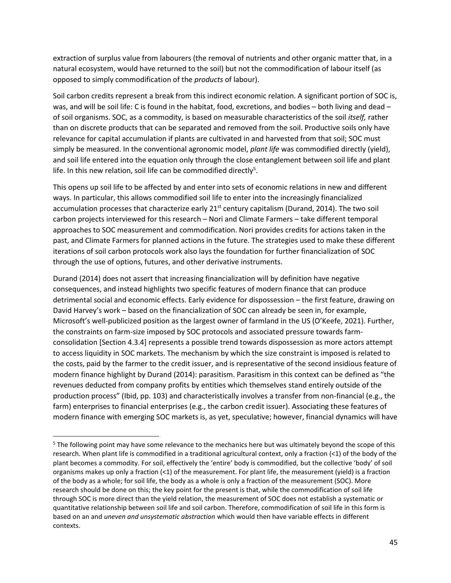extraction of surplus value from labourers (the removal of nutrients and other organic matter that, in a natural ecosystem, would have returned to the soil) but not the commodification of labour itself (as opposed to simply commodification of the *products* of labour).

Soil carbon credits represent a break from this indirect economic relation. A significant portion of SOC is, was, and will be soil life: C is found in the habitat, food, excretions, and bodies – both living and dead – of soil organisms. SOC, as a commodity, is based on measurable characteristics of the soil *itself,* rather than on discrete products that can be separated and removed from the soil. Productive soils only have relevance for capital accumulation if plants are cultivated in and harvested from that soil; SOC must simply be measured. In the conventional agronomic model, *plant life* was commodified directly (yield), and soil life entered into the equation only through the close entanglement between soil life and plant life. In this new relation, soil life can be commodified directly<sup>5</sup>.

This opens up soil life to be affected by and enter into sets of economic relations in new and different ways. In particular, this allows commodified soil life to enter into the increasingly financialized accumulation processes that characterize early  $21^{st}$  century capitalism (Durand, 2014). The two soil carbon projects interviewed for this research – Nori and Climate Farmers – take different temporal approaches to SOC measurement and commodification. Nori provides credits for actions taken in the past, and Climate Farmers for planned actions in the future. The strategies used to make these different iterations of soil carbon protocols work also lays the foundation for further financialization of SOC through the use of options, futures, and other derivative instruments.

Durand (2014) does not assert that increasing financialization will by definition have negative consequences, and instead highlights two specific features of modern finance that can produce detrimental social and economic effects. Early evidence for dispossession – the first feature, drawing on David Harvey's work – based on the financialization of SOC can already be seen in, for example, Microsoft's well-publicized position as the largest owner of farmland in the US (O'Keefe, 2021). Further, the constraints on farm-size imposed by SOC protocols and associated pressure towards farmconsolidation [Section 4.3.4] represents a possible trend towards dispossession as more actors attempt to access liquidity in SOC markets. The mechanism by which the size constraint is imposed is related to the costs, paid by the farmer to the credit issuer, and is representative of the second insidious feature of modern finance highlight by Durand (2014): parasitism. Parasitism in this context can be defined as "the revenues deducted from company profits by entities which themselves stand entirely outside of the production process" (Ibid, pp. 103) and characteristically involves a transfer from non-financial (e.g., the farm) enterprises to financial enterprises (e.g., the carbon credit issuer). Associating these features of modern finance with emerging SOC markets is, as yet, speculative; however, financial dynamics will have

<sup>&</sup>lt;sup>5</sup> The following point may have some relevance to the mechanics here but was ultimately beyond the scope of this research. When plant life is commodified in a traditional agricultural context, only a fraction (<1) of the body of the plant becomes a commodity. For soil, effectively the 'entire' body is commodified, but the collective 'body' of soil organisms makes up only a fraction (<1) of the measurement. For plant life, the measurement (yield) is a fraction of the body as a whole; for soil life, the body as a whole is only a fraction of the measurement (SOC). More research should be done on this; the key point for the present is that, while the commodification of soil life through SOC is more direct than the yield relation, the measurement of SOC does not establish a systematic or quantitative relationship between soil life and soil carbon. Therefore, commodification of soil life in this form is based on an and *uneven and unsystematic abstraction* which would then have variable effects in different contexts.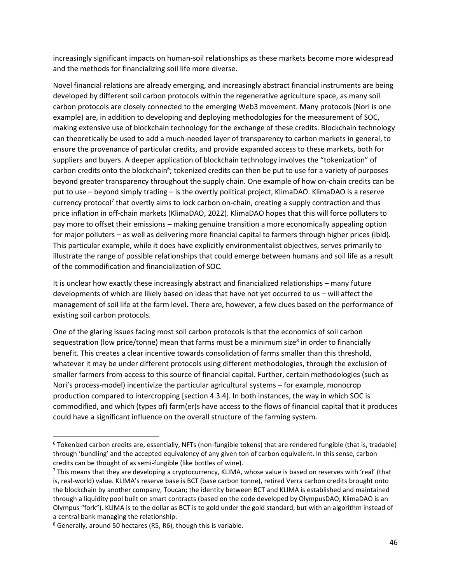increasingly significant impacts on human-soil relationships as these markets become more widespread and the methods for financializing soil life more diverse.

Novel financial relations are already emerging, and increasingly abstract financial instruments are being developed by different soil carbon protocols within the regenerative agriculture space, as many soil carbon protocols are closely connected to the emerging Web3 movement. Many protocols (Nori is one example) are, in addition to developing and deploying methodologies for the measurement of SOC, making extensive use of blockchain technology for the exchange of these credits. Blockchain technology can theoretically be used to add a much-needed layer of transparency to carbon markets in general, to ensure the provenance of particular credits, and provide expanded access to these markets, both for suppliers and buyers. A deeper application of blockchain technology involves the "tokenization" of carbon credits onto the blockchain<sup>6</sup>; tokenized credits can then be put to use for a variety of purposes beyond greater transparency throughout the supply chain. One example of how on-chain credits can be put to use – beyond simply trading – is the overtly political project, KlimaDAO. KlimaDAO is a reserve currency protocol<sup>7</sup> that overtly aims to lock carbon on-chain, creating a supply contraction and thus price inflation in off-chain markets (KlimaDAO, 2022). KlimaDAO hopes that this will force polluters to pay more to offset their emissions – making genuine transition a more economically appealing option for major polluters – as well as delivering more financial capital to farmers through higher prices (ibid). This particular example, while it does have explicitly environmentalist objectives, serves primarily to illustrate the range of possible relationships that could emerge between humans and soil life as a result of the commodification and financialization of SOC.

It is unclear how exactly these increasingly abstract and financialized relationships – many future developments of which are likely based on ideas that have not yet occurred to us – will affect the management of soil life at the farm level. There are, however, a few clues based on the performance of existing soil carbon protocols.

One of the glaring issues facing most soil carbon protocols is that the economics of soil carbon sequestration (low price/tonne) mean that farms must be a minimum size<sup>8</sup> in order to financially benefit. This creates a clear incentive towards consolidation of farms smaller than this threshold, whatever it may be under different protocols using different methodologies, through the exclusion of smaller farmers from access to this source of financial capital. Further, certain methodologies (such as Nori's process-model) incentivize the particular agricultural systems – for example, monocrop production compared to intercropping [section 4.3.4]. In both instances, the way in which SOC is commodified, and which (types of) farm(er)s have access to the flows of financial capital that it produces could have a significant influence on the overall structure of the farming system.

<sup>&</sup>lt;sup>6</sup> Tokenized carbon credits are, essentially, NFTs (non-fungible tokens) that are rendered fungible (that is, tradable) through 'bundling' and the accepted equivalency of any given ton of carbon equivalent. In this sense, carbon credits can be thought of as semi-fungible (like bottles of wine).

 $<sup>7</sup>$  This means that they are developing a cryptocurrency, KLIMA, whose value is based on reserves with 'real' (that</sup> is, real-world) value. KLIMA's reserve base is BCT (base carbon tonne), retired Verra carbon credits brought onto the blockchain by another company, Toucan; the identity between BCT and KLIMA is established and maintained through a liquidity pool built on smart contracts (based on the code developed by OlympusDAO; KlimaDAO is an Olympus "fork"). KLIMA is to the dollar as BCT is to gold under the gold standard, but with an algorithm instead of a central bank managing the relationship.

<sup>8</sup> Generally, around 50 hectares (R5, R6), though this is variable.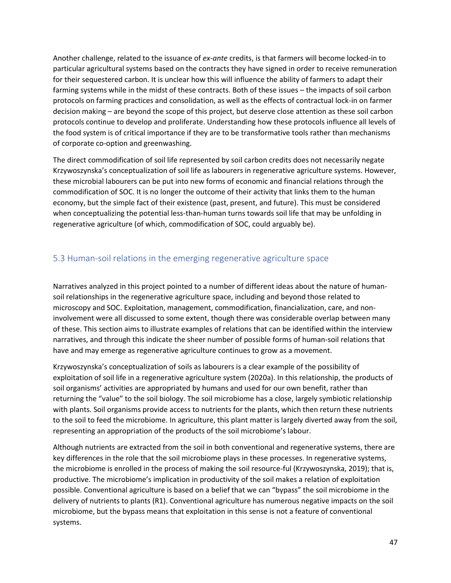Another challenge, related to the issuance of *ex-ante* credits, is that farmers will become locked-in to particular agricultural systems based on the contracts they have signed in order to receive remuneration for their sequestered carbon. It is unclear how this will influence the ability of farmers to adapt their farming systems while in the midst of these contracts. Both of these issues – the impacts of soil carbon protocols on farming practices and consolidation, as well as the effects of contractual lock-in on farmer decision making – are beyond the scope of this project, but deserve close attention as these soil carbon protocols continue to develop and proliferate. Understanding how these protocols influence all levels of the food system is of critical importance if they are to be transformative tools rather than mechanisms of corporate co-option and greenwashing.

The direct commodification of soil life represented by soil carbon credits does not necessarily negate Krzywoszynska's conceptualization of soil life as labourers in regenerative agriculture systems. However, these microbial labourers can be put into new forms of economic and financial relations through the commodification of SOC. It is no longer the outcome of their activity that links them to the human economy, but the simple fact of their existence (past, present, and future). This must be considered when conceptualizing the potential less-than-human turns towards soil life that may be unfolding in regenerative agriculture (of which, commodification of SOC, could arguably be).

### <span id="page-47-0"></span>5.3 Human-soil relations in the emerging regenerative agriculture space

Narratives analyzed in this project pointed to a number of different ideas about the nature of humansoil relationships in the regenerative agriculture space, including and beyond those related to microscopy and SOC. Exploitation, management, commodification, financialization, care, and noninvolvement were all discussed to some extent, though there was considerable overlap between many of these. This section aims to illustrate examples of relations that can be identified within the interview narratives, and through this indicate the sheer number of possible forms of human-soil relations that have and may emerge as regenerative agriculture continues to grow as a movement.

Krzywoszynska's conceptualization of soils as labourers is a clear example of the possibility of exploitation of soil life in a regenerative agriculture system (2020a). In this relationship, the products of soil organisms' activities are appropriated by humans and used for our own benefit, rather than returning the "value" to the soil biology. The soil microbiome has a close, largely symbiotic relationship with plants. Soil organisms provide access to nutrients for the plants, which then return these nutrients to the soil to feed the microbiome. In agriculture, this plant matter is largely diverted away from the soil, representing an appropriation of the products of the soil microbiome's labour.

Although nutrients are extracted from the soil in both conventional and regenerative systems, there are key differences in the role that the soil microbiome plays in these processes. In regenerative systems, the microbiome is enrolled in the process of making the soil resource-ful (Krzywoszynska, 2019); that is, productive. The microbiome's implication in productivity of the soil makes a relation of exploitation possible. Conventional agriculture is based on a belief that we can "bypass" the soil microbiome in the delivery of nutrients to plants (R1). Conventional agriculture has numerous negative impacts on the soil microbiome, but the bypass means that exploitation in this sense is not a feature of conventional systems.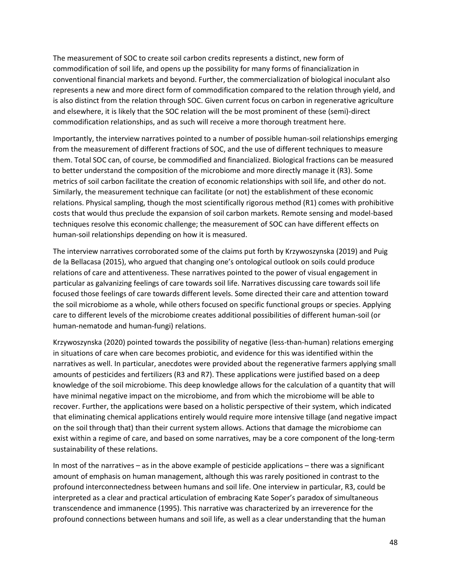The measurement of SOC to create soil carbon credits represents a distinct, new form of commodification of soil life, and opens up the possibility for many forms of financialization in conventional financial markets and beyond. Further, the commercialization of biological inoculant also represents a new and more direct form of commodification compared to the relation through yield, and is also distinct from the relation through SOC. Given current focus on carbon in regenerative agriculture and elsewhere, it is likely that the SOC relation will the be most prominent of these (semi)-direct commodification relationships, and as such will receive a more thorough treatment here.

Importantly, the interview narratives pointed to a number of possible human-soil relationships emerging from the measurement of different fractions of SOC, and the use of different techniques to measure them. Total SOC can, of course, be commodified and financialized. Biological fractions can be measured to better understand the composition of the microbiome and more directly manage it (R3). Some metrics of soil carbon facilitate the creation of economic relationships with soil life, and other do not. Similarly, the measurement technique can facilitate (or not) the establishment of these economic relations. Physical sampling, though the most scientifically rigorous method (R1) comes with prohibitive costs that would thus preclude the expansion of soil carbon markets. Remote sensing and model-based techniques resolve this economic challenge; the measurement of SOC can have different effects on human-soil relationships depending on how it is measured.

The interview narratives corroborated some of the claims put forth by Krzywoszynska (2019) and Puig de la Bellacasa (2015), who argued that changing one's ontological outlook on soils could produce relations of care and attentiveness. These narratives pointed to the power of visual engagement in particular as galvanizing feelings of care towards soil life. Narratives discussing care towards soil life focused those feelings of care towards different levels. Some directed their care and attention toward the soil microbiome as a whole, while others focused on specific functional groups or species. Applying care to different levels of the microbiome creates additional possibilities of different human-soil (or human-nematode and human-fungi) relations.

Krzywoszynska (2020) pointed towards the possibility of negative (less-than-human) relations emerging in situations of care when care becomes probiotic, and evidence for this was identified within the narratives as well. In particular, anecdotes were provided about the regenerative farmers applying small amounts of pesticides and fertilizers (R3 and R7). These applications were justified based on a deep knowledge of the soil microbiome. This deep knowledge allows for the calculation of a quantity that will have minimal negative impact on the microbiome, and from which the microbiome will be able to recover. Further, the applications were based on a holistic perspective of their system, which indicated that eliminating chemical applications entirely would require more intensive tillage (and negative impact on the soil through that) than their current system allows. Actions that damage the microbiome can exist within a regime of care, and based on some narratives, may be a core component of the long-term sustainability of these relations.

In most of the narratives – as in the above example of pesticide applications – there was a significant amount of emphasis on human management, although this was rarely positioned in contrast to the profound interconnectedness between humans and soil life. One interview in particular, R3, could be interpreted as a clear and practical articulation of embracing Kate Soper's paradox of simultaneous transcendence and immanence (1995). This narrative was characterized by an irreverence for the profound connections between humans and soil life, as well as a clear understanding that the human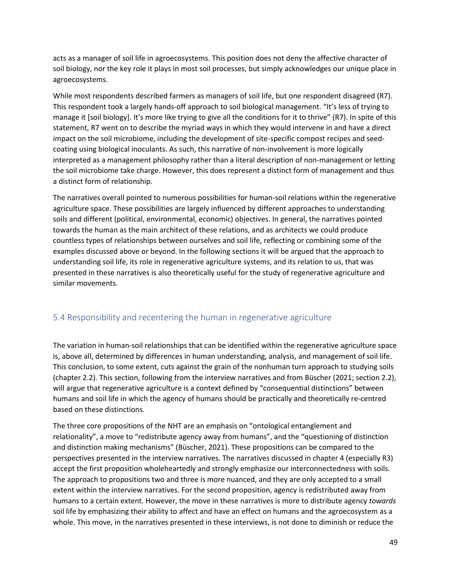acts as a manager of soil life in agroecosystems. This position does not deny the affective character of soil biology, nor the key role it plays in most soil processes, but simply acknowledges our unique place in agroecosystems.

While most respondents described farmers as managers of soil life, but one respondent disagreed (R7). This respondent took a largely hands-off approach to soil biological management. "It's less of trying to manage it [soil biology]. It's more like trying to give all the conditions for it to thrive" (R7). In spite of this statement, R7 went on to describe the myriad ways in which they would intervene in and have a direct impact on the soil microbiome, including the development of site-specific compost recipes and seedcoating using biological inoculants. As such, this narrative of non-involvement is more logically interpreted as a management philosophy rather than a literal description of non-management or letting the soil microbiome take charge. However, this does represent a distinct form of management and thus a distinct form of relationship.

The narratives overall pointed to numerous possibilities for human-soil relations within the regenerative agriculture space. These possibilities are largely influenced by different approaches to understanding soils and different (political, environmental, economic) objectives. In general, the narratives pointed towards the human as the main architect of these relations, and as architects we could produce countless types of relationships between ourselves and soil life, reflecting or combining some of the examples discussed above or beyond. In the following sections it will be argued that the approach to understanding soil life, its role in regenerative agriculture systems, and its relation to us, that was presented in these narratives is also theoretically useful for the study of regenerative agriculture and similar movements.

### <span id="page-49-0"></span>5.4 Responsibility and recentering the human in regenerative agriculture

The variation in human-soil relationships that can be identified within the regenerative agriculture space is, above all, determined by differences in human understanding, analysis, and management of soil life. This conclusion, to some extent, cuts against the grain of the nonhuman turn approach to studying soils (chapter 2.2). This section, following from the interview narratives and from Büscher (2021; section 2.2), will argue that regenerative agriculture is a context defined by "consequential distinctions" between humans and soil life in which the agency of humans should be practically and theoretically re-centred based on these distinctions.

The three core propositions of the NHT are an emphasis on "ontological entanglement and relationality", a move to "redistribute agency away from humans", and the "questioning of distinction and distinction making mechanisms" (Büscher, 2021). These propositions can be compared to the perspectives presented in the interview narratives. The narratives discussed in chapter 4 (especially R3) accept the first proposition wholeheartedly and strongly emphasize our interconnectedness with soils. The approach to propositions two and three is more nuanced, and they are only accepted to a small extent within the interview narratives. For the second proposition, agency is redistributed away from humans to a certain extent. However, the move in these narratives is more to distribute agency *towards*  soil life by emphasizing their ability to affect and have an effect on humans and the agroecosystem as a whole. This move, in the narratives presented in these interviews, is not done to diminish or reduce the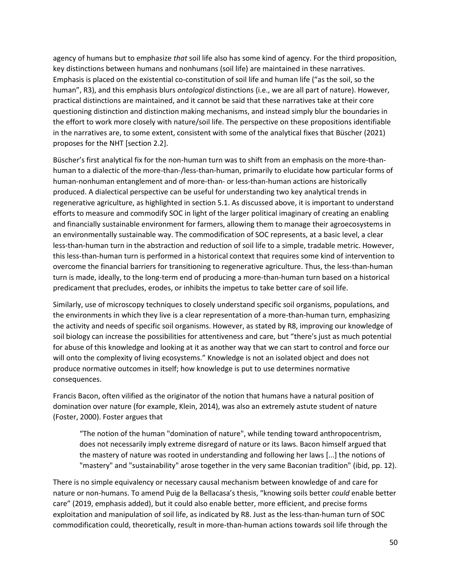agency of humans but to emphasize *that* soil life also has some kind of agency. For the third proposition, key distinctions between humans and nonhumans (soil life) are maintained in these narratives. Emphasis is placed on the existential co-constitution of soil life and human life ("as the soil, so the human", R3), and this emphasis blurs *ontological* distinctions (i.e., we are all part of nature). However, practical distinctions are maintained, and it cannot be said that these narratives take at their core questioning distinction and distinction making mechanisms, and instead simply blur the boundaries in the effort to work more closely with nature/soil life. The perspective on these propositions identifiable in the narratives are, to some extent, consistent with some of the analytical fixes that Büscher (2021) proposes for the NHT [section 2.2].

Büscher's first analytical fix for the non-human turn was to shift from an emphasis on the more-thanhuman to a dialectic of the more-than-/less-than-human, primarily to elucidate how particular forms of human-nonhuman entanglement and of more-than- or less-than-human actions are historically produced. A dialectical perspective can be useful for understanding two key analytical trends in regenerative agriculture, as highlighted in section 5.1. As discussed above, it is important to understand efforts to measure and commodify SOC in light of the larger political imaginary of creating an enabling and financially sustainable environment for farmers, allowing them to manage their agroecosystems in an environmentally sustainable way. The commodification of SOC represents, at a basic level, a clear less-than-human turn in the abstraction and reduction of soil life to a simple, tradable metric. However, this less-than-human turn is performed in a historical context that requires some kind of intervention to overcome the financial barriers for transitioning to regenerative agriculture. Thus, the less-than-human turn is made, ideally, to the long-term end of producing a more-than-human turn based on a historical predicament that precludes, erodes, or inhibits the impetus to take better care of soil life.

Similarly, use of microscopy techniques to closely understand specific soil organisms, populations, and the environments in which they live is a clear representation of a more-than-human turn, emphasizing the activity and needs of specific soil organisms. However, as stated by R8, improving our knowledge of soil biology can increase the possibilities for attentiveness and care, but "there's just as much potential for abuse of this knowledge and looking at it as another way that we can start to control and force our will onto the complexity of living ecosystems." Knowledge is not an isolated object and does not produce normative outcomes in itself; how knowledge is put to use determines normative consequences.

Francis Bacon, often vilified as the originator of the notion that humans have a natural position of domination over nature (for example, Klein, 2014), was also an extremely astute student of nature (Foster, 2000). Foster argues that

"The notion of the human "domination of nature", while tending toward anthropocentrism, does not necessarily imply extreme disregard of nature or its laws. Bacon himself argued that the mastery of nature was rooted in understanding and following her laws [...] the notions of "mastery" and "sustainability" arose together in the very same Baconian tradition" (ibid, pp. 12).

There is no simple equivalency or necessary causal mechanism between knowledge of and care for nature or non-humans. To amend Puig de la Bellacasa's thesis, "knowing soils better *could* enable better care" (2019, emphasis added), but it could also enable better, more efficient, and precise forms exploitation and manipulation of soil life, as indicated by R8. Just as the less-than-human turn of SOC commodification could, theoretically, result in more-than-human actions towards soil life through the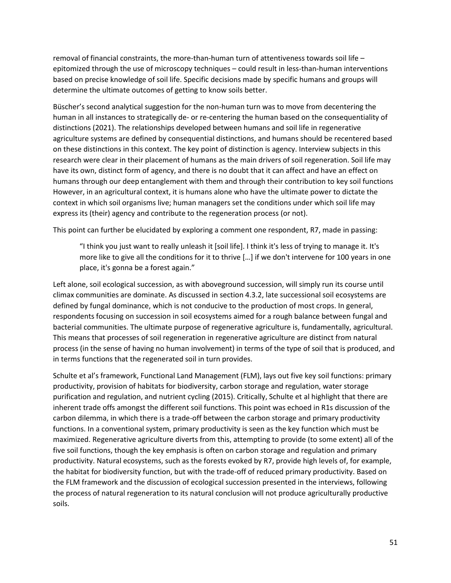removal of financial constraints, the more-than-human turn of attentiveness towards soil life – epitomized through the use of microscopy techniques – could result in less-than-human interventions based on precise knowledge of soil life. Specific decisions made by specific humans and groups will determine the ultimate outcomes of getting to know soils better.

Büscher's second analytical suggestion for the non-human turn was to move from decentering the human in all instances to strategically de- or re-centering the human based on the consequentiality of distinctions (2021). The relationships developed between humans and soil life in regenerative agriculture systems are defined by consequential distinctions, and humans should be recentered based on these distinctions in this context. The key point of distinction is agency. Interview subjects in this research were clear in their placement of humans as the main drivers of soil regeneration. Soil life may have its own, distinct form of agency, and there is no doubt that it can affect and have an effect on humans through our deep entanglement with them and through their contribution to key soil functions However, in an agricultural context, it is humans alone who have the ultimate power to dictate the context in which soil organisms live; human managers set the conditions under which soil life may express its (their) agency and contribute to the regeneration process (or not).

This point can further be elucidated by exploring a comment one respondent, R7, made in passing:

"I think you just want to really unleash it [soil life]. I think it's less of trying to manage it. It's more like to give all the conditions for it to thrive […] if we don't intervene for 100 years in one place, it's gonna be a forest again."

Left alone, soil ecological succession, as with aboveground succession, will simply run its course until climax communities are dominate. As discussed in section 4.3.2, late successional soil ecosystems are defined by fungal dominance, which is not conducive to the production of most crops. In general, respondents focusing on succession in soil ecosystems aimed for a rough balance between fungal and bacterial communities. The ultimate purpose of regenerative agriculture is, fundamentally, agricultural. This means that processes of soil regeneration in regenerative agriculture are distinct from natural process (in the sense of having no human involvement) in terms of the type of soil that is produced, and in terms functions that the regenerated soil in turn provides.

Schulte et al's framework, Functional Land Management (FLM), lays out five key soil functions: primary productivity, provision of habitats for biodiversity, carbon storage and regulation, water storage purification and regulation, and nutrient cycling (2015). Critically, Schulte et al highlight that there are inherent trade offs amongst the different soil functions. This point was echoed in R1s discussion of the carbon dilemma, in which there is a trade-off between the carbon storage and primary productivity functions. In a conventional system, primary productivity is seen as the key function which must be maximized. Regenerative agriculture diverts from this, attempting to provide (to some extent) all of the five soil functions, though the key emphasis is often on carbon storage and regulation and primary productivity. Natural ecosystems, such as the forests evoked by R7, provide high levels of, for example, the habitat for biodiversity function, but with the trade-off of reduced primary productivity. Based on the FLM framework and the discussion of ecological succession presented in the interviews, following the process of natural regeneration to its natural conclusion will not produce agriculturally productive soils.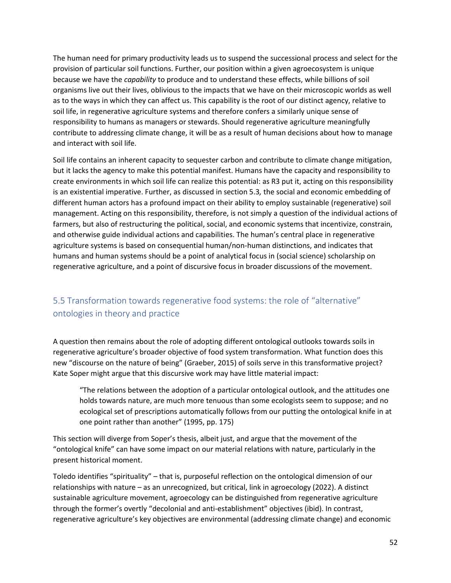The human need for primary productivity leads us to suspend the successional process and select for the provision of particular soil functions. Further, our position within a given agroecosystem is unique because we have the *capability* to produce and to understand these effects, while billions of soil organisms live out their lives, oblivious to the impacts that we have on their microscopic worlds as well as to the ways in which they can affect us. This capability is the root of our distinct agency, relative to soil life, in regenerative agriculture systems and therefore confers a similarly unique sense of responsibility to humans as managers or stewards. Should regenerative agriculture meaningfully contribute to addressing climate change, it will be as a result of human decisions about how to manage and interact with soil life.

Soil life contains an inherent capacity to sequester carbon and contribute to climate change mitigation, but it lacks the agency to make this potential manifest. Humans have the capacity and responsibility to create environments in which soil life can realize this potential: as R3 put it, acting on this responsibility is an existential imperative. Further, as discussed in section 5.3*,* the social and economic embedding of different human actors has a profound impact on their ability to employ sustainable (regenerative) soil management. Acting on this responsibility, therefore, is not simply a question of the individual actions of farmers, but also of restructuring the political, social, and economic systems that incentivize, constrain, and otherwise guide individual actions and capabilities. The human's central place in regenerative agriculture systems is based on consequential human/non-human distinctions, and indicates that humans and human systems should be a point of analytical focus in (social science) scholarship on regenerative agriculture, and a point of discursive focus in broader discussions of the movement.

# <span id="page-52-0"></span>5.5 Transformation towards regenerative food systems: the role of "alternative" ontologies in theory and practice

A question then remains about the role of adopting different ontological outlooks towards soils in regenerative agriculture's broader objective of food system transformation. What function does this new "discourse on the nature of being" (Graeber, 2015) of soils serve in this transformative project? Kate Soper might argue that this discursive work may have little material impact:

"The relations between the adoption of a particular ontological outlook, and the attitudes one holds towards nature, are much more tenuous than some ecologists seem to suppose; and no ecological set of prescriptions automatically follows from our putting the ontological knife in at one point rather than another" (1995, pp. 175)

This section will diverge from Soper's thesis, albeit just, and argue that the movement of the "ontological knife" can have some impact on our material relations with nature, particularly in the present historical moment.

Toledo identifies "spirituality" – that is, purposeful reflection on the ontological dimension of our relationships with nature – as an unrecognized, but critical, link in agroecology (2022). A distinct sustainable agriculture movement, agroecology can be distinguished from regenerative agriculture through the former's overtly "decolonial and anti-establishment" objectives (ibid). In contrast, regenerative agriculture's key objectives are environmental (addressing climate change) and economic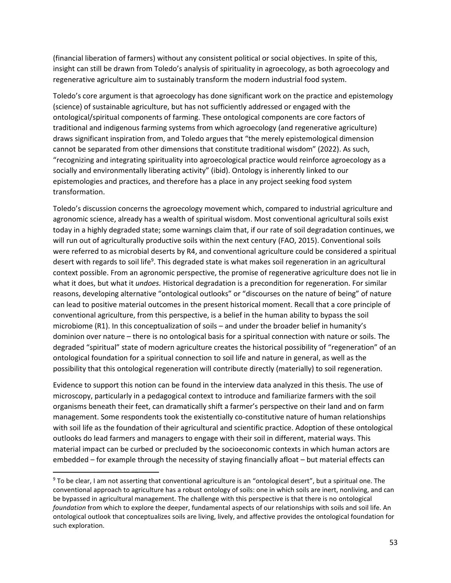(financial liberation of farmers) without any consistent political or social objectives. In spite of this, insight can still be drawn from Toledo's analysis of spirituality in agroecology, as both agroecology and regenerative agriculture aim to sustainably transform the modern industrial food system.

Toledo's core argument is that agroecology has done significant work on the practice and epistemology (science) of sustainable agriculture, but has not sufficiently addressed or engaged with the ontological/spiritual components of farming. These ontological components are core factors of traditional and indigenous farming systems from which agroecology (and regenerative agriculture) draws significant inspiration from, and Toledo argues that "the merely epistemological dimension cannot be separated from other dimensions that constitute traditional wisdom" (2022). As such, "recognizing and integrating spirituality into agroecological practice would reinforce agroecology as a socially and environmentally liberating activity" (ibid). Ontology is inherently linked to our epistemologies and practices, and therefore has a place in any project seeking food system transformation.

Toledo's discussion concerns the agroecology movement which, compared to industrial agriculture and agronomic science, already has a wealth of spiritual wisdom. Most conventional agricultural soils exist today in a highly degraded state; some warnings claim that, if our rate of soil degradation continues, we will run out of agriculturally productive soils within the next century (FAO, 2015). Conventional soils were referred to as microbial deserts by R4, and conventional agriculture could be considered a spiritual desert with regards to soil life<sup>9</sup>. This degraded state is what makes soil regeneration in an agricultural context possible. From an agronomic perspective, the promise of regenerative agriculture does not lie in what it does, but what it *undoes.* Historical degradation is a precondition for regeneration. For similar reasons, developing alternative "ontological outlooks" or "discourses on the nature of being" of nature can lead to positive material outcomes in the present historical moment. Recall that a core principle of conventional agriculture, from this perspective, is a belief in the human ability to bypass the soil microbiome (R1). In this conceptualization of soils – and under the broader belief in humanity's dominion over nature – there is no ontological basis for a spiritual connection with nature or soils. The degraded "spiritual" state of modern agriculture creates the historical possibility of "regeneration" of an ontological foundation for a spiritual connection to soil life and nature in general, as well as the possibility that this ontological regeneration will contribute directly (materially) to soil regeneration.

Evidence to support this notion can be found in the interview data analyzed in this thesis. The use of microscopy, particularly in a pedagogical context to introduce and familiarize farmers with the soil organisms beneath their feet, can dramatically shift a farmer's perspective on their land and on farm management. Some respondents took the existentially co-constitutive nature of human relationships with soil life as the foundation of their agricultural and scientific practice. Adoption of these ontological outlooks do lead farmers and managers to engage with their soil in different, material ways. This material impact can be curbed or precluded by the socioeconomic contexts in which human actors are embedded – for example through the necessity of staying financially afloat – but material effects can

<sup>9</sup> To be clear, I am not asserting that conventional agriculture is an "ontological desert", but a spiritual one. The conventional approach to agriculture has a robust ontology of soils: one in which soils are inert, nonliving, and can be bypassed in agricultural management. The challenge with this perspective is that there is no ontological *foundation* from which to explore the deeper, fundamental aspects of our relationships with soils and soil life. An ontological outlook that conceptualizes soils are living, lively, and affective provides the ontological foundation for such exploration.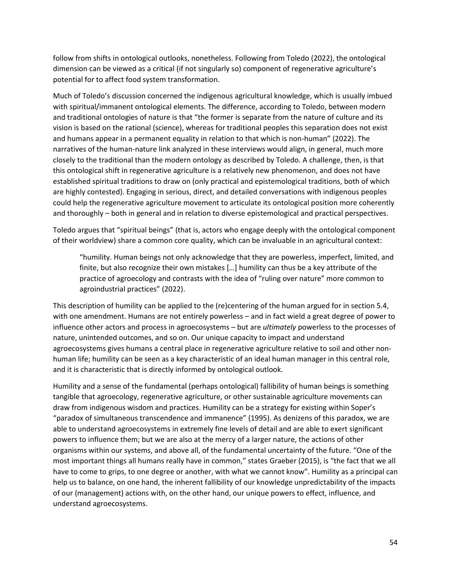follow from shifts in ontological outlooks, nonetheless. Following from Toledo (2022), the ontological dimension can be viewed as a critical (if not singularly so) component of regenerative agriculture's potential for to affect food system transformation.

Much of Toledo's discussion concerned the indigenous agricultural knowledge, which is usually imbued with spiritual/immanent ontological elements. The difference, according to Toledo, between modern and traditional ontologies of nature is that "the former is separate from the nature of culture and its vision is based on the rational (science), whereas for traditional peoples this separation does not exist and humans appear in a permanent equality in relation to that which is non-human" (2022). The narratives of the human-nature link analyzed in these interviews would align, in general, much more closely to the traditional than the modern ontology as described by Toledo. A challenge, then, is that this ontological shift in regenerative agriculture is a relatively new phenomenon, and does not have established spiritual traditions to draw on (only practical and epistemological traditions, both of which are highly contested). Engaging in serious, direct, and detailed conversations with indigenous peoples could help the regenerative agriculture movement to articulate its ontological position more coherently and thoroughly – both in general and in relation to diverse epistemological and practical perspectives.

Toledo argues that "spiritual beings" (that is, actors who engage deeply with the ontological component of their worldview) share a common core quality, which can be invaluable in an agricultural context:

"humility. Human beings not only acknowledge that they are powerless, imperfect, limited, and finite, but also recognize their own mistakes […] humility can thus be a key attribute of the practice of agroecology and contrasts with the idea of "ruling over nature" more common to agroindustrial practices" (2022).

This description of humility can be applied to the (re)centering of the human argued for in section 5.4, with one amendment. Humans are not entirely powerless – and in fact wield a great degree of power to influence other actors and process in agroecosystems – but are *ultimately* powerless to the processes of nature, unintended outcomes, and so on. Our unique capacity to impact and understand agroecosystems gives humans a central place in regenerative agriculture relative to soil and other nonhuman life; humility can be seen as a key characteristic of an ideal human manager in this central role, and it is characteristic that is directly informed by ontological outlook.

Humility and a sense of the fundamental (perhaps ontological) fallibility of human beings is something tangible that agroecology, regenerative agriculture, or other sustainable agriculture movements can draw from indigenous wisdom and practices. Humility can be a strategy for existing within Soper's "paradox of simultaneous transcendence and immanence" (1995). As denizens of this paradox, we are able to understand agroecosystems in extremely fine levels of detail and are able to exert significant powers to influence them; but we are also at the mercy of a larger nature, the actions of other organisms within our systems, and above all, of the fundamental uncertainty of the future. "One of the most important things all humans really have in common," states Graeber (2015), is "the fact that we all have to come to grips, to one degree or another, with what we cannot know". Humility as a principal can help us to balance, on one hand, the inherent fallibility of our knowledge unpredictability of the impacts of our (management) actions with, on the other hand, our unique powers to effect, influence, and understand agroecosystems.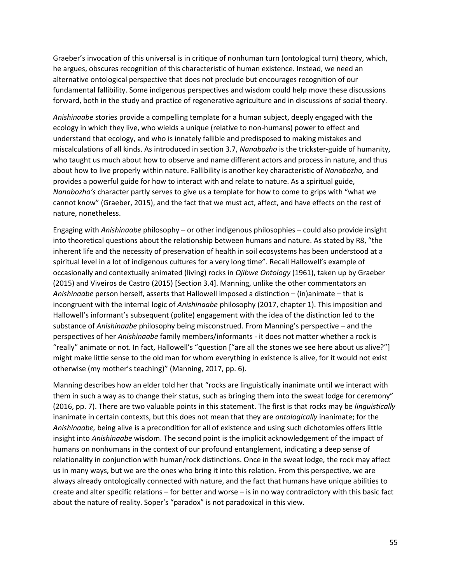Graeber's invocation of this universal is in critique of nonhuman turn (ontological turn) theory, which, he argues, obscures recognition of this characteristic of human existence. Instead, we need an alternative ontological perspective that does not preclude but encourages recognition of our fundamental fallibility. Some indigenous perspectives and wisdom could help move these discussions forward, both in the study and practice of regenerative agriculture and in discussions of social theory.

*Anishinaabe* stories provide a compelling template for a human subject, deeply engaged with the ecology in which they live, who wields a unique (relative to non-humans) power to effect and understand that ecology, and who is innately fallible and predisposed to making mistakes and miscalculations of all kinds. As introduced in section 3.7, *Nanabozho* is the trickster-guide of humanity, who taught us much about how to observe and name different actors and process in nature, and thus about how to live properly within nature. Fallibility is another key characteristic of *Nanabozho,* and provides a powerful guide for how to interact with and relate to nature. As a spiritual guide, *Nanabozho's* character partly serves to give us a template for how to come to grips with "what we cannot know" (Graeber, 2015), and the fact that we must act, affect, and have effects on the rest of nature, nonetheless.

Engaging with *Anishinaabe* philosophy – or other indigenous philosophies – could also provide insight into theoretical questions about the relationship between humans and nature. As stated by R8, "the inherent life and the necessity of preservation of health in soil ecosystems has been understood at a spiritual level in a lot of indigenous cultures for a very long time". Recall Hallowell's example of occasionally and contextually animated (living) rocks in *Ojibwe Ontology* (1961), taken up by Graeber (2015) and Viveiros de Castro (2015) [Section 3.4]. Manning, unlike the other commentators an *Anishinaabe* person herself, asserts that Hallowell imposed a distinction – (in)animate – that is incongruent with the internal logic of *Anishinaabe* philosophy (2017, chapter 1). This imposition and Hallowell's informant's subsequent (polite) engagement with the idea of the distinction led to the substance of *Anishinaabe* philosophy being misconstrued. From Manning's perspective – and the perspectives of her *Anishinaabe* family members/informants - it does not matter whether a rock is "really" animate or not. In fact, Hallowell's "question ["are all the stones we see here about us alive?"] might make little sense to the old man for whom everything in existence is alive, for it would not exist otherwise (my mother's teaching)" (Manning, 2017, pp. 6).

Manning describes how an elder told her that "rocks are linguistically inanimate until we interact with them in such a way as to change their status, such as bringing them into the sweat lodge for ceremony" (2016, pp. 7). There are two valuable points in this statement. The first is that rocks may be *linguistically*  inanimate in certain contexts, but this does not mean that they are *ontologically* inanimate; for the *Anishinaabe,* being alive is a precondition for all of existence and using such dichotomies offers little insight into *Anishinaabe* wisdom. The second point is the implicit acknowledgement of the impact of humans on nonhumans in the context of our profound entanglement, indicating a deep sense of relationality in conjunction with human/rock distinctions. Once in the sweat lodge, the rock may affect us in many ways, but we are the ones who bring it into this relation. From this perspective, we are always already ontologically connected with nature, and the fact that humans have unique abilities to create and alter specific relations – for better and worse – is in no way contradictory with this basic fact about the nature of reality. Soper's "paradox" is not paradoxical in this view.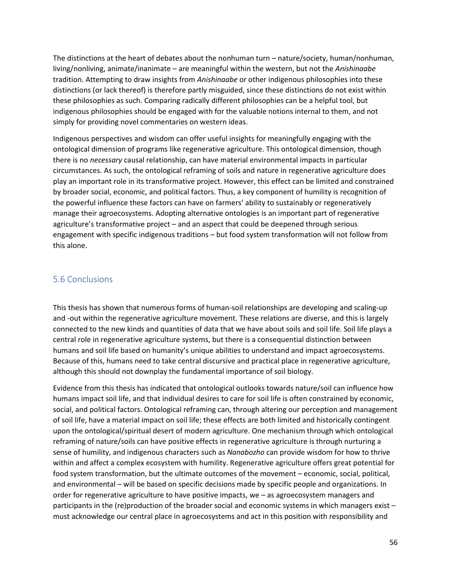The distinctions at the heart of debates about the nonhuman turn – nature/society, human/nonhuman, living/nonliving, animate/inanimate – are meaningful within the western, but not the *Anishinaabe*  tradition. Attempting to draw insights from *Anishinaabe* or other indigenous philosophies into these distinctions (or lack thereof) is therefore partly misguided, since these distinctions do not exist within these philosophies as such. Comparing radically different philosophies can be a helpful tool, but indigenous philosophies should be engaged with for the valuable notions internal to them, and not simply for providing novel commentaries on western ideas.

Indigenous perspectives and wisdom can offer useful insights for meaningfully engaging with the ontological dimension of programs like regenerative agriculture. This ontological dimension, though there is no *necessary* causal relationship, can have material environmental impacts in particular circumstances. As such, the ontological reframing of soils and nature in regenerative agriculture does play an important role in its transformative project. However, this effect can be limited and constrained by broader social, economic, and political factors. Thus, a key component of humility is recognition of the powerful influence these factors can have on farmers' ability to sustainably or regeneratively manage their agroecosystems. Adopting alternative ontologies is an important part of regenerative agriculture's transformative project – and an aspect that could be deepened through serious engagement with specific indigenous traditions – but food system transformation will not follow from this alone.

#### <span id="page-56-0"></span>5.6 Conclusions

This thesis has shown that numerous forms of human-soil relationships are developing and scaling-up and -out within the regenerative agriculture movement. These relations are diverse, and this is largely connected to the new kinds and quantities of data that we have about soils and soil life. Soil life plays a central role in regenerative agriculture systems, but there is a consequential distinction between humans and soil life based on humanity's unique abilities to understand and impact agroecosystems. Because of this, humans need to take central discursive and practical place in regenerative agriculture, although this should not downplay the fundamental importance of soil biology.

Evidence from this thesis has indicated that ontological outlooks towards nature/soil can influence how humans impact soil life, and that individual desires to care for soil life is often constrained by economic, social, and political factors. Ontological reframing can, through altering our perception and management of soil life, have a material impact on soil life; these effects are both limited and historically contingent upon the ontological/spiritual desert of modern agriculture. One mechanism through which ontological reframing of nature/soils can have positive effects in regenerative agriculture is through nurturing a sense of humility, and indigenous characters such as *Nanabozho* can provide wisdom for how to thrive within and affect a complex ecosystem with humility. Regenerative agriculture offers great potential for food system transformation, but the ultimate outcomes of the movement – economic, social, political, and environmental – will be based on specific decisions made by specific people and organizations. In order for regenerative agriculture to have positive impacts, we – as agroecosystem managers and participants in the (re)production of the broader social and economic systems in which managers exist – must acknowledge our central place in agroecosystems and act in this position with responsibility and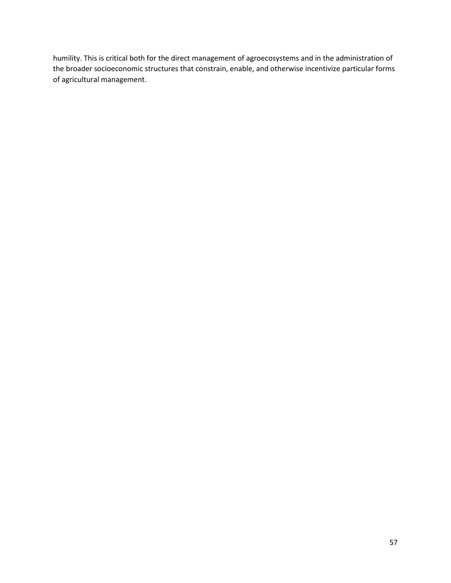humility. This is critical both for the direct management of agroecosystems and in the administration of the broader socioeconomic structures that constrain, enable, and otherwise incentivize particular forms of agricultural management.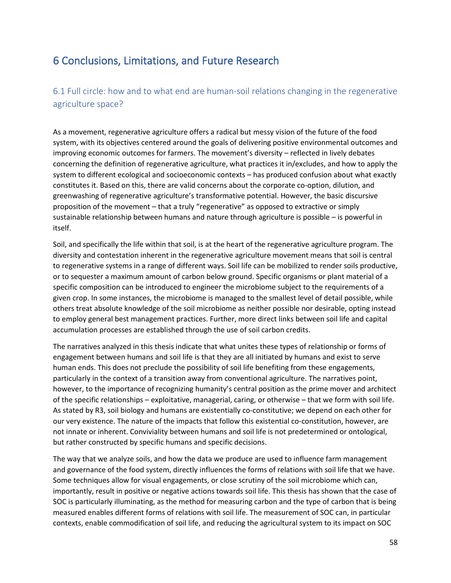# <span id="page-58-0"></span>6 Conclusions, Limitations, and Future Research

## <span id="page-58-1"></span>6.1 Full circle: how and to what end are human-soil relations changing in the regenerative agriculture space?

As a movement, regenerative agriculture offers a radical but messy vision of the future of the food system, with its objectives centered around the goals of delivering positive environmental outcomes and improving economic outcomes for farmers. The movement's diversity – reflected in lively debates concerning the definition of regenerative agriculture, what practices it in/excludes, and how to apply the system to different ecological and socioeconomic contexts – has produced confusion about what exactly constitutes it. Based on this, there are valid concerns about the corporate co-option, dilution, and greenwashing of regenerative agriculture's transformative potential. However, the basic discursive proposition of the movement – that a truly "regenerative" as opposed to extractive or simply sustainable relationship between humans and nature through agriculture is possible – is powerful in itself.

Soil, and specifically the life within that soil, is at the heart of the regenerative agriculture program. The diversity and contestation inherent in the regenerative agriculture movement means that soil is central to regenerative systems in a range of different ways. Soil life can be mobilized to render soils productive, or to sequester a maximum amount of carbon below ground. Specific organisms or plant material of a specific composition can be introduced to engineer the microbiome subject to the requirements of a given crop. In some instances, the microbiome is managed to the smallest level of detail possible, while others treat absolute knowledge of the soil microbiome as neither possible nor desirable, opting instead to employ general best management practices. Further, more direct links between soil life and capital accumulation processes are established through the use of soil carbon credits.

The narratives analyzed in this thesis indicate that what unites these types of relationship or forms of engagement between humans and soil life is that they are all initiated by humans and exist to serve human ends. This does not preclude the possibility of soil life benefiting from these engagements, particularly in the context of a transition away from conventional agriculture. The narratives point, however, to the importance of recognizing humanity's central position as the prime mover and architect of the specific relationships – exploitative, managerial, caring, or otherwise – that we form with soil life. As stated by R3, soil biology and humans are existentially co-constitutive; we depend on each other for our very existence. The nature of the impacts that follow this existential co-constitution, however, are not innate or inherent. Conviviality between humans and soil life is not predetermined or ontological, but rather constructed by specific humans and specific decisions.

The way that we analyze soils, and how the data we produce are used to influence farm management and governance of the food system, directly influences the forms of relations with soil life that we have. Some techniques allow for visual engagements, or close scrutiny of the soil microbiome which can, importantly, result in positive or negative actions towards soil life. This thesis has shown that the case of SOC is particularly illuminating, as the method for measuring carbon and the type of carbon that is being measured enables different forms of relations with soil life. The measurement of SOC can, in particular contexts, enable commodification of soil life, and reducing the agricultural system to its impact on SOC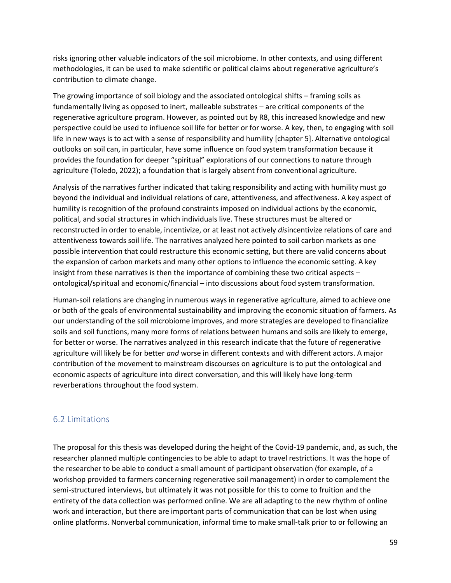risks ignoring other valuable indicators of the soil microbiome. In other contexts, and using different methodologies, it can be used to make scientific or political claims about regenerative agriculture's contribution to climate change.

The growing importance of soil biology and the associated ontological shifts – framing soils as fundamentally living as opposed to inert, malleable substrates – are critical components of the regenerative agriculture program. However, as pointed out by R8, this increased knowledge and new perspective could be used to influence soil life for better or for worse. A key, then, to engaging with soil life in new ways is to act with a sense of responsibility and humility [chapter 5]. Alternative ontological outlooks on soil can, in particular, have some influence on food system transformation because it provides the foundation for deeper "spiritual" explorations of our connections to nature through agriculture (Toledo, 2022); a foundation that is largely absent from conventional agriculture.

Analysis of the narratives further indicated that taking responsibility and acting with humility must go beyond the individual and individual relations of care, attentiveness, and affectiveness. A key aspect of humility is recognition of the profound constraints imposed on individual actions by the economic, political, and social structures in which individuals live. These structures must be altered or reconstructed in order to enable, incentivize, or at least not actively *dis*incentivize relations of care and attentiveness towards soil life. The narratives analyzed here pointed to soil carbon markets as one possible intervention that could restructure this economic setting, but there are valid concerns about the expansion of carbon markets and many other options to influence the economic setting. A key insight from these narratives is then the importance of combining these two critical aspects – ontological/spiritual and economic/financial – into discussions about food system transformation.

Human-soil relations are changing in numerous ways in regenerative agriculture, aimed to achieve one or both of the goals of environmental sustainability and improving the economic situation of farmers. As our understanding of the soil microbiome improves, and more strategies are developed to financialize soils and soil functions, many more forms of relations between humans and soils are likely to emerge, for better or worse. The narratives analyzed in this research indicate that the future of regenerative agriculture will likely be for better *and* worse in different contexts and with different actors. A major contribution of the movement to mainstream discourses on agriculture is to put the ontological and economic aspects of agriculture into direct conversation, and this will likely have long-term reverberations throughout the food system.

### <span id="page-59-0"></span>6.2 Limitations

The proposal for this thesis was developed during the height of the Covid-19 pandemic, and, as such, the researcher planned multiple contingencies to be able to adapt to travel restrictions. It was the hope of the researcher to be able to conduct a small amount of participant observation (for example, of a workshop provided to farmers concerning regenerative soil management) in order to complement the semi-structured interviews, but ultimately it was not possible for this to come to fruition and the entirety of the data collection was performed online. We are all adapting to the new rhythm of online work and interaction, but there are important parts of communication that can be lost when using online platforms. Nonverbal communication, informal time to make small-talk prior to or following an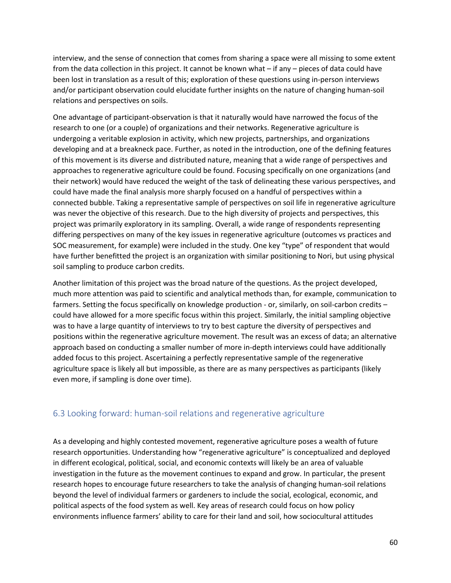interview, and the sense of connection that comes from sharing a space were all missing to some extent from the data collection in this project. It cannot be known what – if any – pieces of data could have been lost in translation as a result of this; exploration of these questions using in-person interviews and/or participant observation could elucidate further insights on the nature of changing human-soil relations and perspectives on soils.

One advantage of participant-observation is that it naturally would have narrowed the focus of the research to one (or a couple) of organizations and their networks. Regenerative agriculture is undergoing a veritable explosion in activity, which new projects, partnerships, and organizations developing and at a breakneck pace. Further, as noted in the introduction, one of the defining features of this movement is its diverse and distributed nature, meaning that a wide range of perspectives and approaches to regenerative agriculture could be found. Focusing specifically on one organizations (and their network) would have reduced the weight of the task of delineating these various perspectives, and could have made the final analysis more sharply focused on a handful of perspectives within a connected bubble. Taking a representative sample of perspectives on soil life in regenerative agriculture was never the objective of this research. Due to the high diversity of projects and perspectives, this project was primarily exploratory in its sampling. Overall, a wide range of respondents representing differing perspectives on many of the key issues in regenerative agriculture (outcomes vs practices and SOC measurement, for example) were included in the study. One key "type" of respondent that would have further benefitted the project is an organization with similar positioning to Nori, but using physical soil sampling to produce carbon credits.

Another limitation of this project was the broad nature of the questions. As the project developed, much more attention was paid to scientific and analytical methods than, for example, communication to farmers. Setting the focus specifically on knowledge production - or, similarly, on soil-carbon credits – could have allowed for a more specific focus within this project. Similarly, the initial sampling objective was to have a large quantity of interviews to try to best capture the diversity of perspectives and positions within the regenerative agriculture movement. The result was an excess of data; an alternative approach based on conducting a smaller number of more in-depth interviews could have additionally added focus to this project. Ascertaining a perfectly representative sample of the regenerative agriculture space is likely all but impossible, as there are as many perspectives as participants (likely even more, if sampling is done over time).

#### <span id="page-60-0"></span>6.3 Looking forward: human-soil relations and regenerative agriculture

As a developing and highly contested movement, regenerative agriculture poses a wealth of future research opportunities. Understanding how "regenerative agriculture" is conceptualized and deployed in different ecological, political, social, and economic contexts will likely be an area of valuable investigation in the future as the movement continues to expand and grow. In particular, the present research hopes to encourage future researchers to take the analysis of changing human-soil relations beyond the level of individual farmers or gardeners to include the social, ecological, economic, and political aspects of the food system as well. Key areas of research could focus on how policy environments influence farmers' ability to care for their land and soil, how sociocultural attitudes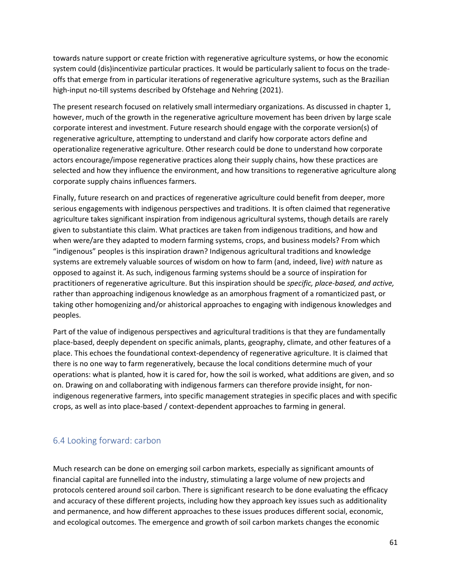towards nature support or create friction with regenerative agriculture systems, or how the economic system could (dis)incentivize particular practices. It would be particularly salient to focus on the tradeoffs that emerge from in particular iterations of regenerative agriculture systems, such as the Brazilian high-input no-till systems described by Ofstehage and Nehring (2021).

The present research focused on relatively small intermediary organizations. As discussed in chapter 1, however, much of the growth in the regenerative agriculture movement has been driven by large scale corporate interest and investment. Future research should engage with the corporate version(s) of regenerative agriculture, attempting to understand and clarify how corporate actors define and operationalize regenerative agriculture. Other research could be done to understand how corporate actors encourage/impose regenerative practices along their supply chains, how these practices are selected and how they influence the environment, and how transitions to regenerative agriculture along corporate supply chains influences farmers.

Finally, future research on and practices of regenerative agriculture could benefit from deeper, more serious engagements with indigenous perspectives and traditions. It is often claimed that regenerative agriculture takes significant inspiration from indigenous agricultural systems, though details are rarely given to substantiate this claim. What practices are taken from indigenous traditions, and how and when were/are they adapted to modern farming systems, crops, and business models? From which "indigenous" peoples is this inspiration drawn? Indigenous agricultural traditions and knowledge systems are extremely valuable sources of wisdom on how to farm (and, indeed, live) *with* nature as opposed to against it. As such, indigenous farming systems should be a source of inspiration for practitioners of regenerative agriculture. But this inspiration should be *specific, place-based, and active,*  rather than approaching indigenous knowledge as an amorphous fragment of a romanticized past, or taking other homogenizing and/or ahistorical approaches to engaging with indigenous knowledges and peoples.

Part of the value of indigenous perspectives and agricultural traditions is that they are fundamentally place-based, deeply dependent on specific animals, plants, geography, climate, and other features of a place. This echoes the foundational context-dependency of regenerative agriculture. It is claimed that there is no one way to farm regeneratively, because the local conditions determine much of your operations: what is planted, how it is cared for, how the soil is worked, what additions are given, and so on. Drawing on and collaborating with indigenous farmers can therefore provide insight, for nonindigenous regenerative farmers, into specific management strategies in specific places and with specific crops, as well as into place-based / context-dependent approaches to farming in general.

### <span id="page-61-0"></span>6.4 Looking forward: carbon

Much research can be done on emerging soil carbon markets, especially as significant amounts of financial capital are funnelled into the industry, stimulating a large volume of new projects and protocols centered around soil carbon. There is significant research to be done evaluating the efficacy and accuracy of these different projects, including how they approach key issues such as additionality and permanence, and how different approaches to these issues produces different social, economic, and ecological outcomes. The emergence and growth of soil carbon markets changes the economic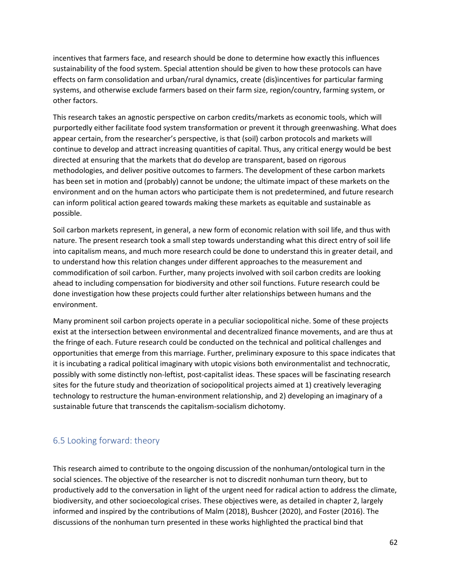incentives that farmers face, and research should be done to determine how exactly this influences sustainability of the food system. Special attention should be given to how these protocols can have effects on farm consolidation and urban/rural dynamics, create (dis)incentives for particular farming systems, and otherwise exclude farmers based on their farm size, region/country, farming system, or other factors.

This research takes an agnostic perspective on carbon credits/markets as economic tools, which will purportedly either facilitate food system transformation or prevent it through greenwashing. What does appear certain, from the researcher's perspective, is that (soil) carbon protocols and markets will continue to develop and attract increasing quantities of capital. Thus, any critical energy would be best directed at ensuring that the markets that do develop are transparent, based on rigorous methodologies, and deliver positive outcomes to farmers. The development of these carbon markets has been set in motion and (probably) cannot be undone; the ultimate impact of these markets on the environment and on the human actors who participate them is not predetermined, and future research can inform political action geared towards making these markets as equitable and sustainable as possible.

Soil carbon markets represent, in general, a new form of economic relation with soil life, and thus with nature. The present research took a small step towards understanding what this direct entry of soil life into capitalism means, and much more research could be done to understand this in greater detail, and to understand how this relation changes under different approaches to the measurement and commodification of soil carbon. Further, many projects involved with soil carbon credits are looking ahead to including compensation for biodiversity and other soil functions. Future research could be done investigation how these projects could further alter relationships between humans and the environment.

Many prominent soil carbon projects operate in a peculiar sociopolitical niche. Some of these projects exist at the intersection between environmental and decentralized finance movements, and are thus at the fringe of each. Future research could be conducted on the technical and political challenges and opportunities that emerge from this marriage. Further, preliminary exposure to this space indicates that it is incubating a radical political imaginary with utopic visions both environmentalist and technocratic, possibly with some distinctly non-leftist, post-capitalist ideas. These spaces will be fascinating research sites for the future study and theorization of sociopolitical projects aimed at 1) creatively leveraging technology to restructure the human-environment relationship, and 2) developing an imaginary of a sustainable future that transcends the capitalism-socialism dichotomy.

### <span id="page-62-0"></span>6.5 Looking forward: theory

This research aimed to contribute to the ongoing discussion of the nonhuman/ontological turn in the social sciences. The objective of the researcher is not to discredit nonhuman turn theory, but to productively add to the conversation in light of the urgent need for radical action to address the climate, biodiversity, and other socioecological crises. These objectives were, as detailed in chapter 2, largely informed and inspired by the contributions of Malm (2018), Bushcer (2020), and Foster (2016). The discussions of the nonhuman turn presented in these works highlighted the practical bind that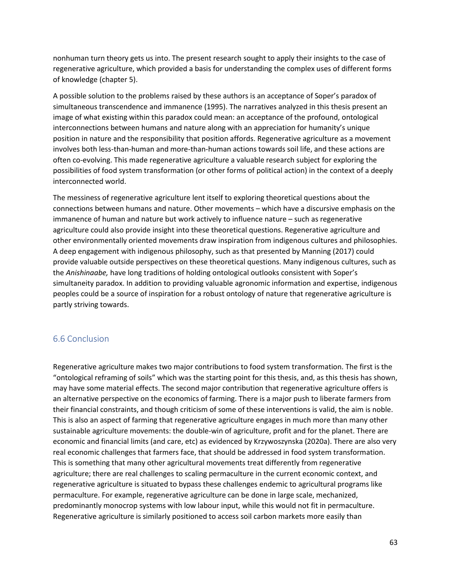nonhuman turn theory gets us into. The present research sought to apply their insights to the case of regenerative agriculture, which provided a basis for understanding the complex uses of different forms of knowledge (chapter 5).

A possible solution to the problems raised by these authors is an acceptance of Soper's paradox of simultaneous transcendence and immanence (1995). The narratives analyzed in this thesis present an image of what existing within this paradox could mean: an acceptance of the profound, ontological interconnections between humans and nature along with an appreciation for humanity's unique position in nature and the responsibility that position affords. Regenerative agriculture as a movement involves both less-than-human and more-than-human actions towards soil life, and these actions are often co-evolving. This made regenerative agriculture a valuable research subject for exploring the possibilities of food system transformation (or other forms of political action) in the context of a deeply interconnected world.

The messiness of regenerative agriculture lent itself to exploring theoretical questions about the connections between humans and nature. Other movements – which have a discursive emphasis on the immanence of human and nature but work actively to influence nature – such as regenerative agriculture could also provide insight into these theoretical questions. Regenerative agriculture and other environmentally oriented movements draw inspiration from indigenous cultures and philosophies. A deep engagement with indigenous philosophy, such as that presented by Manning (2017) could provide valuable outside perspectives on these theoretical questions. Many indigenous cultures, such as the *Anishinaabe,* have long traditions of holding ontological outlooks consistent with Soper's simultaneity paradox. In addition to providing valuable agronomic information and expertise, indigenous peoples could be a source of inspiration for a robust ontology of nature that regenerative agriculture is partly striving towards.

### <span id="page-63-0"></span>6.6 Conclusion

Regenerative agriculture makes two major contributions to food system transformation. The first is the "ontological reframing of soils" which was the starting point for this thesis, and, as this thesis has shown, may have some material effects. The second major contribution that regenerative agriculture offers is an alternative perspective on the economics of farming. There is a major push to liberate farmers from their financial constraints, and though criticism of some of these interventions is valid, the aim is noble. This is also an aspect of farming that regenerative agriculture engages in much more than many other sustainable agriculture movements: the double-win of agriculture, profit and for the planet. There are economic and financial limits (and care, etc) as evidenced by Krzywoszynska (2020a). There are also very real economic challenges that farmers face, that should be addressed in food system transformation. This is something that many other agricultural movements treat differently from regenerative agriculture; there are real challenges to scaling permaculture in the current economic context, and regenerative agriculture is situated to bypass these challenges endemic to agricultural programs like permaculture. For example, regenerative agriculture can be done in large scale, mechanized, predominantly monocrop systems with low labour input, while this would not fit in permaculture. Regenerative agriculture is similarly positioned to access soil carbon markets more easily than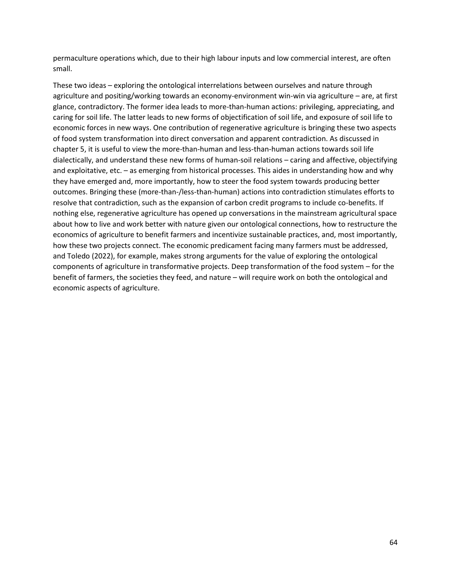permaculture operations which, due to their high labour inputs and low commercial interest, are often small.

These two ideas – exploring the ontological interrelations between ourselves and nature through agriculture and positing/working towards an economy-environment win-win via agriculture – are, at first glance, contradictory. The former idea leads to more-than-human actions: privileging, appreciating, and caring for soil life. The latter leads to new forms of objectification of soil life, and exposure of soil life to economic forces in new ways. One contribution of regenerative agriculture is bringing these two aspects of food system transformation into direct conversation and apparent contradiction. As discussed in chapter 5, it is useful to view the more-than-human and less-than-human actions towards soil life dialectically, and understand these new forms of human-soil relations – caring and affective, objectifying and exploitative, etc. – as emerging from historical processes. This aides in understanding how and why they have emerged and, more importantly, how to steer the food system towards producing better outcomes. Bringing these (more-than-/less-than-human) actions into contradiction stimulates efforts to resolve that contradiction, such as the expansion of carbon credit programs to include co-benefits. If nothing else, regenerative agriculture has opened up conversations in the mainstream agricultural space about how to live and work better with nature given our ontological connections, how to restructure the economics of agriculture to benefit farmers and incentivize sustainable practices, and, most importantly, how these two projects connect. The economic predicament facing many farmers must be addressed, and Toledo (2022), for example, makes strong arguments for the value of exploring the ontological components of agriculture in transformative projects. Deep transformation of the food system – for the benefit of farmers, the societies they feed, and nature – will require work on both the ontological and economic aspects of agriculture.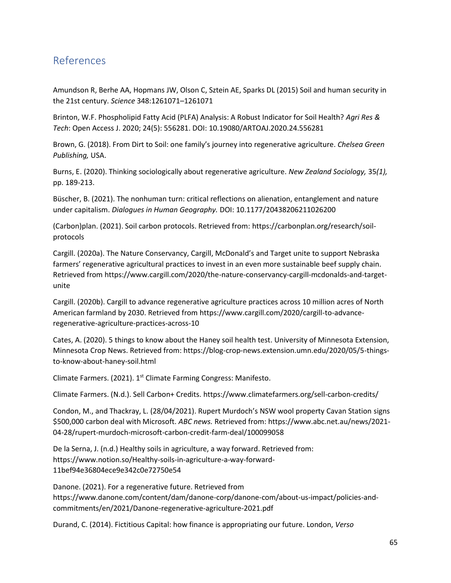# <span id="page-65-0"></span>References

Amundson R, Berhe AA, Hopmans JW, Olson C, Sztein AE, Sparks DL (2015) Soil and human security in the 21st century. *Science* 348:1261071–1261071

Brinton, W.F. Phospholipid Fatty Acid (PLFA) Analysis: A Robust Indicator for Soil Health? *Agri Res & Tech*: Open Access J. 2020; 24(5): 556281. DOI: 10.19080/ARTOAJ.2020.24.556281

Brown, G. (2018). From Dirt to Soil: one family's journey into regenerative agriculture. *Chelsea Green Publishing,* USA.

Burns, E. (2020). Thinking sociologically about regenerative agriculture. *New Zealand Sociology,* 35*(1),*  pp. 189-213.

Büscher, B. (2021). The nonhuman turn: critical reflections on alienation, entanglement and nature under capitalism. *Dialogues in Human Geography.* DOI: 10.1177/20438206211026200

(Carbon)plan. (2021). Soil carbon protocols. Retrieved from: https://carbonplan.org/research/soilprotocols

Cargill. (2020a). The Nature Conservancy, Cargill, McDonald's and Target unite to support Nebraska farmers' regenerative agricultural practices to invest in an even more sustainable beef supply chain. Retrieved from https://www.cargill.com/2020/the-nature-conservancy-cargill-mcdonalds-and-targetunite

Cargill. (2020b). Cargill to advance regenerative agriculture practices across 10 million acres of North American farmland by 2030. Retrieved from https://www.cargill.com/2020/cargill-to-advanceregenerative-agriculture-practices-across-10

Cates, A. (2020). 5 things to know about the Haney soil health test. University of Minnesota Extension, Minnesota Crop News. Retrieved from: https://blog-crop-news.extension.umn.edu/2020/05/5-thingsto-know-about-haney-soil.html

Climate Farmers. (2021). 1<sup>st</sup> Climate Farming Congress: Manifesto.

Climate Farmers. (N.d.). Sell Carbon+ Credits. https://www.climatefarmers.org/sell-carbon-credits/

Condon, M., and Thackray, L. (28/04/2021). Rupert Murdoch's NSW wool property Cavan Station signs \$500,000 carbon deal with Microsoft. *ABC news.* Retrieved from: https://www.abc.net.au/news/2021- 04-28/rupert-murdoch-microsoft-carbon-credit-farm-deal/100099058

De la Serna, J. (n.d.) Healthy soils in agriculture, a way forward. Retrieved from: https://www.notion.so/Healthy-soils-in-agriculture-a-way-forward-11bef94e36804ece9e342c0e72750e54

Danone. (2021). For a regenerative future. Retrieved from https://www.danone.com/content/dam/danone-corp/danone-com/about-us-impact/policies-andcommitments/en/2021/Danone-regenerative-agriculture-2021.pdf

Durand, C. (2014). Fictitious Capital: how finance is appropriating our future. London, *Verso*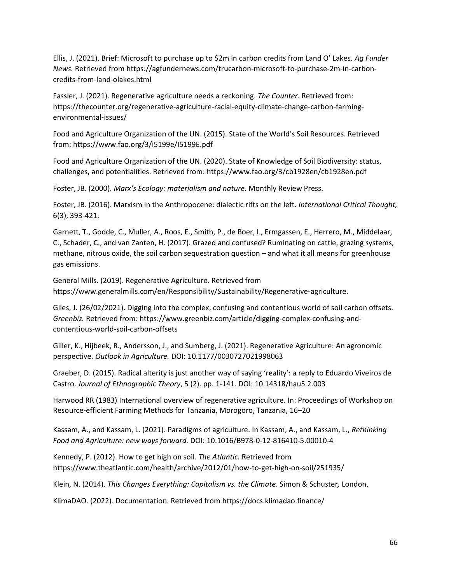Ellis, J. (2021). Brief: Microsoft to purchase up to \$2m in carbon credits from Land O' Lakes. *Ag Funder News.* Retrieved from https://agfundernews.com/trucarbon-microsoft-to-purchase-2m-in-carboncredits-from-land-olakes.html

Fassler, J. (2021). Regenerative agriculture needs a reckoning. *The Counter.* Retrieved from: https://thecounter.org/regenerative-agriculture-racial-equity-climate-change-carbon-farmingenvironmental-issues/

Food and Agriculture Organization of the UN. (2015). State of the World's Soil Resources. Retrieved from: https://www.fao.org/3/i5199e/I5199E.pdf

Food and Agriculture Organization of the UN. (2020). State of Knowledge of Soil Biodiversity: status, challenges, and potentialities. Retrieved from: https://www.fao.org/3/cb1928en/cb1928en.pdf

Foster, JB. (2000). *Marx's Ecology: materialism and nature.* Monthly Review Press.

Foster, JB. (2016). Marxism in the Anthropocene: dialectic rifts on the left. *International Critical Thought,*  6(3), 393-421.

Garnett, T., Godde, C., Muller, A., Roos, E., Smith, P., de Boer, I., Ermgassen, E., Herrero, M., Middelaar, C., Schader, C., and van Zanten, H. (2017). Grazed and confused? Ruminating on cattle, grazing systems, methane, nitrous oxide, the soil carbon sequestration question – and what it all means for greenhouse gas emissions.

General Mills. (2019). Regenerative Agriculture. Retrieved from https://www.generalmills.com/en/Responsibility/Sustainability/Regenerative-agriculture.

Giles, J. (26/02/2021). Digging into the complex, confusing and contentious world of soil carbon offsets. *Greenbiz.* Retrieved from: https://www.greenbiz.com/article/digging-complex-confusing-andcontentious-world-soil-carbon-offsets

Giller, K., Hijbeek, R., Andersson, J., and Sumberg, J. (2021). Regenerative Agriculture: An agronomic perspective. *Outlook in Agriculture.* DOI: 10.1177/0030727021998063

Graeber, D. (2015). Radical alterity is just another way of saying 'reality': a reply to Eduardo Viveiros de Castro. *Journal of Ethnographic Theory*, 5 (2). pp. 1-141. DOI: 10.14318/hau5.2.003

Harwood RR (1983) International overview of regenerative agriculture. In: Proceedings of Workshop on Resource-efficient Farming Methods for Tanzania, Morogoro, Tanzania, 16–20

Kassam, A., and Kassam, L. (2021). Paradigms of agriculture. In Kassam, A., and Kassam, L., *Rethinking Food and Agriculture: new ways forward.* DOI: 10.1016/B978-0-12-816410-5.00010-4

Kennedy, P. (2012). How to get high on soil. *The Atlantic.* Retrieved from https://www.theatlantic.com/health/archive/2012/01/how-to-get-high-on-soil/251935/

Klein, N. (2014). *This Changes Everything: Capitalism vs. the Climate*. Simon & Schuster*,* London.

KlimaDAO. (2022). Documentation. Retrieved from https://docs.klimadao.finance/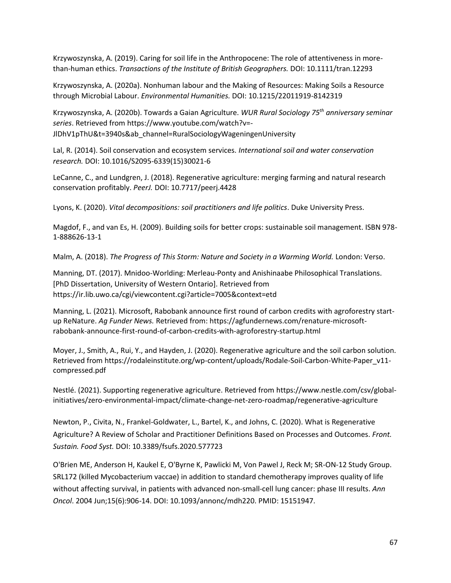Krzywoszynska, A. (2019). Caring for soil life in the Anthropocene: The role of attentiveness in morethan-human ethics. *Transactions of the Institute of British Geographers.* DOI: 10.1111/tran.12293

Krzywoszynska, A. (2020a). Nonhuman labour and the Making of Resources: Making Soils a Resource through Microbial Labour. *Environmental Humanities.* DOI: 10.1215/22011919-8142319

Krzywoszynska, A. (2020b). Towards a Gaian Agriculture. *WUR Rural Sociology 75th anniversary seminar series*. Retrieved from https://www.youtube.com/watch?v=- JlDhV1pThU&t=3940s&ab\_channel=RuralSociologyWageningenUniversity

Lal, R. (2014). Soil conservation and ecosystem services. *International soil and water conservation research.* DOI: 10.1016/S2095-6339(15)30021-6

LeCanne, C., and Lundgren, J. (2018). Regenerative agriculture: merging farming and natural research conservation profitably. *PeerJ.* DOI: 10.7717/peerj.4428

Lyons, K. (2020). *Vital decompositions: soil practitioners and life politics*. Duke University Press.

Magdof, F., and van Es, H. (2009). Building soils for better crops: sustainable soil management. ISBN 978- 1-888626-13-1

Malm, A. (2018). *The Progress of This Storm: Nature and Society in a Warming World.* London: Verso.

Manning, DT. (2017). Mnidoo-Worlding: Merleau-Ponty and Anishinaabe Philosophical Translations. [PhD Dissertation, University of Western Ontario]. Retrieved from https://ir.lib.uwo.ca/cgi/viewcontent.cgi?article=7005&context=etd

Manning, L. (2021). Microsoft, Rabobank announce first round of carbon credits with agroforestry startup ReNature. *Ag Funder News.* Retrieved from: https://agfundernews.com/renature-microsoftrabobank-announce-first-round-of-carbon-credits-with-agroforestry-startup.html

Moyer, J., Smith, A., Rui, Y., and Hayden, J. (2020). Regenerative agriculture and the soil carbon solution. Retrieved from https://rodaleinstitute.org/wp-content/uploads/Rodale-Soil-Carbon-White-Paper\_v11 compressed.pdf

Nestlé. (2021). Supporting regenerative agriculture. Retrieved from [https://www.nestle.com/csv/global](https://www.nestle.com/csv/global-initiatives/zero-environmental-impact/climate-change-net-zero-roadmap/regenerative-agriculture)[initiatives/zero-environmental-impact/climate-change-net-zero-roadmap/regenerative-agriculture](https://www.nestle.com/csv/global-initiatives/zero-environmental-impact/climate-change-net-zero-roadmap/regenerative-agriculture)

Newton, P., Civita, N., Frankel-Goldwater, L., Bartel, K., and Johns, C. (2020). What is Regenerative Agriculture? A Review of Scholar and Practitioner Definitions Based on Processes and Outcomes. *Front. Sustain. Food Syst.* DOI: 10.3389/fsufs.2020.577723

O'Brien ME, Anderson H, Kaukel E, O'Byrne K, Pawlicki M, Von Pawel J, Reck M; SR-ON-12 Study Group. SRL172 (killed Mycobacterium vaccae) in addition to standard chemotherapy improves quality of life without affecting survival, in patients with advanced non-small-cell lung cancer: phase III results. *Ann Oncol*. 2004 Jun;15(6):906-14. DOI: 10.1093/annonc/mdh220. PMID: 15151947.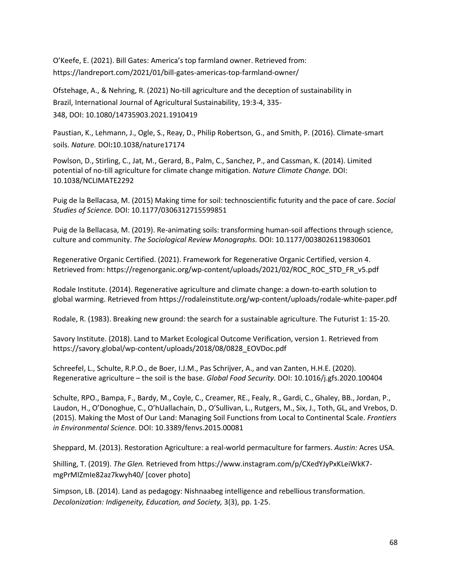O'Keefe, E. (2021). Bill Gates: America's top farmland owner. Retrieved from: <https://landreport.com/2021/01/bill-gates-americas-top-farmland-owner/>

Ofstehage, A., & Nehring, R. (2021) No-till agriculture and the deception of sustainability in Brazil, International Journal of Agricultural Sustainability, 19:3-4, 335- 348, DOI: 10.1080/14735903.2021.1910419

Paustian, K., Lehmann, J., Ogle, S., Reay, D., Philip Robertson, G., and Smith, P. (2016). Climate-smart soils. *Nature.* DOI**:**10.1038/nature17174

Powlson, D., Stirling, C., Jat, M., Gerard, B., Palm, C., Sanchez, P., and Cassman, K. (2014). Limited potential of no-till agriculture for climate change mitigation. *Nature Climate Change.* DOI: 10.1038/NCLIMATE2292

Puig de la Bellacasa, M. (2015) Making time for soil: technoscientific futurity and the pace of care. *Social Studies of Science.* DOI: 10.1177/0306312715599851

Puig de la Bellacasa, M. (2019). Re-animating soils: transforming human-soil affections through science, culture and community. *The Sociological Review Monographs.* DOI: 10.1177/0038026119830601

Regenerative Organic Certified. (2021). Framework for Regenerative Organic Certified, version 4. Retrieved from: https://regenorganic.org/wp-content/uploads/2021/02/ROC\_ROC\_STD\_FR\_v5.pdf

Rodale Institute. (2014). Regenerative agriculture and climate change: a down-to-earth solution to global warming. Retrieved from https://rodaleinstitute.org/wp-content/uploads/rodale-white-paper.pdf

Rodale, R. (1983). Breaking new ground: the search for a sustainable agriculture. The Futurist 1: 15-20.

Savory Institute. (2018). Land to Market Ecological Outcome Verification, version 1. Retrieved from https://savory.global/wp-content/uploads/2018/08/0828\_EOVDoc.pdf

Schreefel, L., Schulte, R.P.O., de Boer, I.J.M., Pas Schrijver, A., and van Zanten, H.H.E. (2020). Regenerative agriculture – the soil is the base. *Global Food Security.* DOI: 10.1016/j.gfs.2020.100404

Schulte, RPO., Bampa, F., Bardy, M., Coyle, C., Creamer, RE., Fealy, R., Gardi, C., Ghaley, BB., Jordan, P., Laudon, H., O'Donoghue, C., O'hUallachain, D., O'Sullivan, L., Rutgers, M., Six, J., Toth, GL, and Vrebos, D. (2015). Making the Most of Our Land: Managing Soil Functions from Local to Continental Scale. *Frontiers in Environmental Science.* DOI: 10.3389/fenvs.2015.00081

Sheppard, M. (2013). Restoration Agriculture: a real-world permaculture for farmers. *Austin:* Acres USA.

Shilling, T. (2019). *The Glen.* Retrieved from https://www.instagram.com/p/CXedYJyPxKLeiWkK7 mgPrMIZmIe82az7kwyh40/ [cover photo]

Simpson, LB. (2014). Land as pedagogy: Nishnaabeg intelligence and rebellious transformation. *Decolonization: Indigeneity, Education, and Society,* 3(3), pp. 1-25.